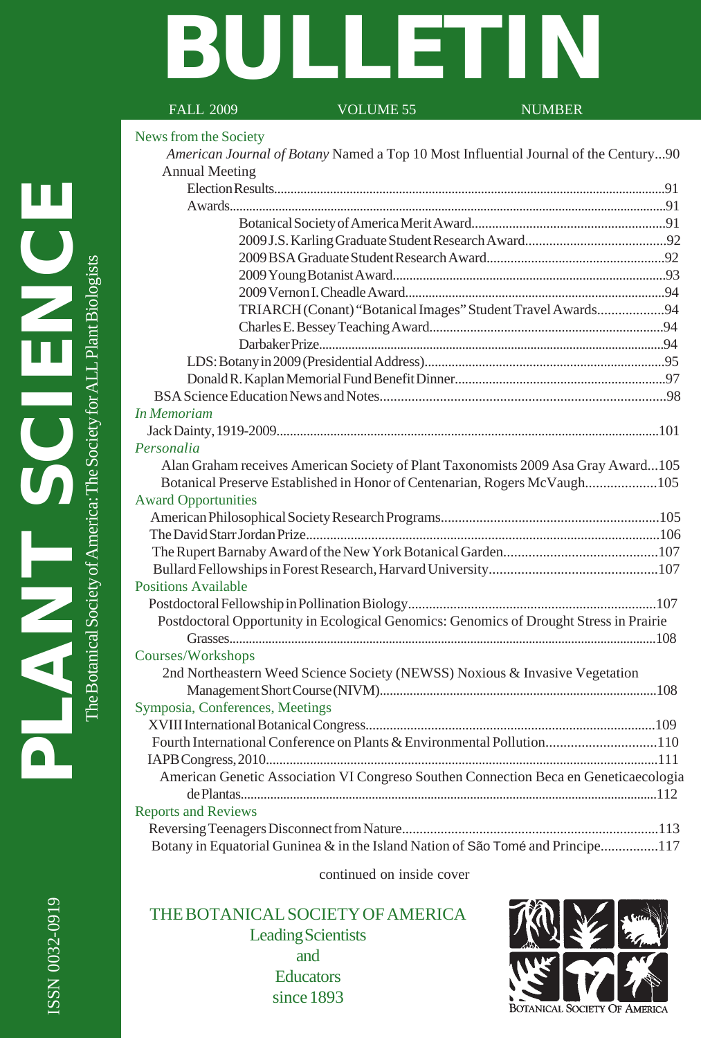# **BULLETIN**

# FALL 2009 VOLUME 55 NUMBER

#### News from the Society

| American Journal of Botany Named a Top 10 Most Influential Journal of the Century90    |  |
|----------------------------------------------------------------------------------------|--|
| <b>Annual Meeting</b>                                                                  |  |
|                                                                                        |  |
|                                                                                        |  |
|                                                                                        |  |
|                                                                                        |  |
|                                                                                        |  |
|                                                                                        |  |
|                                                                                        |  |
| TRIARCH (Conant) "Botanical Images" Student Travel Awards94                            |  |
|                                                                                        |  |
|                                                                                        |  |
|                                                                                        |  |
|                                                                                        |  |
|                                                                                        |  |
| <b>In Memoriam</b>                                                                     |  |
|                                                                                        |  |
| Personalia                                                                             |  |
| Alan Graham receives American Society of Plant Taxonomists 2009 Asa Gray Award105      |  |
| Botanical Preserve Established in Honor of Centenarian, Rogers McVaugh105              |  |
| <b>Award Opportunities</b>                                                             |  |
|                                                                                        |  |
|                                                                                        |  |
|                                                                                        |  |
|                                                                                        |  |
| <b>Positions Available</b>                                                             |  |
|                                                                                        |  |
| Postdoctoral Opportunity in Ecological Genomics: Genomics of Drought Stress in Prairie |  |
|                                                                                        |  |
| Courses/Workshops                                                                      |  |
| 2nd Northeastern Weed Science Society (NEWSS) Noxious & Invasive Vegetation            |  |
|                                                                                        |  |
| Symposia, Conferences, Meetings                                                        |  |
|                                                                                        |  |
| Fourth International Conference on Plants & Environmental Pollution110                 |  |
|                                                                                        |  |
| American Genetic Association VI Congreso Southen Connection Beca en Geneticaecologia   |  |
|                                                                                        |  |
| <b>Reports and Reviews</b>                                                             |  |
|                                                                                        |  |
| Botany in Equatorial Guninea & in the Island Nation of São Tomé and Principe117        |  |

continued on inside cover

THE BOTANICAL SOCIETY OF AMERICA Leading Scientists and **Educators** since 1893

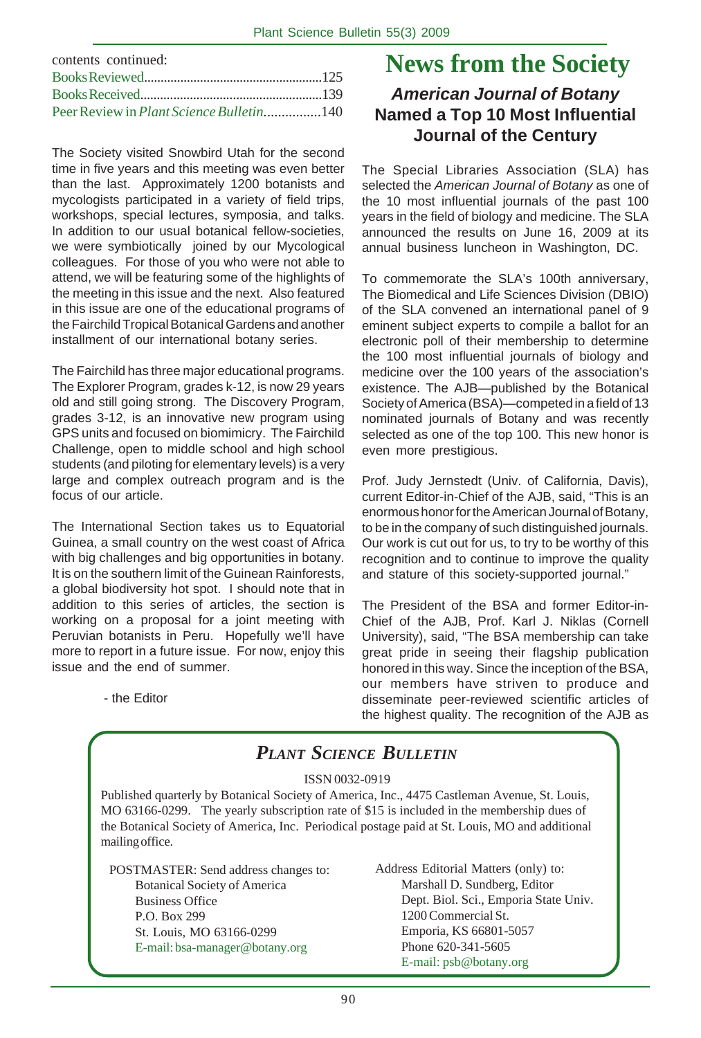| contents continued:                              |  |
|--------------------------------------------------|--|
|                                                  |  |
|                                                  |  |
| Peer Review in <i>Plant Science Bulletin</i> 140 |  |

The Society visited Snowbird Utah for the second time in five years and this meeting was even better than the last. Approximately 1200 botanists and mycologists participated in a variety of field trips, workshops, special lectures, symposia, and talks. In addition to our usual botanical fellow-societies, we were symbiotically joined by our Mycological colleagues. For those of you who were not able to attend, we will be featuring some of the highlights of the meeting in this issue and the next. Also featured in this issue are one of the educational programs of the Fairchild Tropical Botanical Gardens and another installment of our international botany series.

The Fairchild has three major educational programs. The Explorer Program, grades k-12, is now 29 years old and still going strong. The Discovery Program, grades 3-12, is an innovative new program using GPS units and focused on biomimicry. The Fairchild Challenge, open to middle school and high school students (and piloting for elementary levels) is a very large and complex outreach program and is the focus of our article.

The International Section takes us to Equatorial Guinea, a small country on the west coast of Africa with big challenges and big opportunities in botany. It is on the southern limit of the Guinean Rainforests, a global biodiversity hot spot. I should note that in addition to this series of articles, the section is working on a proposal for a joint meeting with Peruvian botanists in Peru. Hopefully we'll have more to report in a future issue. For now, enjoy this issue and the end of summer.

**News from the Society**

# *American Journal of Botany* **Named a Top 10 Most Influential Journal of the Century**

The Special Libraries Association (SLA) has selected the *American Journal of Botany* as one of the 10 most influential journals of the past 100 years in the field of biology and medicine. The SLA announced the results on June 16, 2009 at its annual business luncheon in Washington, DC.

To commemorate the SLA's 100th anniversary, The Biomedical and Life Sciences Division (DBIO) of the SLA convened an international panel of 9 eminent subject experts to compile a ballot for an electronic poll of their membership to determine the 100 most influential journals of biology and medicine over the 100 years of the association's existence. The AJB—published by the Botanical Society of America (BSA)—competed in a field of 13 nominated journals of Botany and was recently selected as one of the top 100. This new honor is even more prestigious.

Prof. Judy Jernstedt (Univ. of California, Davis), current Editor-in-Chief of the AJB, said, "This is an enormous honor for the American Journal of Botany, to be in the company of such distinguished journals. Our work is cut out for us, to try to be worthy of this recognition and to continue to improve the quality and stature of this society-supported journal."

The President of the BSA and former Editor-in-Chief of the AJB, Prof. Karl J. Niklas (Cornell University), said, "The BSA membership can take great pride in seeing their flagship publication honored in this way. Since the inception of the BSA, our members have striven to produce and disseminate peer-reviewed scientific articles of the highest quality. The recognition of the AJB as

- the Editor

# *PLANT SCIENCE BULLETIN*

#### ISSN 0032-0919

Published quarterly by Botanical Society of America, Inc., 4475 Castleman Avenue, St. Louis, MO 63166-0299. The yearly subscription rate of \$15 is included in the membership dues of the Botanical Society of America, Inc. Periodical postage paid at St. Louis, MO and additional mailing office.

POSTMASTER: Send address changes to: Botanical Society of America Business Office P.O. Box 299 St. Louis, MO 63166-0299 E-mail: bsa-manager@botany.org

Address Editorial Matters (only) to: Marshall D. Sundberg, Editor Dept. Biol. Sci., Emporia State Univ. 1200 Commercial St. Emporia, KS 66801-5057 Phone 620-341-5605 E-mail: psb@botany.org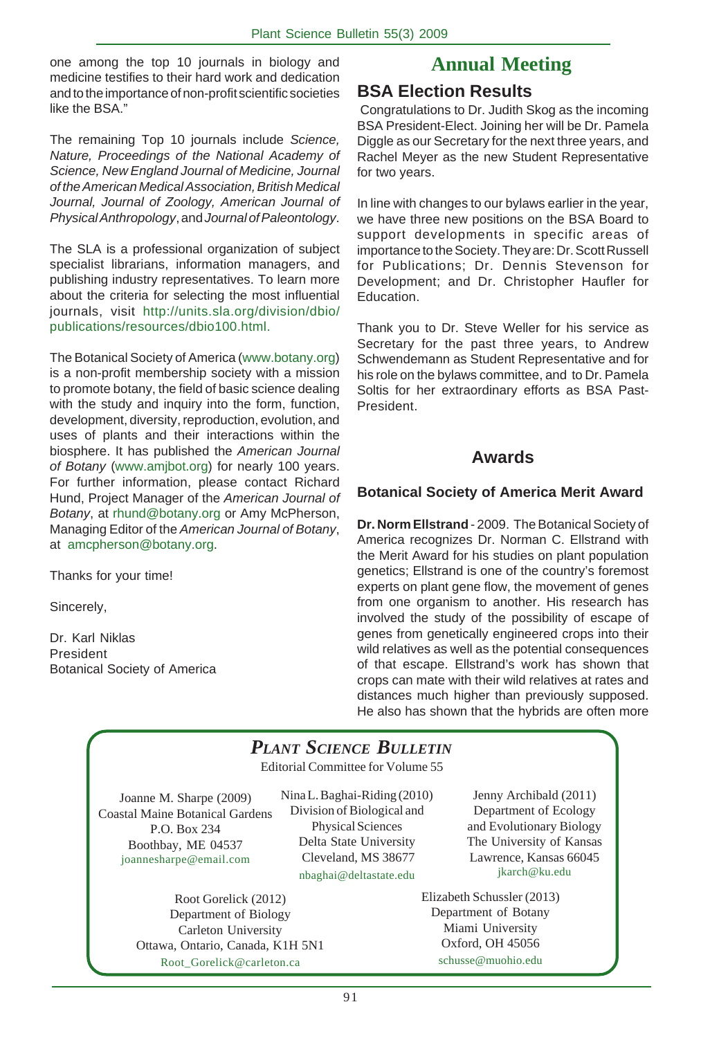one among the top 10 journals in biology and **Annual Meeting** medicine testifies to their hard work and dedication and to the importance of non-profit scientific societies like the BSA."

The remaining Top 10 journals include *Science, Nature, Proceedings of the National Academy of Science, New England Journal of Medicine, Journal of the American Medical Association, British Medical Journal, Journal of Zoology, American Journal of Physical Anthropology*, and *Journal of Paleontology*.

The SLA is a professional organization of subject specialist librarians, information managers, and publishing industry representatives. To learn more about the criteria for selecting the most influential journals, visit http://units.sla.org/division/dbio/ publications/resources/dbio100.html.

The Botanical Society of America (www.botany.org) is a non-profit membership society with a mission to promote botany, the field of basic science dealing with the study and inquiry into the form, function, development, diversity, reproduction, evolution, and uses of plants and their interactions within the biosphere. It has published the *American Journal of Botany* (www.amjbot.org) for nearly 100 years. For further information, please contact Richard Hund, Project Manager of the *American Journal of Botany*, at rhund@botany.org or Amy McPherson, Managing Editor of the *American Journal of Botany*, at amcpherson@botany.org.

Thanks for your time!

Sincerely,

Dr. Karl Niklas President Botanical Society of America

# **BSA Election Results**

 Congratulations to Dr. Judith Skog as the incoming BSA President-Elect. Joining her will be Dr. Pamela Diggle as our Secretary for the next three years, and Rachel Meyer as the new Student Representative for two years.

In line with changes to our bylaws earlier in the year, we have three new positions on the BSA Board to support developments in specific areas of importance to the Society. They are: Dr. Scott Russell for Publications; Dr. Dennis Stevenson for Development; and Dr. Christopher Haufler for Education.

Thank you to Dr. Steve Weller for his service as Secretary for the past three years, to Andrew Schwendemann as Student Representative and for his role on the bylaws committee, and to Dr. Pamela Soltis for her extraordinary efforts as BSA Past-President.

## **Awards**

#### **Botanical Society of America Merit Award**

**Dr. Norm Ellstrand** - 2009. The Botanical Society of America recognizes Dr. Norman C. Ellstrand with the Merit Award for his studies on plant population genetics; Ellstrand is one of the country's foremost experts on plant gene flow, the movement of genes from one organism to another. His research has involved the study of the possibility of escape of genes from genetically engineered crops into their wild relatives as well as the potential consequences of that escape. Ellstrand's work has shown that crops can mate with their wild relatives at rates and distances much higher than previously supposed. He also has shown that the hybrids are often more

# *PLANT SCIENCE BULLETIN*

Editorial Committee for Volume 55

Joanne M. Sharpe (2009) Coastal Maine Botanical Gardens P.O. Box 234 Boothbay, ME 04537 joannesharpe@email.com

Nina L. Baghai-Riding (2010) Division of Biological and Physical Sciences Delta State University Cleveland, MS 38677 nbaghai@deltastate.edu

Root Gorelick (2012) Department of Biology Carleton University Ottawa, Ontario, Canada, K1H 5N1 Root\_Gorelick@carleton.ca

Jenny Archibald (2011) Department of Ecology and Evolutionary Biology The University of Kansas Lawrence, Kansas 66045 jkarch@ku.edu

Elizabeth Schussler (2013) Department of Botany Miami University Oxford, OH 45056 schusse@muohio.edu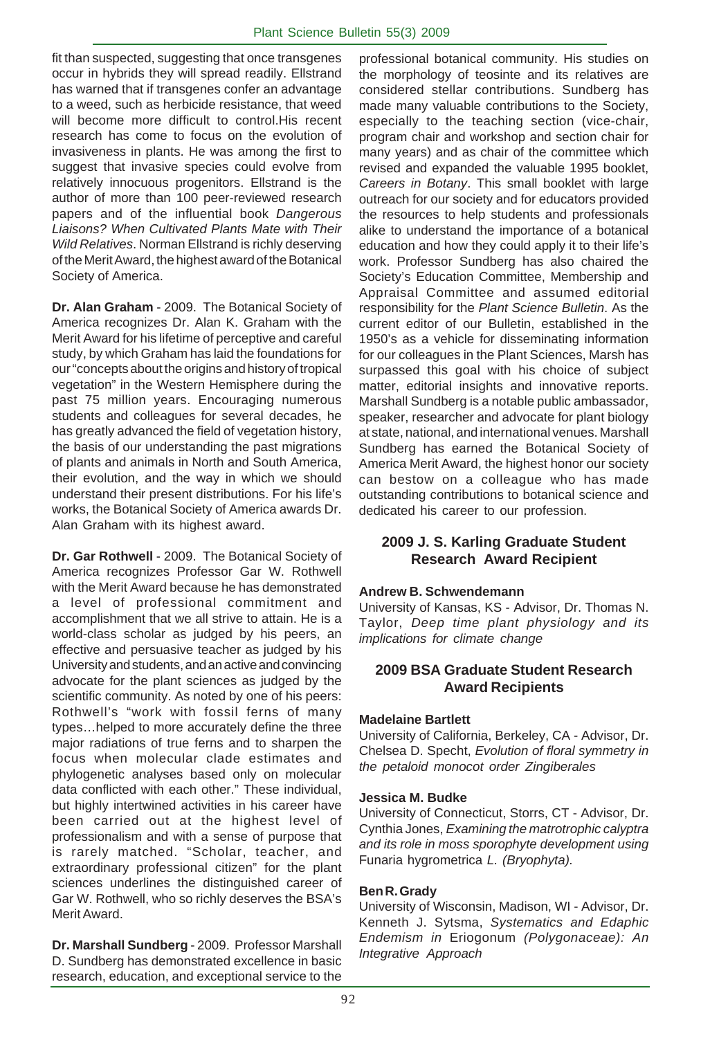fit than suspected, suggesting that once transgenes occur in hybrids they will spread readily. Ellstrand has warned that if transgenes confer an advantage to a weed, such as herbicide resistance, that weed will become more difficult to control.His recent research has come to focus on the evolution of invasiveness in plants. He was among the first to suggest that invasive species could evolve from relatively innocuous progenitors. Ellstrand is the author of more than 100 peer-reviewed research papers and of the influential book *Dangerous Liaisons? When Cultivated Plants Mate with Their Wild Relatives*. Norman Ellstrand is richly deserving of the Merit Award, the highest award of the Botanical Society of America.

**Dr. Alan Graham** - 2009. The Botanical Society of America recognizes Dr. Alan K. Graham with the Merit Award for his lifetime of perceptive and careful study, by which Graham has laid the foundations for our "concepts about the origins and history of tropical vegetation" in the Western Hemisphere during the past 75 million years. Encouraging numerous students and colleagues for several decades, he has greatly advanced the field of vegetation history, the basis of our understanding the past migrations of plants and animals in North and South America, their evolution, and the way in which we should understand their present distributions. For his life's works, the Botanical Society of America awards Dr. Alan Graham with its highest award.

**Dr. Gar Rothwell** - 2009. The Botanical Society of America recognizes Professor Gar W. Rothwell with the Merit Award because he has demonstrated a level of professional commitment and accomplishment that we all strive to attain. He is a world-class scholar as judged by his peers, an effective and persuasive teacher as judged by his University and students, and an active and convincing advocate for the plant sciences as judged by the scientific community. As noted by one of his peers: Rothwell's "work with fossil ferns of many types…helped to more accurately define the three major radiations of true ferns and to sharpen the focus when molecular clade estimates and phylogenetic analyses based only on molecular data conflicted with each other." These individual, but highly intertwined activities in his career have been carried out at the highest level of professionalism and with a sense of purpose that is rarely matched. "Scholar, teacher, and extraordinary professional citizen" for the plant sciences underlines the distinguished career of Gar W. Rothwell, who so richly deserves the BSA's Merit Award.

**Dr. Marshall Sundberg** - 2009. Professor Marshall D. Sundberg has demonstrated excellence in basic research, education, and exceptional service to the

professional botanical community. His studies on the morphology of teosinte and its relatives are considered stellar contributions. Sundberg has made many valuable contributions to the Society, especially to the teaching section (vice-chair, program chair and workshop and section chair for many years) and as chair of the committee which revised and expanded the valuable 1995 booklet, *Careers in Botany*. This small booklet with large outreach for our society and for educators provided the resources to help students and professionals alike to understand the importance of a botanical education and how they could apply it to their life's work. Professor Sundberg has also chaired the Society's Education Committee, Membership and Appraisal Committee and assumed editorial responsibility for the *Plant Science Bulletin*. As the current editor of our Bulletin, established in the 1950's as a vehicle for disseminating information for our colleagues in the Plant Sciences, Marsh has surpassed this goal with his choice of subject matter, editorial insights and innovative reports. Marshall Sundberg is a notable public ambassador, speaker, researcher and advocate for plant biology at state, national, and international venues. Marshall Sundberg has earned the Botanical Society of America Merit Award, the highest honor our society can bestow on a colleague who has made outstanding contributions to botanical science and dedicated his career to our profession.

#### **2009 J. S. Karling Graduate Student Research Award Recipient**

#### **Andrew B. Schwendemann**

University of Kansas, KS - Advisor, Dr. Thomas N. Taylor, *Deep time plant physiology and its implications for climate change*

#### **2009 BSA Graduate Student Research Award Recipients**

#### **Madelaine Bartlett**

University of California, Berkeley, CA - Advisor, Dr. Chelsea D. Specht, *Evolution of floral symmetry in the petaloid monocot order Zingiberales*

#### **Jessica M. Budke**

University of Connecticut, Storrs, CT - Advisor, Dr. Cynthia Jones, *Examining the matrotrophic calyptra and its role in moss sporophyte development using* Funaria hygrometrica *L. (Bryophyta).*

#### **Ben R. Grady**

University of Wisconsin, Madison, WI - Advisor, Dr. Kenneth J. Sytsma, *Systematics and Edaphic Endemism in* Eriogonum *(Polygonaceae): An Integrative Approach*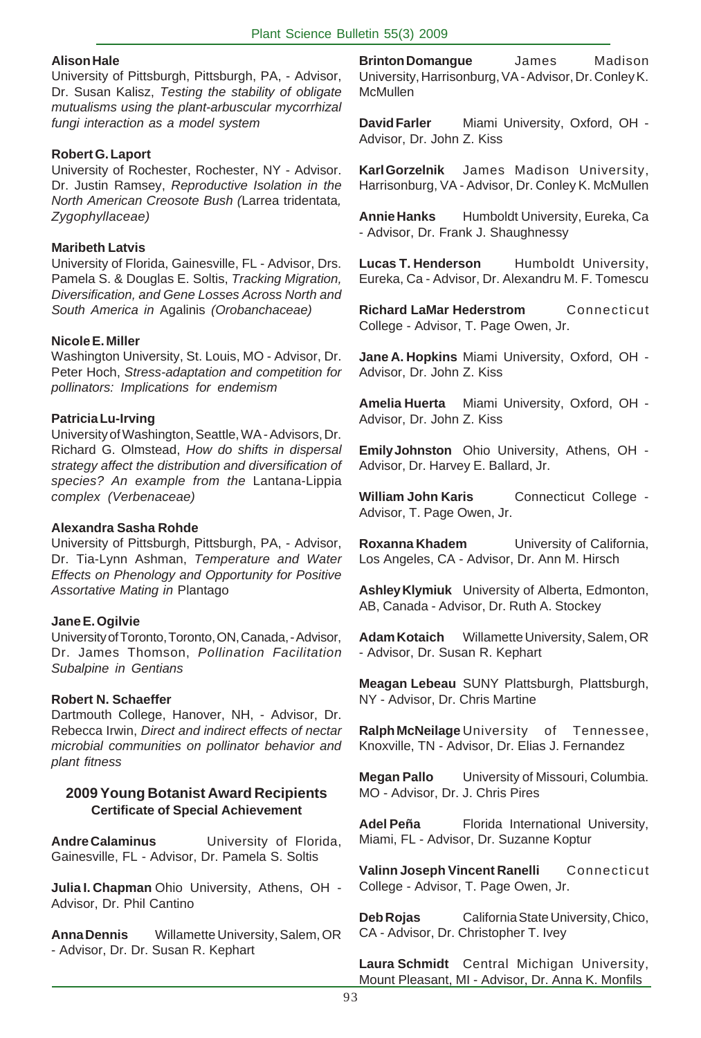#### **Alison Hale**

University of Pittsburgh, Pittsburgh, PA, - Advisor, Dr. Susan Kalisz, *Testing the stability of obligate mutualisms using the plant-arbuscular mycorrhizal fungi interaction as a model system*

#### **Robert G. Laport**

University of Rochester, Rochester, NY - Advisor. Dr. Justin Ramsey, *Reproductive Isolation in the North American Creosote Bush (*Larrea tridentata*, Zygophyllaceae)*

#### **Maribeth Latvis**

University of Florida, Gainesville, FL - Advisor, Drs. Pamela S. & Douglas E. Soltis, *Tracking Migration, Diversification, and Gene Losses Across North and South America in* Agalinis *(Orobanchaceae)*

#### **Nicole E. Miller**

Washington University, St. Louis, MO - Advisor, Dr. Peter Hoch, *Stress-adaptation and competition for pollinators: Implications for endemism*

#### **Patricia Lu-Irving**

University of Washington, Seattle, WA - Advisors, Dr. Richard G. Olmstead, *How do shifts in dispersal strategy affect the distribution and diversification of species? An example from the* Lantana-Lippia *complex (Verbenaceae)*

#### **Alexandra Sasha Rohde**

University of Pittsburgh, Pittsburgh, PA, - Advisor, Dr. Tia-Lynn Ashman, *Temperature and Water Effects on Phenology and Opportunity for Positive Assortative Mating in* Plantago

#### **Jane E. Ogilvie**

University of Toronto, Toronto, ON, Canada, - Advisor, Dr. James Thomson, *Pollination Facilitation Subalpine in Gentians*

#### **Robert N. Schaeffer**

Dartmouth College, Hanover, NH, - Advisor, Dr. Rebecca Irwin, *Direct and indirect effects of nectar microbial communities on pollinator behavior and plant fitness*

#### **2009 Young Botanist Award Recipients Certificate of Special Achievement**

**Andre Calaminus** University of Florida, Gainesville, FL - Advisor, Dr. Pamela S. Soltis

**Julia I. Chapman** Ohio University, Athens, OH - Advisor, Dr. Phil Cantino

**Anna Dennis** Willamette University, Salem, OR - Advisor, Dr. Dr. Susan R. Kephart

**Brinton Domangue** James Madison University, Harrisonburg, VA - Advisor, Dr. Conley K. **McMullen** 

**David Farler** Miami University, Oxford, OH - Advisor, Dr. John Z. Kiss

**Karl Gorzelnik** James Madison University, Harrisonburg, VA - Advisor, Dr. Conley K. McMullen

**Annie Hanks** Humboldt University, Eureka, Ca - Advisor, Dr. Frank J. Shaughnessy

**Lucas T. Henderson** Humboldt University, Eureka, Ca - Advisor, Dr. Alexandru M. F. Tomescu

**Richard LaMar Hederstrom** Connecticut College - Advisor, T. Page Owen, Jr.

**Jane A. Hopkins** Miami University, Oxford, OH - Advisor, Dr. John Z. Kiss

**Amelia Huerta** Miami University, Oxford, OH - Advisor, Dr. John Z. Kiss

**Emily Johnston** Ohio University, Athens, OH - Advisor, Dr. Harvey E. Ballard, Jr.

**William John Karis** Connecticut College -Advisor, T. Page Owen, Jr.

**Roxanna Khadem** University of California, Los Angeles, CA - Advisor, Dr. Ann M. Hirsch

**Ashley Klymiuk** University of Alberta, Edmonton, AB, Canada - Advisor, Dr. Ruth A. Stockey

**Adam Kotaich** Willamette University, Salem, OR - Advisor, Dr. Susan R. Kephart

**Meagan Lebeau** SUNY Plattsburgh, Plattsburgh, NY - Advisor, Dr. Chris Martine

**Ralph McNeilage** University of Tennessee, Knoxville, TN - Advisor, Dr. Elias J. Fernandez

**Megan Pallo** University of Missouri, Columbia. MO - Advisor, Dr. J. Chris Pires

**Adel Peña** Florida International University, Miami, FL - Advisor, Dr. Suzanne Koptur

**Valinn Joseph Vincent Ranelli** Connecticut College - Advisor, T. Page Owen, Jr.

**Deb Rojas** California State University, Chico, CA - Advisor, Dr. Christopher T. Ivey

**Laura Schmidt** Central Michigan University, Mount Pleasant, MI - Advisor, Dr. Anna K. Monfils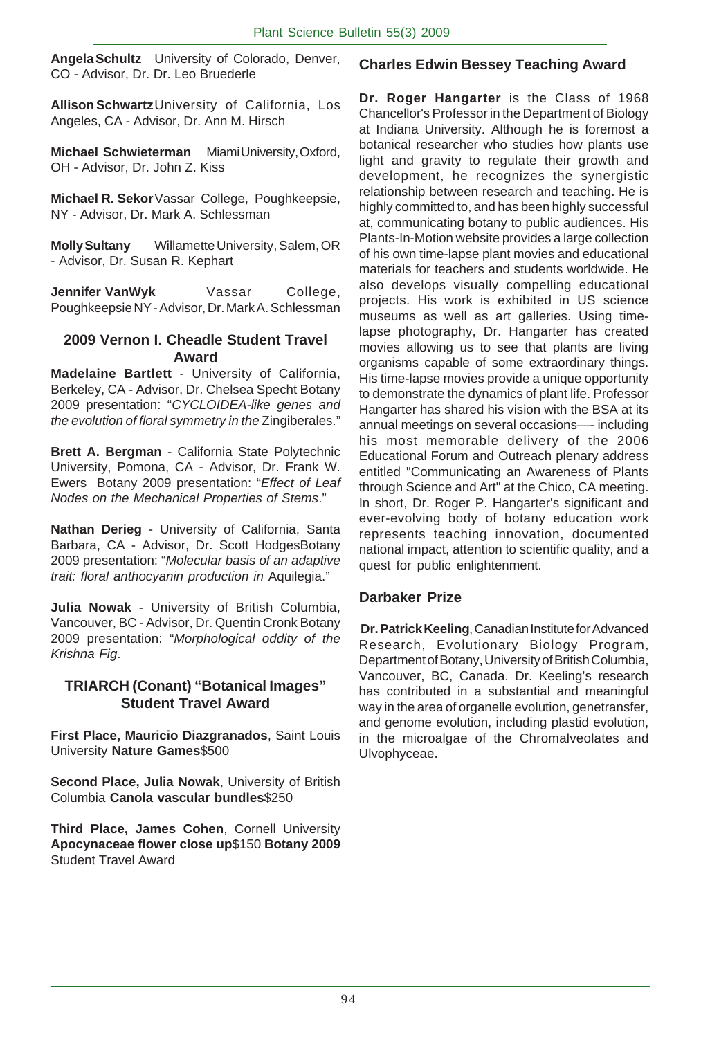**Angela Schultz** University of Colorado, Denver, CO - Advisor, Dr. Dr. Leo Bruederle

**Allison Schwartz**University of California, Los Angeles, CA - Advisor, Dr. Ann M. Hirsch

**Michael Schwieterman** Miami University, Oxford, OH - Advisor, Dr. John Z. Kiss

**Michael R. Sekor**Vassar College, Poughkeepsie, NY - Advisor, Dr. Mark A. Schlessman

**Molly Sultany** Willamette University, Salem, OR - Advisor, Dr. Susan R. Kephart

**Jennifer VanWyk** Vassar College, Poughkeepsie NY - Advisor, Dr. Mark A. Schlessman

#### **2009 Vernon I. Cheadle Student Travel Award**

**Madelaine Bartlett** - University of California, Berkeley, CA - Advisor, Dr. Chelsea Specht Botany 2009 presentation: "*CYCLOIDEA-like genes and the evolution of floral symmetry in the* Zingiberales."

**Brett A. Bergman** - California State Polytechnic University, Pomona, CA - Advisor, Dr. Frank W. Ewers Botany 2009 presentation: "*Effect of Leaf Nodes on the Mechanical Properties of Stems*."

**Nathan Derieg** - University of California, Santa Barbara, CA - Advisor, Dr. Scott HodgesBotany 2009 presentation: "*Molecular basis of an adaptive trait: floral anthocyanin production in* Aquilegia."

**Julia Nowak** - University of British Columbia, Vancouver, BC - Advisor, Dr. Quentin Cronk Botany 2009 presentation: "*Morphological oddity of the Krishna Fig*.

#### **TRIARCH (Conant) "Botanical Images" Student Travel Award**

**First Place, Mauricio Diazgranados**, Saint Louis University **Nature Games**\$500

**Second Place, Julia Nowak**, University of British Columbia **Canola vascular bundles**\$250

**Third Place, James Cohen**, Cornell University **Apocynaceae flower close up**\$150 **Botany 2009** Student Travel Award

#### **Charles Edwin Bessey Teaching Award**

**Dr. Roger Hangarter** is the Class of 1968 Chancellor's Professor in the Department of Biology at Indiana University. Although he is foremost a botanical researcher who studies how plants use light and gravity to regulate their growth and development, he recognizes the synergistic relationship between research and teaching. He is highly committed to, and has been highly successful at, communicating botany to public audiences. His Plants-In-Motion website provides a large collection of his own time-lapse plant movies and educational materials for teachers and students worldwide. He also develops visually compelling educational projects. His work is exhibited in US science museums as well as art galleries. Using timelapse photography, Dr. Hangarter has created movies allowing us to see that plants are living organisms capable of some extraordinary things. His time-lapse movies provide a unique opportunity to demonstrate the dynamics of plant life. Professor Hangarter has shared his vision with the BSA at its annual meetings on several occasions—- including his most memorable delivery of the 2006 Educational Forum and Outreach plenary address entitled "Communicating an Awareness of Plants through Science and Art" at the Chico, CA meeting. In short, Dr. Roger P. Hangarter's significant and ever-evolving body of botany education work represents teaching innovation, documented national impact, attention to scientific quality, and a quest for public enlightenment.

#### **Darbaker Prize**

**Dr. Patrick Keeling**, Canadian Institute for Advanced Research, Evolutionary Biology Program, Department of Botany, University of British Columbia, Vancouver, BC, Canada. Dr. Keeling's research has contributed in a substantial and meaningful way in the area of organelle evolution, genetransfer, and genome evolution, including plastid evolution, in the microalgae of the Chromalveolates and Ulvophyceae.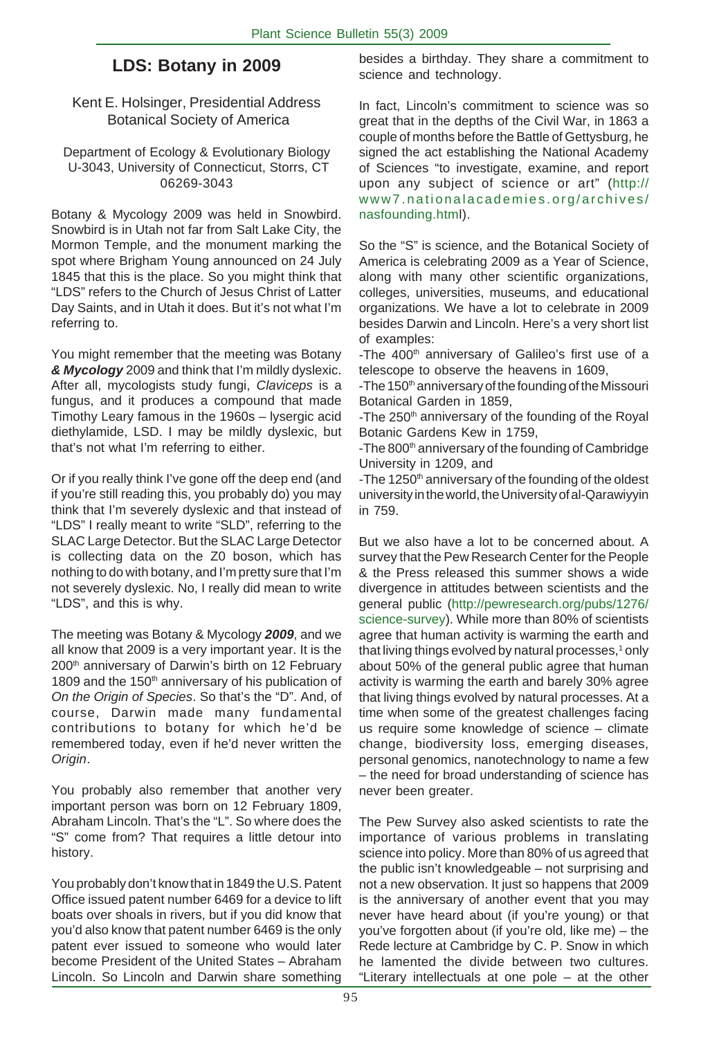# **LDS: Botany in 2009**

Kent E. Holsinger, Presidential Address Botanical Society of America

Department of Ecology & Evolutionary Biology U-3043, University of Connecticut, Storrs, CT 06269-3043

Botany & Mycology 2009 was held in Snowbird. Snowbird is in Utah not far from Salt Lake City, the Mormon Temple, and the monument marking the spot where Brigham Young announced on 24 July 1845 that this is the place. So you might think that "LDS" refers to the Church of Jesus Christ of Latter Day Saints, and in Utah it does. But it's not what I'm referring to.

You might remember that the meeting was Botany *& Mycology* 2009 and think that I'm mildly dyslexic. After all, mycologists study fungi, *Claviceps* is a fungus, and it produces a compound that made Timothy Leary famous in the 1960s – lysergic acid diethylamide, LSD. I may be mildly dyslexic, but that's not what I'm referring to either.

Or if you really think I've gone off the deep end (and if you're still reading this, you probably do) you may think that I'm severely dyslexic and that instead of "LDS" I really meant to write "SLD", referring to the SLAC Large Detector. But the SLAC Large Detector is collecting data on the Z0 boson, which has nothing to do with botany, and I'm pretty sure that I'm not severely dyslexic. No, I really did mean to write "LDS", and this is why.

The meeting was Botany & Mycology *2009*, and we all know that 2009 is a very important year. It is the 200<sup>th</sup> anniversary of Darwin's birth on 12 February 1809 and the 150<sup>th</sup> anniversary of his publication of *On the Origin of Species*. So that's the "D". And, of course, Darwin made many fundamental contributions to botany for which he'd be remembered today, even if he'd never written the *Origin*.

You probably also remember that another very important person was born on 12 February 1809, Abraham Lincoln. That's the "L". So where does the "S" come from? That requires a little detour into history.

You probably don't know that in 1849 the U.S. Patent Office issued patent number 6469 for a device to lift boats over shoals in rivers, but if you did know that you'd also know that patent number 6469 is the only patent ever issued to someone who would later become President of the United States – Abraham Lincoln. So Lincoln and Darwin share something

besides a birthday. They share a commitment to science and technology.

In fact, Lincoln's commitment to science was so great that in the depths of the Civil War, in 1863 a couple of months before the Battle of Gettysburg, he signed the act establishing the National Academy of Sciences "to investigate, examine, and report upon any subject of science or art" (http:// www7.nationalacademies.org/archives/ nasfounding.html).

So the "S" is science, and the Botanical Society of America is celebrating 2009 as a Year of Science, along with many other scientific organizations, colleges, universities, museums, and educational organizations. We have a lot to celebrate in 2009 besides Darwin and Lincoln. Here's a very short list of examples:

-The 400<sup>th</sup> anniversary of Galileo's first use of a telescope to observe the heavens in 1609,

-The 150<sup>th</sup> anniversary of the founding of the Missouri Botanical Garden in 1859,

-The 250<sup>th</sup> anniversary of the founding of the Royal Botanic Gardens Kew in 1759,

-The 800<sup>th</sup> anniversary of the founding of Cambridge University in 1209, and

-The 1250<sup>th</sup> anniversary of the founding of the oldest university in the world, the University of al-Qarawiyyin in 759.

. change, biodiversity loss, emerging diseases, But we also have a lot to be concerned about. A survey that the Pew Research Center for the People & the Press released this summer shows a wide divergence in attitudes between scientists and the general public (http://pewresearch.org/pubs/1276/ science-survey). While more than 80% of scientists agree that human activity is warming the earth and that living things evolved by natural processes,<sup>1</sup> only about 50% of the general public agree that human activity is warming the earth and barely 30% agree that living things evolved by natural processes. At a time when some of the greatest challenges facing us require some knowledge of science – climate personal genomics, nanotechnology to name a few – the need for broad understanding of science has never been greater.

The Pew Survey also asked scientists to rate the importance of various problems in translating science into policy. More than 80% of us agreed that the public isn't knowledgeable – not surprising and not a new observation. It just so happens that 2009 is the anniversary of another event that you may never have heard about (if you're young) or that you've forgotten about (if you're old, like me) – the Rede lecture at Cambridge by C. P. Snow in which he lamented the divide between two cultures. "Literary intellectuals at one pole – at the other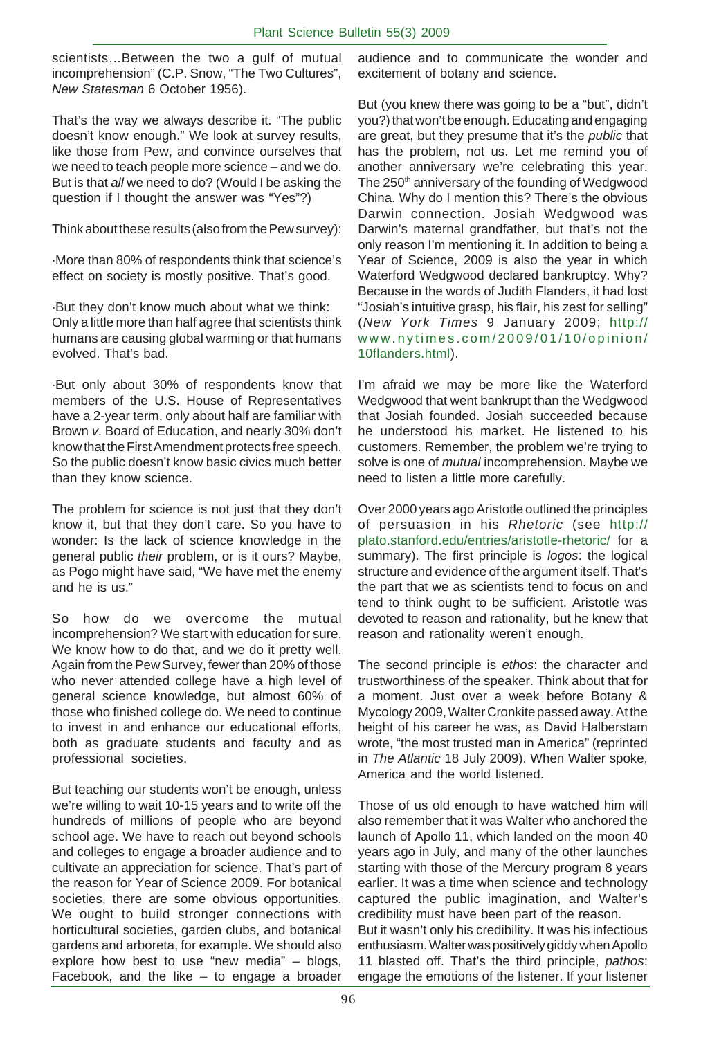scientists…Between the two a gulf of mutual incomprehension" (C.P. Snow, "The Two Cultures", *New Statesman* 6 October 1956).

That's the way we always describe it. "The public doesn't know enough." We look at survey results, like those from Pew, and convince ourselves that we need to teach people more science – and we do. But is that *all* we need to do? (Would I be asking the question if I thought the answer was "Yes"?)

Think about these results (also from the Pew survey):

·More than 80% of respondents think that science's effect on society is mostly positive. That's good.

·But they don't know much about what we think: Only a little more than half agree that scientists think humans are causing global warming or that humans evolved. That's bad.

·But only about 30% of respondents know that members of the U.S. House of Representatives have a 2-year term, only about half are familiar with Brown *v*. Board of Education, and nearly 30% don't know that the First Amendment protects free speech. So the public doesn't know basic civics much better than they know science.

The problem for science is not just that they don't know it, but that they don't care. So you have to wonder: Is the lack of science knowledge in the general public *their* problem, or is it ours? Maybe, as Pogo might have said, "We have met the enemy and he is us."

So how do we overcome the mutual incomprehension? We start with education for sure. We know how to do that, and we do it pretty well. Again from the Pew Survey, fewer than 20% of those who never attended college have a high level of general science knowledge, but almost 60% of those who finished college do. We need to continue to invest in and enhance our educational efforts, both as graduate students and faculty and as professional societies.

But teaching our students won't be enough, unless we're willing to wait 10-15 years and to write off the hundreds of millions of people who are beyond school age. We have to reach out beyond schools and colleges to engage a broader audience and to cultivate an appreciation for science. That's part of the reason for Year of Science 2009. For botanical societies, there are some obvious opportunities. We ought to build stronger connections with horticultural societies, garden clubs, and botanical gardens and arboreta, for example. We should also explore how best to use "new media" – blogs, Facebook, and the like  $-$  to engage a broader

audience and to communicate the wonder and excitement of botany and science.

But (you knew there was going to be a "but", didn't you?) that won't be enough. Educating and engaging are great, but they presume that it's the *public* that has the problem, not us. Let me remind you of another anniversary we're celebrating this year. The 250<sup>th</sup> anniversary of the founding of Wedgwood China. Why do I mention this? There's the obvious Darwin connection. Josiah Wedgwood was Darwin's maternal grandfather, but that's not the only reason I'm mentioning it. In addition to being a Year of Science, 2009 is also the year in which Waterford Wedgwood declared bankruptcy. Why? Because in the words of Judith Flanders, it had lost "Josiah's intuitive grasp, his flair, his zest for selling" (*New York Times* 9 January 2009; http:// www.nytimes.com/2009/01/10/opinion/ 10flanders.html).

I'm afraid we may be more like the Waterford Wedgwood that went bankrupt than the Wedgwood that Josiah founded. Josiah succeeded because he understood his market. He listened to his customers. Remember, the problem we're trying to solve is one of *mutual* incomprehension. Maybe we need to listen a little more carefully.

Over 2000 years ago Aristotle outlined the principles of persuasion in his *Rhetoric* (see http:// plato.stanford.edu/entries/aristotle-rhetoric/ for a summary). The first principle is *logos*: the logical structure and evidence of the argument itself. That's the part that we as scientists tend to focus on and tend to think ought to be sufficient. Aristotle was devoted to reason and rationality, but he knew that reason and rationality weren't enough.

The second principle is *ethos*: the character and trustworthiness of the speaker. Think about that for a moment. Just over a week before Botany & Mycology 2009, Walter Cronkite passed away. At the height of his career he was, as David Halberstam wrote, "the most trusted man in America" (reprinted in *The Atlantic* 18 July 2009). When Walter spoke, America and the world listened.

Those of us old enough to have watched him will also remember that it was Walter who anchored the launch of Apollo 11, which landed on the moon 40 years ago in July, and many of the other launches starting with those of the Mercury program 8 years earlier. It was a time when science and technology captured the public imagination, and Walter's credibility must have been part of the reason. But it wasn't only his credibility. It was his infectious

enthusiasm. Walter was positively giddy when Apollo 11 blasted off. That's the third principle, *pathos*: engage the emotions of the listener. If your listener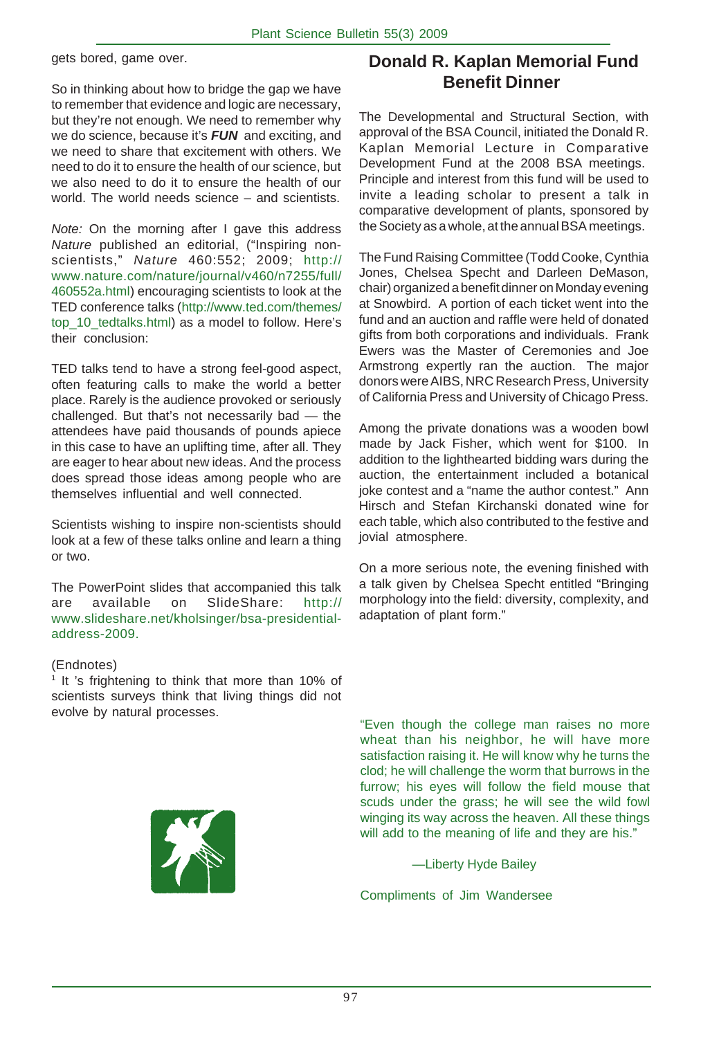gets bored, game over.

So in thinking about how to bridge the gap we have to remember that evidence and logic are necessary, but they're not enough. We need to remember why we do science, because it's *FUN* and exciting, and we need to share that excitement with others. We need to do it to ensure the health of our science, but we also need to do it to ensure the health of our world. The world needs science – and scientists.

*Note:* On the morning after I gave this address *Nature* published an editorial, ("Inspiring nonscientists," *Nature* 460:552; 2009; http:// www.nature.com/nature/journal/v460/n7255/full/ 460552a.html) encouraging scientists to look at the TED conference talks (http://www.ted.com/themes/ top\_10\_tedtalks.html) as a model to follow. Here's their conclusion:

TED talks tend to have a strong feel-good aspect, often featuring calls to make the world a better place. Rarely is the audience provoked or seriously challenged. But that's not necessarily bad — the attendees have paid thousands of pounds apiece in this case to have an uplifting time, after all. They are eager to hear about new ideas. And the process does spread those ideas among people who are themselves influential and well connected.

Scientists wishing to inspire non-scientists should look at a few of these talks online and learn a thing or two.

The PowerPoint slides that accompanied this talk are available on SlideShare: http:// www.slideshare.net/kholsinger/bsa-presidentialaddress-2009.

#### (Endnotes)

<sup>1</sup> It 's frightening to think that more than 10% of scientists surveys think that living things did not evolve by natural processes.



# **Donald R. Kaplan Memorial Fund Benefit Dinner**

The Developmental and Structural Section, with approval of the BSA Council, initiated the Donald R. Kaplan Memorial Lecture in Comparative Development Fund at the 2008 BSA meetings. Principle and interest from this fund will be used to invite a leading scholar to present a talk in comparative development of plants, sponsored by the Society as a whole, at the annual BSA meetings.

The Fund Raising Committee (Todd Cooke, Cynthia Jones, Chelsea Specht and Darleen DeMason, chair) organized a benefit dinner on Monday evening at Snowbird. A portion of each ticket went into the fund and an auction and raffle were held of donated gifts from both corporations and individuals. Frank Ewers was the Master of Ceremonies and Joe Armstrong expertly ran the auction. The major donors were AIBS, NRC Research Press, University of California Press and University of Chicago Press.

Among the private donations was a wooden bowl made by Jack Fisher, which went for \$100. In addition to the lighthearted bidding wars during the auction, the entertainment included a botanical joke contest and a "name the author contest." Ann Hirsch and Stefan Kirchanski donated wine for each table, which also contributed to the festive and jovial atmosphere.

On a more serious note, the evening finished with a talk given by Chelsea Specht entitled "Bringing morphology into the field: diversity, complexity, and adaptation of plant form."

"Even though the college man raises no more wheat than his neighbor, he will have more satisfaction raising it. He will know why he turns the clod; he will challenge the worm that burrows in the furrow; his eyes will follow the field mouse that scuds under the grass; he will see the wild fowl winging its way across the heaven. All these things will add to the meaning of life and they are his."

—Liberty Hyde Bailey

Compliments of Jim Wandersee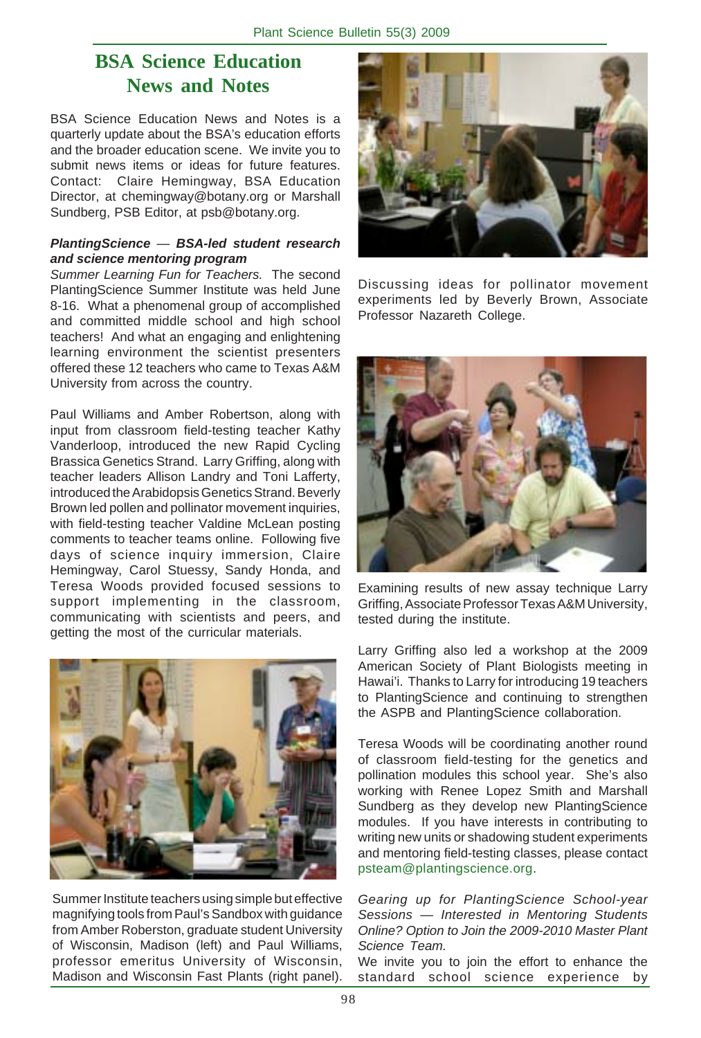# **BSA Science Education News and Notes**

BSA Science Education News and Notes is a quarterly update about the BSA's education efforts and the broader education scene. We invite you to submit news items or ideas for future features. Contact: Claire Hemingway, BSA Education Director, at chemingway@botany.org or Marshall Sundberg, PSB Editor, at psb@botany.org.

#### *PlantingScience* — *BSA-led student research and science mentoring program*

*Summer Learning Fun for Teachers.* The second PlantingScience Summer Institute was held June 8-16. What a phenomenal group of accomplished and committed middle school and high school teachers! And what an engaging and enlightening learning environment the scientist presenters offered these 12 teachers who came to Texas A&M University from across the country.

Paul Williams and Amber Robertson, along with input from classroom field-testing teacher Kathy Vanderloop, introduced the new Rapid Cycling Brassica Genetics Strand. Larry Griffing, along with teacher leaders Allison Landry and Toni Lafferty, introduced the Arabidopsis Genetics Strand. Beverly Brown led pollen and pollinator movement inquiries, with field-testing teacher Valdine McLean posting comments to teacher teams online. Following five days of science inquiry immersion, Claire Hemingway, Carol Stuessy, Sandy Honda, and Teresa Woods provided focused sessions to support implementing in the classroom, communicating with scientists and peers, and getting the most of the curricular materials.



Summer Institute teachers using simple but effective magnifying tools from Paul's Sandbox with guidance from Amber Roberston, graduate student University of Wisconsin, Madison (left) and Paul Williams, professor emeritus University of Wisconsin, Madison and Wisconsin Fast Plants (right panel).



Discussing ideas for pollinator movement experiments led by Beverly Brown, Associate Professor Nazareth College.



Examining results of new assay technique Larry Griffing, Associate Professor Texas A&M University, tested during the institute.

Larry Griffing also led a workshop at the 2009 American Society of Plant Biologists meeting in Hawai'i. Thanks to Larry for introducing 19 teachers to PlantingScience and continuing to strengthen the ASPB and PlantingScience collaboration.

Teresa Woods will be coordinating another round of classroom field-testing for the genetics and pollination modules this school year. She's also working with Renee Lopez Smith and Marshall Sundberg as they develop new PlantingScience modules. If you have interests in contributing to writing new units or shadowing student experiments and mentoring field-testing classes, please contact psteam@plantingscience.org.

*Gearing up for PlantingScience School-year Sessions* — *Interested in Mentoring Students Online? Option to Join the 2009-2010 Master Plant Science Team.*

We invite you to join the effort to enhance the standard school science experience by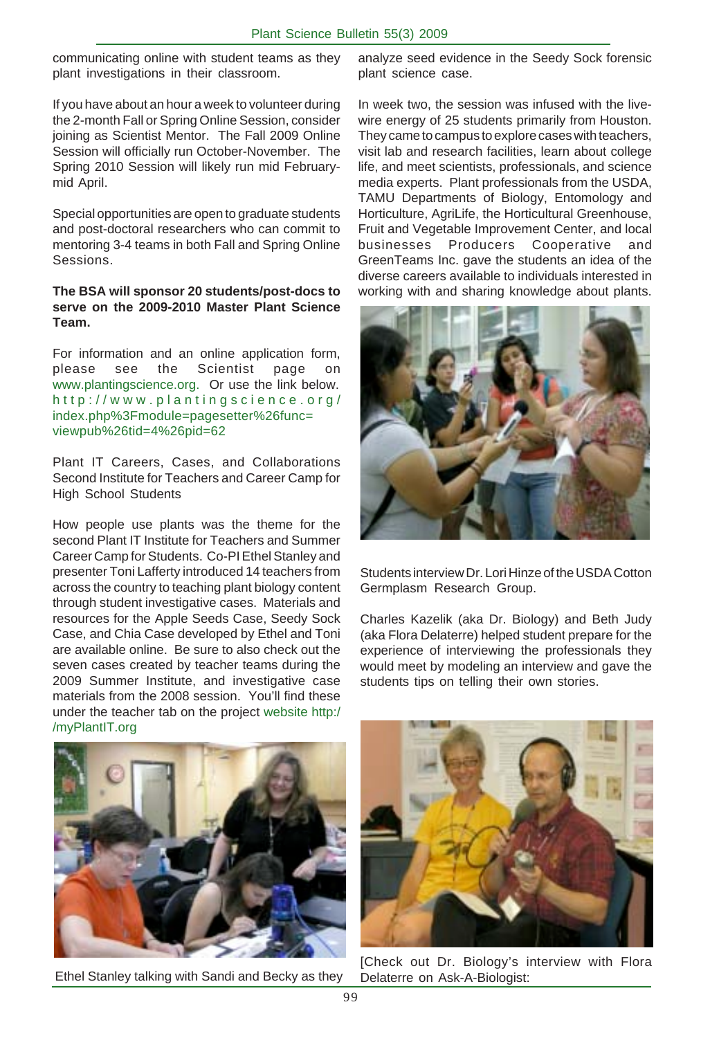communicating online with student teams as they plant investigations in their classroom.

If you have about an hour a week to volunteer during the 2-month Fall or Spring Online Session, consider joining as Scientist Mentor. The Fall 2009 Online Session will officially run October-November. The Spring 2010 Session will likely run mid Februarymid April.

Special opportunities are open to graduate students and post-doctoral researchers who can commit to mentoring 3-4 teams in both Fall and Spring Online Sessions.

#### **The BSA will sponsor 20 students/post-docs to serve on the 2009-2010 Master Plant Science Team.**

For information and an online application form, please see the Scientist page on www.plantingscience.org. Or use the link below. http://www.plantingscience.org/ index.php%3Fmodule=pagesetter%26func= viewpub%26tid=4%26pid=62

Plant IT Careers, Cases, and Collaborations Second Institute for Teachers and Career Camp for High School Students

How people use plants was the theme for the second Plant IT Institute for Teachers and Summer Career Camp for Students. Co-PI Ethel Stanley and presenter Toni Lafferty introduced 14 teachers from across the country to teaching plant biology content through student investigative cases. Materials and resources for the Apple Seeds Case, Seedy Sock Case, and Chia Case developed by Ethel and Toni are available online. Be sure to also check out the seven cases created by teacher teams during the 2009 Summer Institute, and investigative case materials from the 2008 session. You'll find these under the teacher tab on the project website http:/ /myPlantIT.org

analyze seed evidence in the Seedy Sock forensic plant science case.

In week two, the session was infused with the livewire energy of 25 students primarily from Houston. They came to campus to explore cases with teachers, visit lab and research facilities, learn about college life, and meet scientists, professionals, and science media experts. Plant professionals from the USDA, TAMU Departments of Biology, Entomology and Horticulture, AgriLife, the Horticultural Greenhouse, Fruit and Vegetable Improvement Center, and local businesses Producers Cooperative and GreenTeams Inc. gave the students an idea of the diverse careers available to individuals interested in working with and sharing knowledge about plants.



Students interview Dr. Lori Hinze of the USDA Cotton Germplasm Research Group.

Charles Kazelik (aka Dr. Biology) and Beth Judy (aka Flora Delaterre) helped student prepare for the experience of interviewing the professionals they would meet by modeling an interview and gave the students tips on telling their own stories.



Ethel Stanley talking with Sandi and Becky as they



[Check out Dr. Biology's interview with Flora Delaterre on Ask-A-Biologist: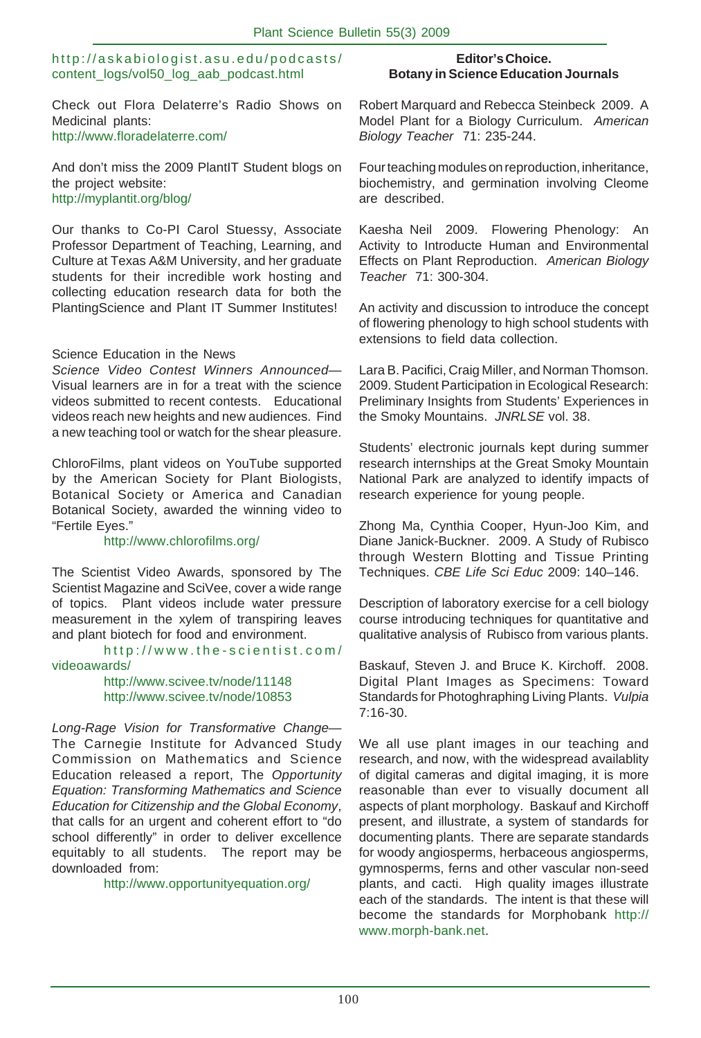#### http://askabiologist.asu.edu/podcasts/ content\_logs/vol50\_log\_aab\_podcast.html

Check out Flora Delaterre's Radio Shows on Medicinal plants: http://www.floradelaterre.com/

And don't miss the 2009 PlantIT Student blogs on the project website: http://myplantit.org/blog/

Our thanks to Co-PI Carol Stuessy, Associate Professor Department of Teaching, Learning, and Culture at Texas A&M University, and her graduate students for their incredible work hosting and collecting education research data for both the PlantingScience and Plant IT Summer Institutes!

#### Science Education in the News

*Science Video Contest Winners Announced*— Visual learners are in for a treat with the science videos submitted to recent contests. Educational videos reach new heights and new audiences. Find a new teaching tool or watch for the shear pleasure.

ChloroFilms, plant videos on YouTube supported by the American Society for Plant Biologists, Botanical Society or America and Canadian Botanical Society, awarded the winning video to "Fertile Eyes."

#### http://www.chlorofilms.org/

The Scientist Video Awards, sponsored by The Scientist Magazine and SciVee, cover a wide range of topics. Plant videos include water pressure measurement in the xylem of transpiring leaves and plant biotech for food and environment.

http://www.the-scientist.com/ videoawards/

> http://www.scivee.tv/node/11148 http://www.scivee.tv/node/10853

*Long-Rage Vision for Transformative Change*— The Carnegie Institute for Advanced Study Commission on Mathematics and Science Education released a report, The *Opportunity Equation: Transforming Mathematics and Science Education for Citizenship and the Global Economy*, that calls for an urgent and coherent effort to "do school differently" in order to deliver excellence equitably to all students. The report may be downloaded from:

http://www.opportunityequation.org/

#### **Editor's Choice. Botany in Science Education Journals**

Robert Marquard and Rebecca Steinbeck 2009. A Model Plant for a Biology Curriculum. *American Biology Teacher* 71: 235-244.

Four teaching modules on reproduction, inheritance, biochemistry, and germination involving Cleome are described.

Kaesha Neil 2009. Flowering Phenology: An Activity to Introducte Human and Environmental Effects on Plant Reproduction. *American Biology Teacher* 71: 300-304.

An activity and discussion to introduce the concept of flowering phenology to high school students with extensions to field data collection.

Lara B. Pacifici, Craig Miller, and Norman Thomson. 2009. Student Participation in Ecological Research: Preliminary Insights from Students' Experiences in the Smoky Mountains. *JNRLSE* vol. 38.

Students' electronic journals kept during summer research internships at the Great Smoky Mountain National Park are analyzed to identify impacts of research experience for young people.

Zhong Ma, Cynthia Cooper, Hyun-Joo Kim, and Diane Janick-Buckner. 2009. A Study of Rubisco through Western Blotting and Tissue Printing Techniques. *CBE Life Sci Educ* 2009: 140–146.

Description of laboratory exercise for a cell biology course introducing techniques for quantitative and qualitative analysis of Rubisco from various plants.

Baskauf, Steven J. and Bruce K. Kirchoff. 2008. Digital Plant Images as Specimens: Toward Standards for Photoghraphing Living Plants. *Vulpia* 7:16-30.

We all use plant images in our teaching and research, and now, with the widespread availablity of digital cameras and digital imaging, it is more reasonable than ever to visually document all aspects of plant morphology. Baskauf and Kirchoff present, and illustrate, a system of standards for documenting plants. There are separate standards for woody angiosperms, herbaceous angiosperms, gymnosperms, ferns and other vascular non-seed plants, and cacti. High quality images illustrate each of the standards. The intent is that these will become the standards for Morphobank http:// www.morph-bank.net.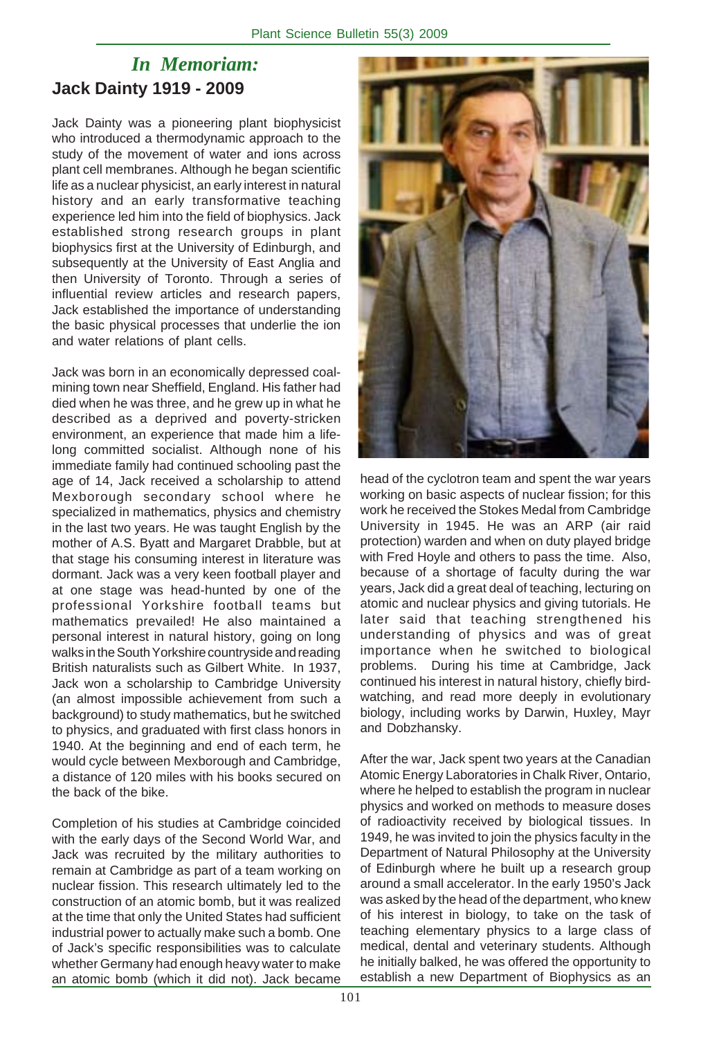# *In Memoriam:* **Jack Dainty 1919 - 2009**

Jack Dainty was a pioneering plant biophysicist who introduced a thermodynamic approach to the study of the movement of water and ions across plant cell membranes. Although he began scientific life as a nuclear physicist, an early interest in natural history and an early transformative teaching experience led him into the field of biophysics. Jack established strong research groups in plant biophysics first at the University of Edinburgh, and subsequently at the University of East Anglia and then University of Toronto. Through a series of influential review articles and research papers, Jack established the importance of understanding the basic physical processes that underlie the ion and water relations of plant cells.

Jack was born in an economically depressed coalmining town near Sheffield, England. His father had died when he was three, and he grew up in what he described as a deprived and poverty-stricken environment, an experience that made him a lifelong committed socialist. Although none of his immediate family had continued schooling past the age of 14, Jack received a scholarship to attend Mexborough secondary school where he specialized in mathematics, physics and chemistry in the last two years. He was taught English by the mother of A.S. Byatt and Margaret Drabble, but at that stage his consuming interest in literature was dormant. Jack was a very keen football player and at one stage was head-hunted by one of the professional Yorkshire football teams but mathematics prevailed! He also maintained a personal interest in natural history, going on long walks in the South Yorkshire countryside and reading British naturalists such as Gilbert White. In 1937, Jack won a scholarship to Cambridge University (an almost impossible achievement from such a background) to study mathematics, but he switched to physics, and graduated with first class honors in 1940. At the beginning and end of each term, he would cycle between Mexborough and Cambridge, a distance of 120 miles with his books secured on the back of the bike.

Completion of his studies at Cambridge coincided with the early days of the Second World War, and Jack was recruited by the military authorities to remain at Cambridge as part of a team working on nuclear fission. This research ultimately led to the construction of an atomic bomb, but it was realized at the time that only the United States had sufficient industrial power to actually make such a bomb. One of Jack's specific responsibilities was to calculate whether Germany had enough heavy water to make an atomic bomb (which it did not). Jack became



head of the cyclotron team and spent the war years working on basic aspects of nuclear fission; for this work he received the Stokes Medal from Cambridge University in 1945. He was an ARP (air raid protection) warden and when on duty played bridge with Fred Hoyle and others to pass the time. Also, because of a shortage of faculty during the war years, Jack did a great deal of teaching, lecturing on atomic and nuclear physics and giving tutorials. He later said that teaching strengthened his understanding of physics and was of great importance when he switched to biological problems. During his time at Cambridge, Jack continued his interest in natural history, chiefly birdwatching, and read more deeply in evolutionary biology, including works by Darwin, Huxley, Mayr and Dobzhansky.

After the war, Jack spent two years at the Canadian Atomic Energy Laboratories in Chalk River, Ontario, where he helped to establish the program in nuclear physics and worked on methods to measure doses of radioactivity received by biological tissues. In 1949, he was invited to join the physics faculty in the Department of Natural Philosophy at the University of Edinburgh where he built up a research group around a small accelerator. In the early 1950's Jack was asked by the head of the department, who knew of his interest in biology, to take on the task of teaching elementary physics to a large class of medical, dental and veterinary students. Although he initially balked, he was offered the opportunity to establish a new Department of Biophysics as an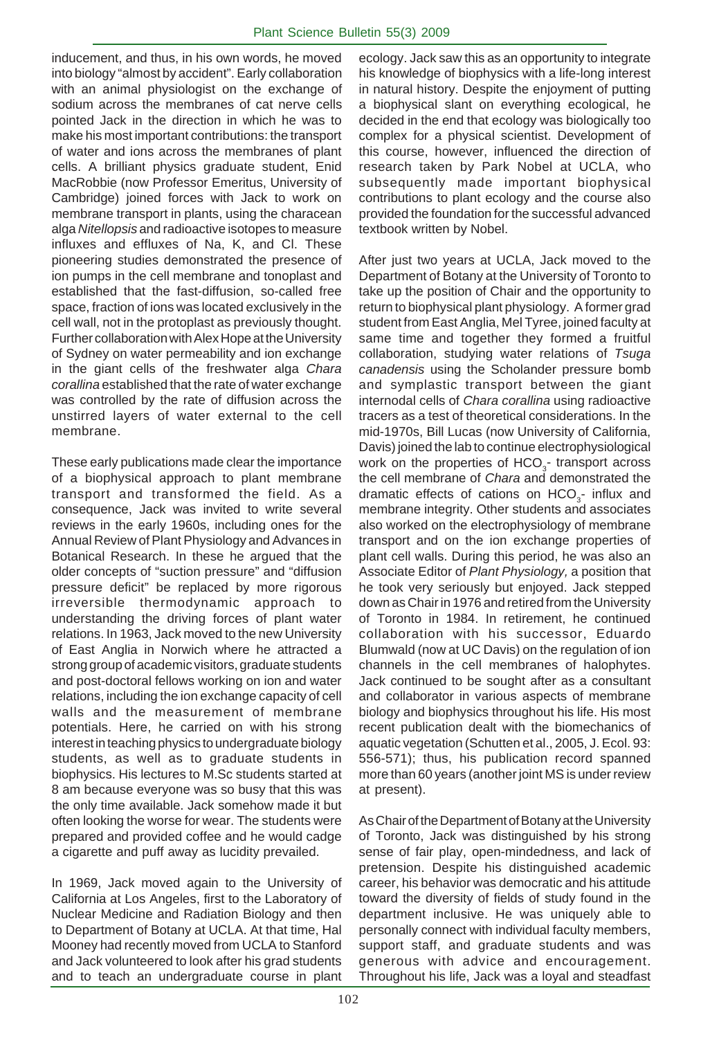inducement, and thus, in his own words, he moved into biology "almost by accident". Early collaboration with an animal physiologist on the exchange of sodium across the membranes of cat nerve cells pointed Jack in the direction in which he was to make his most important contributions: the transport of water and ions across the membranes of plant cells. A brilliant physics graduate student, Enid MacRobbie (now Professor Emeritus, University of Cambridge) joined forces with Jack to work on membrane transport in plants, using the characean alga *Nitellopsis* and radioactive isotopes to measure influxes and effluxes of Na, K, and Cl. These pioneering studies demonstrated the presence of ion pumps in the cell membrane and tonoplast and established that the fast-diffusion, so-called free space, fraction of ions was located exclusively in the cell wall, not in the protoplast as previously thought. Further collaboration with Alex Hope at the University of Sydney on water permeability and ion exchange in the giant cells of the freshwater alga *Chara corallina* established that the rate of water exchange was controlled by the rate of diffusion across the unstirred layers of water external to the cell membrane.

These early publications made clear the importance of a biophysical approach to plant membrane transport and transformed the field. As a consequence, Jack was invited to write several reviews in the early 1960s, including ones for the Annual Review of Plant Physiology and Advances in Botanical Research. In these he argued that the older concepts of "suction pressure" and "diffusion pressure deficit" be replaced by more rigorous irreversible thermodynamic approach to understanding the driving forces of plant water relations. In 1963, Jack moved to the new University of East Anglia in Norwich where he attracted a strong group of academic visitors, graduate students and post-doctoral fellows working on ion and water relations, including the ion exchange capacity of cell walls and the measurement of membrane potentials. Here, he carried on with his strong interest in teaching physics to undergraduate biology students, as well as to graduate students in biophysics. His lectures to M.Sc students started at 8 am because everyone was so busy that this was the only time available. Jack somehow made it but often looking the worse for wear. The students were prepared and provided coffee and he would cadge a cigarette and puff away as lucidity prevailed.

In 1969, Jack moved again to the University of California at Los Angeles, first to the Laboratory of Nuclear Medicine and Radiation Biology and then to Department of Botany at UCLA. At that time, Hal Mooney had recently moved from UCLA to Stanford and Jack volunteered to look after his grad students and to teach an undergraduate course in plant ecology. Jack saw this as an opportunity to integrate his knowledge of biophysics with a life-long interest in natural history. Despite the enjoyment of putting a biophysical slant on everything ecological, he decided in the end that ecology was biologically too complex for a physical scientist. Development of this course, however, influenced the direction of research taken by Park Nobel at UCLA, who subsequently made important biophysical contributions to plant ecology and the course also provided the foundation for the successful advanced textbook written by Nobel.

After just two years at UCLA, Jack moved to the Department of Botany at the University of Toronto to take up the position of Chair and the opportunity to return to biophysical plant physiology. A former grad student from East Anglia, Mel Tyree, joined faculty at same time and together they formed a fruitful collaboration, studying water relations of *Tsuga canadensis* using the Scholander pressure bomb and symplastic transport between the giant internodal cells of *Chara corallina* using radioactive tracers as a test of theoretical considerations. In the mid-1970s, Bill Lucas (now University of California, Davis) joined the lab to continue electrophysiological work on the properties of  $HCO<sub>3</sub>$ - transport across the cell membrane of *Chara* and demonstrated the dramatic effects of cations on  $HCO<sub>3</sub>-$  influx and membrane integrity. Other students and associates also worked on the electrophysiology of membrane transport and on the ion exchange properties of plant cell walls. During this period, he was also an Associate Editor of *Plant Physiology,* a position that he took very seriously but enjoyed. Jack stepped down as Chair in 1976 and retired from the University of Toronto in 1984. In retirement, he continued collaboration with his successor, Eduardo Blumwald (now at UC Davis) on the regulation of ion channels in the cell membranes of halophytes. Jack continued to be sought after as a consultant and collaborator in various aspects of membrane biology and biophysics throughout his life. His most recent publication dealt with the biomechanics of aquatic vegetation (Schutten et al., 2005, J. Ecol. 93: 556-571); thus, his publication record spanned more than 60 years (another joint MS is under review at present).

As Chair of the Department of Botany at the University of Toronto, Jack was distinguished by his strong sense of fair play, open-mindedness, and lack of pretension. Despite his distinguished academic career, his behavior was democratic and his attitude toward the diversity of fields of study found in the department inclusive. He was uniquely able to personally connect with individual faculty members, support staff, and graduate students and was generous with advice and encouragement. Throughout his life, Jack was a loyal and steadfast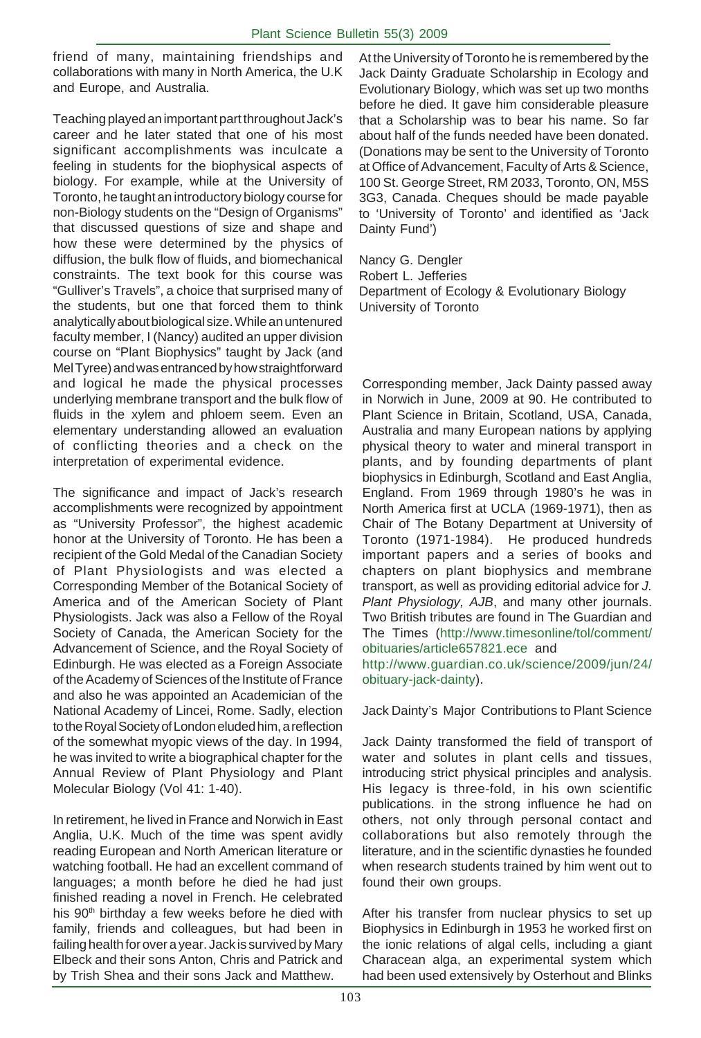friend of many, maintaining friendships and collaborations with many in North America, the U.K and Europe, and Australia.

Teaching played an important part throughout Jack's career and he later stated that one of his most significant accomplishments was inculcate a feeling in students for the biophysical aspects of biology. For example, while at the University of Toronto, he taught an introductory biology course for non-Biology students on the "Design of Organisms" that discussed questions of size and shape and how these were determined by the physics of diffusion, the bulk flow of fluids, and biomechanical constraints. The text book for this course was "Gulliver's Travels", a choice that surprised many of the students, but one that forced them to think analytically about biological size. While an untenured faculty member, I (Nancy) audited an upper division course on "Plant Biophysics" taught by Jack (and Mel Tyree) and was entranced by how straightforward and logical he made the physical processes underlying membrane transport and the bulk flow of fluids in the xylem and phloem seem. Even an elementary understanding allowed an evaluation of conflicting theories and a check on the interpretation of experimental evidence.

The significance and impact of Jack's research accomplishments were recognized by appointment as "University Professor", the highest academic honor at the University of Toronto. He has been a recipient of the Gold Medal of the Canadian Society of Plant Physiologists and was elected a Corresponding Member of the Botanical Society of America and of the American Society of Plant Physiologists. Jack was also a Fellow of the Royal Society of Canada, the American Society for the Advancement of Science, and the Royal Society of Edinburgh. He was elected as a Foreign Associate of the Academy of Sciences of the Institute of France and also he was appointed an Academician of the National Academy of Lincei, Rome. Sadly, election to the Royal Society of London eluded him, a reflection of the somewhat myopic views of the day. In 1994, he was invited to write a biographical chapter for the Annual Review of Plant Physiology and Plant Molecular Biology (Vol 41: 1-40).

In retirement, he lived in France and Norwich in East Anglia, U.K. Much of the time was spent avidly reading European and North American literature or watching football. He had an excellent command of languages; a month before he died he had just finished reading a novel in French. He celebrated his  $90<sup>th</sup>$  birthday a few weeks before he died with family, friends and colleagues, but had been in failing health for over a year. Jack is survived by Mary Elbeck and their sons Anton, Chris and Patrick and by Trish Shea and their sons Jack and Matthew.

At the University of Toronto he is remembered by the Jack Dainty Graduate Scholarship in Ecology and Evolutionary Biology, which was set up two months before he died. It gave him considerable pleasure that a Scholarship was to bear his name. So far about half of the funds needed have been donated. (Donations may be sent to the University of Toronto at Office of Advancement, Faculty of Arts & Science, 100 St. George Street, RM 2033, Toronto, ON, M5S 3G3, Canada. Cheques should be made payable to 'University of Toronto' and identified as 'Jack Dainty Fund')

Nancy G. Dengler Robert L. Jefferies Department of Ecology & Evolutionary Biology University of Toronto

Corresponding member, Jack Dainty passed away in Norwich in June, 2009 at 90. He contributed to Plant Science in Britain, Scotland, USA, Canada, Australia and many European nations by applying physical theory to water and mineral transport in plants, and by founding departments of plant biophysics in Edinburgh, Scotland and East Anglia, England. From 1969 through 1980's he was in North America first at UCLA (1969-1971), then as Chair of The Botany Department at University of Toronto (1971-1984). He produced hundreds important papers and a series of books and chapters on plant biophysics and membrane transport, as well as providing editorial advice for *J. Plant Physiology, AJB*, and many other journals. Two British tributes are found in The Guardian and The Times (http://www.timesonline/tol/comment/ obituaries/article657821.ece and http://www.guardian.co.uk/science/2009/jun/24/ obituary-jack-dainty).

#### Jack Dainty's Major Contributions to Plant Science

Jack Dainty transformed the field of transport of water and solutes in plant cells and tissues, introducing strict physical principles and analysis. His legacy is three-fold, in his own scientific publications. in the strong influence he had on others, not only through personal contact and collaborations but also remotely through the literature, and in the scientific dynasties he founded when research students trained by him went out to found their own groups.

After his transfer from nuclear physics to set up Biophysics in Edinburgh in 1953 he worked first on the ionic relations of algal cells, including a giant Characean alga, an experimental system which had been used extensively by Osterhout and Blinks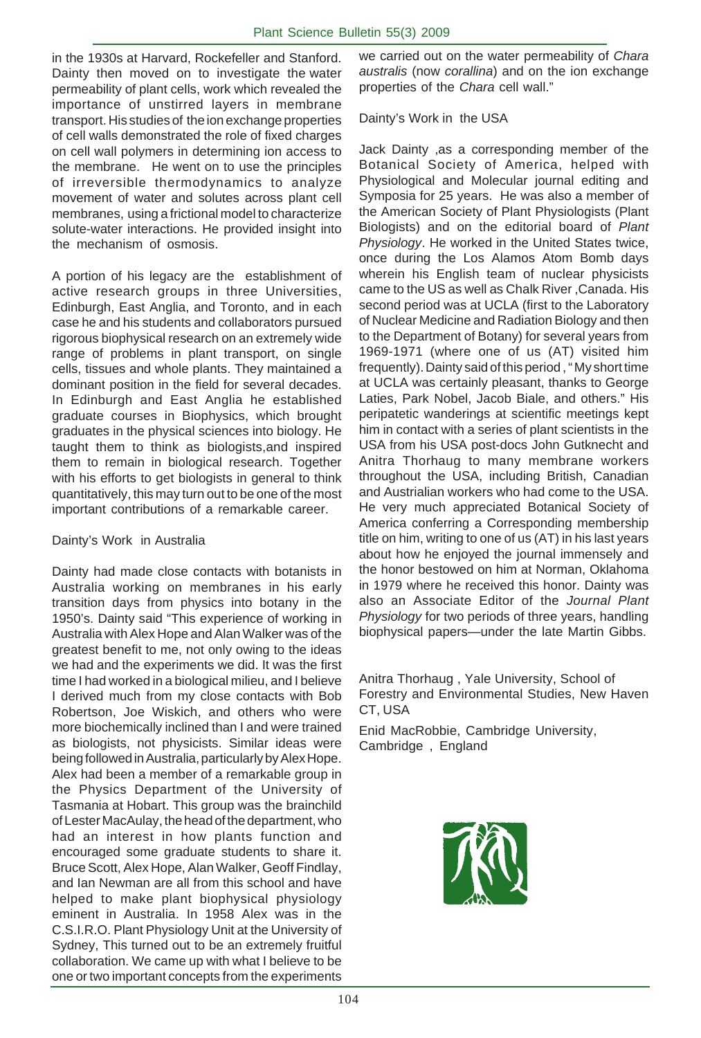in the 1930s at Harvard, Rockefeller and Stanford. Dainty then moved on to investigate the water permeability of plant cells, work which revealed the importance of unstirred layers in membrane transport. His studies of the ion exchange properties of cell walls demonstrated the role of fixed charges on cell wall polymers in determining ion access to the membrane. He went on to use the principles of irreversible thermodynamics to analyze movement of water and solutes across plant cell membranes, using a frictional model to characterize solute-water interactions. He provided insight into the mechanism of osmosis.

A portion of his legacy are the establishment of active research groups in three Universities, Edinburgh, East Anglia, and Toronto, and in each case he and his students and collaborators pursued rigorous biophysical research on an extremely wide range of problems in plant transport, on single cells, tissues and whole plants. They maintained a dominant position in the field for several decades. In Edinburgh and East Anglia he established graduate courses in Biophysics, which brought graduates in the physical sciences into biology. He taught them to think as biologists,and inspired them to remain in biological research. Together with his efforts to get biologists in general to think quantitatively, this may turn out to be one of the most important contributions of a remarkable career.

#### Dainty's Work in Australia

Dainty had made close contacts with botanists in Australia working on membranes in his early transition days from physics into botany in the 1950's. Dainty said "This experience of working in Australia with Alex Hope and Alan Walker was of the greatest benefit to me, not only owing to the ideas we had and the experiments we did. It was the first time I had worked in a biological milieu, and I believe I derived much from my close contacts with Bob Robertson, Joe Wiskich, and others who were more biochemically inclined than I and were trained as biologists, not physicists. Similar ideas were being followed in Australia, particularly by Alex Hope. Alex had been a member of a remarkable group in the Physics Department of the University of Tasmania at Hobart. This group was the brainchild of Lester MacAulay, the head of the department, who had an interest in how plants function and encouraged some graduate students to share it. Bruce Scott, Alex Hope, Alan Walker, Geoff Findlay, and Ian Newman are all from this school and have helped to make plant biophysical physiology eminent in Australia. In 1958 Alex was in the C.S.I.R.O. Plant Physiology Unit at the University of Sydney, This turned out to be an extremely fruitful collaboration. We came up with what I believe to be one or two important concepts from the experiments we carried out on the water permeability of *Chara australis* (now *corallina*) and on the ion exchange properties of the *Chara* cell wall."

#### Dainty's Work in the USA

Jack Dainty ,as a corresponding member of the Botanical Society of America, helped with Physiological and Molecular journal editing and Symposia for 25 years. He was also a member of the American Society of Plant Physiologists (Plant Biologists) and on the editorial board of *Plant Physiology*. He worked in the United States twice, once during the Los Alamos Atom Bomb days wherein his English team of nuclear physicists came to the US as well as Chalk River ,Canada. His second period was at UCLA (first to the Laboratory of Nuclear Medicine and Radiation Biology and then to the Department of Botany) for several years from 1969-1971 (where one of us (AT) visited him frequently). Dainty said of this period , " My short time at UCLA was certainly pleasant, thanks to George Laties, Park Nobel, Jacob Biale, and others." His peripatetic wanderings at scientific meetings kept him in contact with a series of plant scientists in the USA from his USA post-docs John Gutknecht and Anitra Thorhaug to many membrane workers throughout the USA, including British, Canadian and Austrialian workers who had come to the USA. He very much appreciated Botanical Society of America conferring a Corresponding membership title on him, writing to one of us (AT) in his last years about how he enjoyed the journal immensely and the honor bestowed on him at Norman, Oklahoma in 1979 where he received this honor. Dainty was also an Associate Editor of the *Journal Plant Physiology* for two periods of three years, handling biophysical papers—under the late Martin Gibbs.

Anitra Thorhaug , Yale University, School of Forestry and Environmental Studies, New Haven CT, USA

Enid MacRobbie, Cambridge University, Cambridge , England

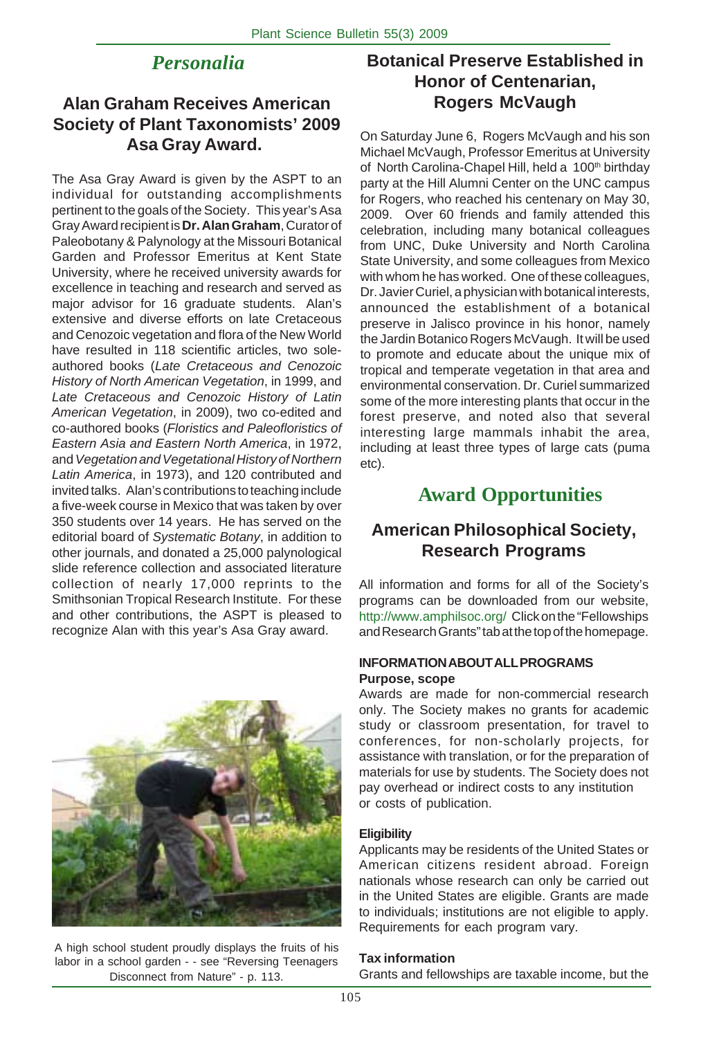# *Personalia*

# **Alan Graham Receives American Society of Plant Taxonomists' 2009 Asa Gray Award.**

The Asa Gray Award is given by the ASPT to an individual for outstanding accomplishments pertinent to the goals of the Society. This year's Asa Gray Award recipient is **Dr. Alan Graham**, Curator of Paleobotany & Palynology at the Missouri Botanical Garden and Professor Emeritus at Kent State University, where he received university awards for excellence in teaching and research and served as major advisor for 16 graduate students. Alan's extensive and diverse efforts on late Cretaceous and Cenozoic vegetation and flora of the New World have resulted in 118 scientific articles, two soleauthored books (*Late Cretaceous and Cenozoic History of North American Vegetation*, in 1999, and *Late Cretaceous and Cenozoic History of Latin American Vegetation*, in 2009), two co-edited and co-authored books (*Floristics and Paleofloristics of Eastern Asia and Eastern North America*, in 1972, and *Vegetation and Vegetational History of Northern Latin America*, in 1973), and 120 contributed and invited talks. Alan's contributions to teaching include a five-week course in Mexico that was taken by over 350 students over 14 years. He has served on the editorial board of *Systematic Botany*, in addition to other journals, and donated a 25,000 palynological slide reference collection and associated literature collection of nearly 17,000 reprints to the Smithsonian Tropical Research Institute. For these and other contributions, the ASPT is pleased to recognize Alan with this year's Asa Gray award.



A high school student proudly displays the fruits of his labor in a school garden - - see "Reversing Teenagers Disconnect from Nature" - p. 113.

# **Botanical Preserve Established in Honor of Centenarian, Rogers McVaugh**

On Saturday June 6, Rogers McVaugh and his son Michael McVaugh, Professor Emeritus at University of North Carolina-Chapel Hill, held a 100<sup>th</sup> birthday party at the Hill Alumni Center on the UNC campus for Rogers, who reached his centenary on May 30, 2009. Over 60 friends and family attended this celebration, including many botanical colleagues from UNC, Duke University and North Carolina State University, and some colleagues from Mexico with whom he has worked. One of these colleagues, Dr. Javier Curiel, a physician with botanical interests, announced the establishment of a botanical preserve in Jalisco province in his honor, namely the Jardin Botanico Rogers McVaugh. It will be used to promote and educate about the unique mix of tropical and temperate vegetation in that area and environmental conservation. Dr. Curiel summarized some of the more interesting plants that occur in the forest preserve, and noted also that several interesting large mammals inhabit the area, including at least three types of large cats (puma etc).

# **Award Opportunities**

# **American Philosophical Society, Research Programs**

All information and forms for all of the Society's programs can be downloaded from our website, http://www.amphilsoc.org/ Click on the "Fellowships and Research Grants" tab at the top of the homepage.

#### **INFORMATION ABOUT ALL PROGRAMS Purpose, scope**

Awards are made for non-commercial research only. The Society makes no grants for academic study or classroom presentation, for travel to conferences, for non-scholarly projects, for assistance with translation, or for the preparation of materials for use by students. The Society does not pay overhead or indirect costs to any institution or costs of publication.

#### **Eligibility**

Applicants may be residents of the United States or American citizens resident abroad. Foreign nationals whose research can only be carried out in the United States are eligible. Grants are made to individuals; institutions are not eligible to apply. Requirements for each program vary.

#### **Tax information**

Grants and fellowships are taxable income, but the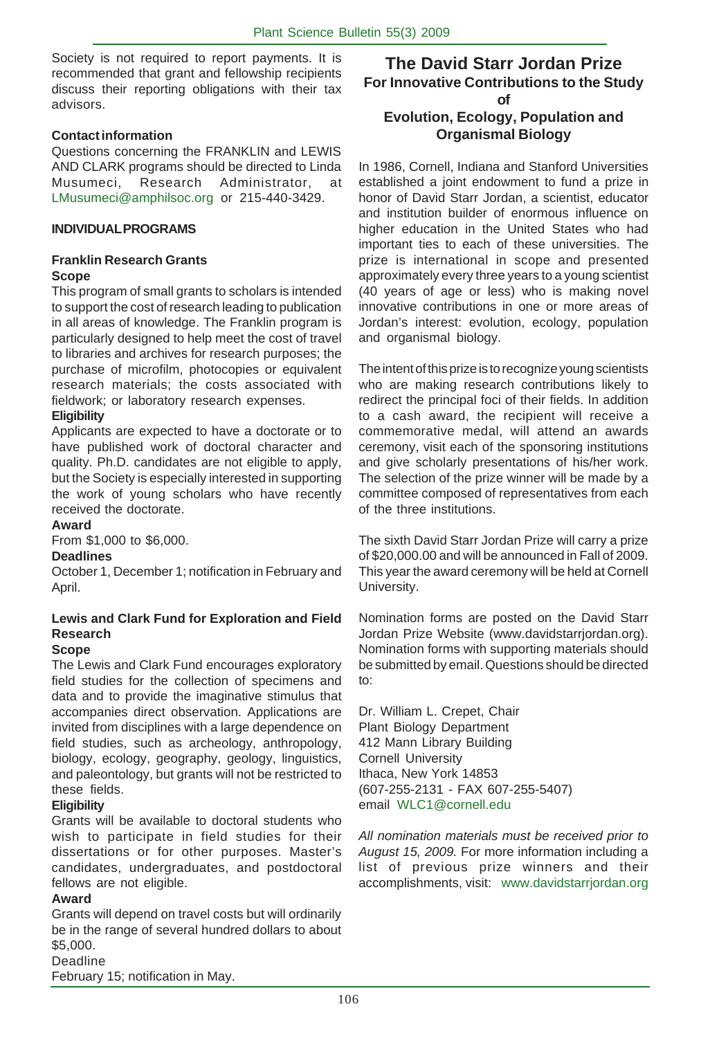Society is not required to report payments. It is recommended that grant and fellowship recipients discuss their reporting obligations with their tax advisors.

#### **Contact information**

Questions concerning the FRANKLIN and LEWIS AND CLARK programs should be directed to Linda Musumeci, Research Administrator, at LMusumeci@amphilsoc.org or 215-440-3429.

#### **INDIVIDUAL PROGRAMS**

#### **Franklin Research Grants Scope**

This program of small grants to scholars is intended to support the cost of research leading to publication in all areas of knowledge. The Franklin program is particularly designed to help meet the cost of travel to libraries and archives for research purposes; the purchase of microfilm, photocopies or equivalent research materials; the costs associated with fieldwork; or laboratory research expenses.

#### **Eligibility**

Applicants are expected to have a doctorate or to have published work of doctoral character and quality. Ph.D. candidates are not eligible to apply, but the Society is especially interested in supporting the work of young scholars who have recently received the doctorate.

#### **Award**

From \$1,000 to \$6,000.

#### **Deadlines**

October 1, December 1; notification in February and April.

#### **Lewis and Clark Fund for Exploration and Field Research**

#### **Scope**

The Lewis and Clark Fund encourages exploratory field studies for the collection of specimens and data and to provide the imaginative stimulus that accompanies direct observation. Applications are invited from disciplines with a large dependence on field studies, such as archeology, anthropology, biology, ecology, geography, geology, linguistics, and paleontology, but grants will not be restricted to these fields.

#### **Eligibility**

Grants will be available to doctoral students who wish to participate in field studies for their dissertations or for other purposes. Master's candidates, undergraduates, and postdoctoral fellows are not eligible.

#### **Award**

Grants will depend on travel costs but will ordinarily be in the range of several hundred dollars to about \$5,000.

#### Deadline

February 15; notification in May.

#### **The David Starr Jordan Prize For Innovative Contributions to the Study of**

## **Evolution, Ecology, Population and Organismal Biology**

In 1986, Cornell, Indiana and Stanford Universities established a joint endowment to fund a prize in honor of David Starr Jordan, a scientist, educator and institution builder of enormous influence on higher education in the United States who had important ties to each of these universities. The prize is international in scope and presented approximately every three years to a young scientist (40 years of age or less) who is making novel innovative contributions in one or more areas of Jordan's interest: evolution, ecology, population and organismal biology.

The intent of this prize is to recognize young scientists who are making research contributions likely to redirect the principal foci of their fields. In addition to a cash award, the recipient will receive a commemorative medal, will attend an awards ceremony, visit each of the sponsoring institutions and give scholarly presentations of his/her work. The selection of the prize winner will be made by a committee composed of representatives from each of the three institutions.

The sixth David Starr Jordan Prize will carry a prize of \$20,000.00 and will be announced in Fall of 2009. This year the award ceremony will be held at Cornell University.

Nomination forms are posted on the David Starr Jordan Prize Website (www.davidstarrjordan.org). Nomination forms with supporting materials should be submitted by email. Questions should be directed to:

Dr. William L. Crepet, Chair Plant Biology Department 412 Mann Library Building Cornell University Ithaca, New York 14853 (607-255-2131 - FAX 607-255-5407) email WLC1@cornell.edu

*All nomination materials must be received prior to August 15, 2009.* For more information including a list of previous prize winners and their accomplishments, visit: www.davidstarrjordan.org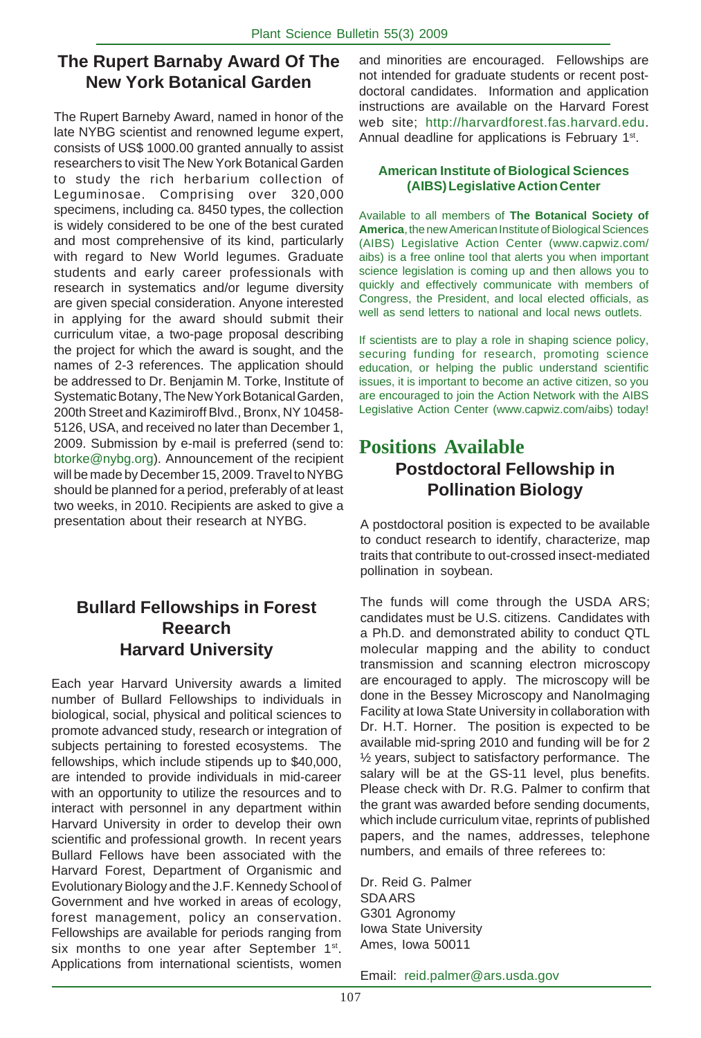# **The Rupert Barnaby Award Of The New York Botanical Garden**

The Rupert Barneby Award, named in honor of the late NYBG scientist and renowned legume expert, consists of US\$ 1000.00 granted annually to assist researchers to visit The New York Botanical Garden to study the rich herbarium collection of Leguminosae. Comprising over 320,000 specimens, including ca. 8450 types, the collection is widely considered to be one of the best curated and most comprehensive of its kind, particularly with regard to New World legumes. Graduate students and early career professionals with research in systematics and/or legume diversity are given special consideration. Anyone interested in applying for the award should submit their curriculum vitae, a two-page proposal describing the project for which the award is sought, and the names of 2-3 references. The application should be addressed to Dr. Benjamin M. Torke, Institute of Systematic Botany, The New York Botanical Garden, 200th Street and Kazimiroff Blvd., Bronx, NY 10458- 5126, USA, and received no later than December 1, 2009. Submission by e-mail is preferred (send to: btorke@nybg.org). Announcement of the recipient will be made by December 15, 2009. Travel to NYBG should be planned for a period, preferably of at least two weeks, in 2010. Recipients are asked to give a presentation about their research at NYBG.

# **Bullard Fellowships in Forest Reearch Harvard University**

Each year Harvard University awards a limited number of Bullard Fellowships to individuals in biological, social, physical and political sciences to promote advanced study, research or integration of subjects pertaining to forested ecosystems. The fellowships, which include stipends up to \$40,000, are intended to provide individuals in mid-career with an opportunity to utilize the resources and to interact with personnel in any department within Harvard University in order to develop their own scientific and professional growth. In recent years Bullard Fellows have been associated with the Harvard Forest, Department of Organismic and Evolutionary Biology and the J.F. Kennedy School of Government and hve worked in areas of ecology, forest management, policy an conservation. Fellowships are available for periods ranging from six months to one year after September 1<sup>st</sup>. Applications from international scientists, women and minorities are encouraged. Fellowships are not intended for graduate students or recent postdoctoral candidates. Information and application instructions are available on the Harvard Forest web site; http://harvardforest.fas.harvard.edu. Annual deadline for applications is February 1<sup>st</sup>.

#### **American Institute of Biological Sciences (AIBS) Legislative Action Center**

Available to all members of **The Botanical Society of America**, the new American Institute of Biological Sciences (AIBS) Legislative Action Center (www.capwiz.com/ aibs) is a free online tool that alerts you when important science legislation is coming up and then allows you to quickly and effectively communicate with members of Congress, the President, and local elected officials, as well as send letters to national and local news outlets.

If scientists are to play a role in shaping science policy, securing funding for research, promoting science education, or helping the public understand scientific issues, it is important to become an active citizen, so you are encouraged to join the Action Network with the AIBS Legislative Action Center (www.capwiz.com/aibs) today!

# **Positions Available Postdoctoral Fellowship in Pollination Biology**

A postdoctoral position is expected to be available to conduct research to identify, characterize, map traits that contribute to out-crossed insect-mediated pollination in soybean.

The funds will come through the USDA ARS; candidates must be U.S. citizens. Candidates with a Ph.D. and demonstrated ability to conduct QTL molecular mapping and the ability to conduct transmission and scanning electron microscopy are encouraged to apply. The microscopy will be done in the Bessey Microscopy and NanoImaging Facility at Iowa State University in collaboration with Dr. H.T. Horner. The position is expected to be available mid-spring 2010 and funding will be for 2 ½ years, subject to satisfactory performance. The salary will be at the GS-11 level, plus benefits. Please check with Dr. R.G. Palmer to confirm that the grant was awarded before sending documents, which include curriculum vitae, reprints of published papers, and the names, addresses, telephone numbers, and emails of three referees to:

Dr. Reid G. Palmer SDA ARS G301 Agronomy Iowa State University Ames, Iowa 50011

Email: reid.palmer@ars.usda.gov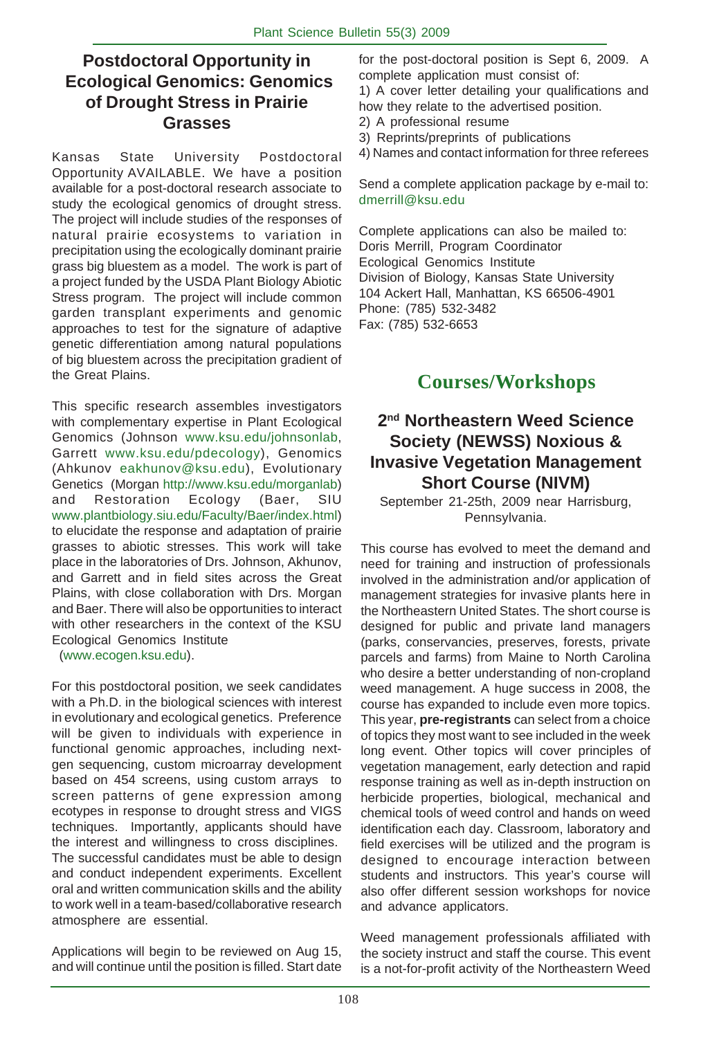# **Postdoctoral Opportunity in Ecological Genomics: Genomics of Drought Stress in Prairie Grasses**

Kansas State University Postdoctoral Opportunity AVAILABLE. We have a position available for a post-doctoral research associate to study the ecological genomics of drought stress. The project will include studies of the responses of natural prairie ecosystems to variation in precipitation using the ecologically dominant prairie grass big bluestem as a model. The work is part of a project funded by the USDA Plant Biology Abiotic Stress program. The project will include common garden transplant experiments and genomic approaches to test for the signature of adaptive genetic differentiation among natural populations of big bluestem across the precipitation gradient of the Great Plains.

This specific research assembles investigators with complementary expertise in Plant Ecological Genomics (Johnson www.ksu.edu/johnsonlab, Garrett www.ksu.edu/pdecology), Genomics (Ahkunov eakhunov@ksu.edu), Evolutionary Genetics (Morgan http://www.ksu.edu/morganlab) and Restoration Ecology (Baer, SIU www.plantbiology.siu.edu/Faculty/Baer/index.html) to elucidate the response and adaptation of prairie grasses to abiotic stresses. This work will take place in the laboratories of Drs. Johnson, Akhunov, and Garrett and in field sites across the Great Plains, with close collaboration with Drs. Morgan and Baer. There will also be opportunities to interact with other researchers in the context of the KSU Ecological Genomics Institute

(www.ecogen.ksu.edu).

For this postdoctoral position, we seek candidates with a Ph.D. in the biological sciences with interest in evolutionary and ecological genetics. Preference will be given to individuals with experience in functional genomic approaches, including nextgen sequencing, custom microarray development based on 454 screens, using custom arrays to screen patterns of gene expression among ecotypes in response to drought stress and VIGS techniques. Importantly, applicants should have the interest and willingness to cross disciplines. The successful candidates must be able to design and conduct independent experiments. Excellent oral and written communication skills and the ability to work well in a team-based/collaborative research atmosphere are essential.

Applications will begin to be reviewed on Aug 15, and will continue until the position is filled. Start date for the post-doctoral position is Sept 6, 2009. A complete application must consist of:

1) A cover letter detailing your qualifications and how they relate to the advertised position.

2) A professional resume

3) Reprints/preprints of publications

4) Names and contact information for three referees

Send a complete application package by e-mail to: dmerrill@ksu.edu

Complete applications can also be mailed to: Doris Merrill, Program Coordinator Ecological Genomics Institute Division of Biology, Kansas State University 104 Ackert Hall, Manhattan, KS 66506-4901 Phone: (785) 532-3482 Fax: (785) 532-6653

# **Courses/Workshops**

# **2nd Northeastern Weed Science Society (NEWSS) Noxious & Invasive Vegetation Management Short Course (NIVM)**

September 21-25th, 2009 near Harrisburg, Pennsylvania.

This course has evolved to meet the demand and need for training and instruction of professionals involved in the administration and/or application of management strategies for invasive plants here in the Northeastern United States. The short course is designed for public and private land managers (parks, conservancies, preserves, forests, private parcels and farms) from Maine to North Carolina who desire a better understanding of non-cropland weed management. A huge success in 2008, the course has expanded to include even more topics. This year, **pre-registrants** can select from a choice of topics they most want to see included in the week long event. Other topics will cover principles of vegetation management, early detection and rapid response training as well as in-depth instruction on herbicide properties, biological, mechanical and chemical tools of weed control and hands on weed identification each day. Classroom, laboratory and field exercises will be utilized and the program is designed to encourage interaction between students and instructors. This year's course will also offer different session workshops for novice and advance applicators.

Weed management professionals affiliated with the society instruct and staff the course. This event is a not-for-profit activity of the Northeastern Weed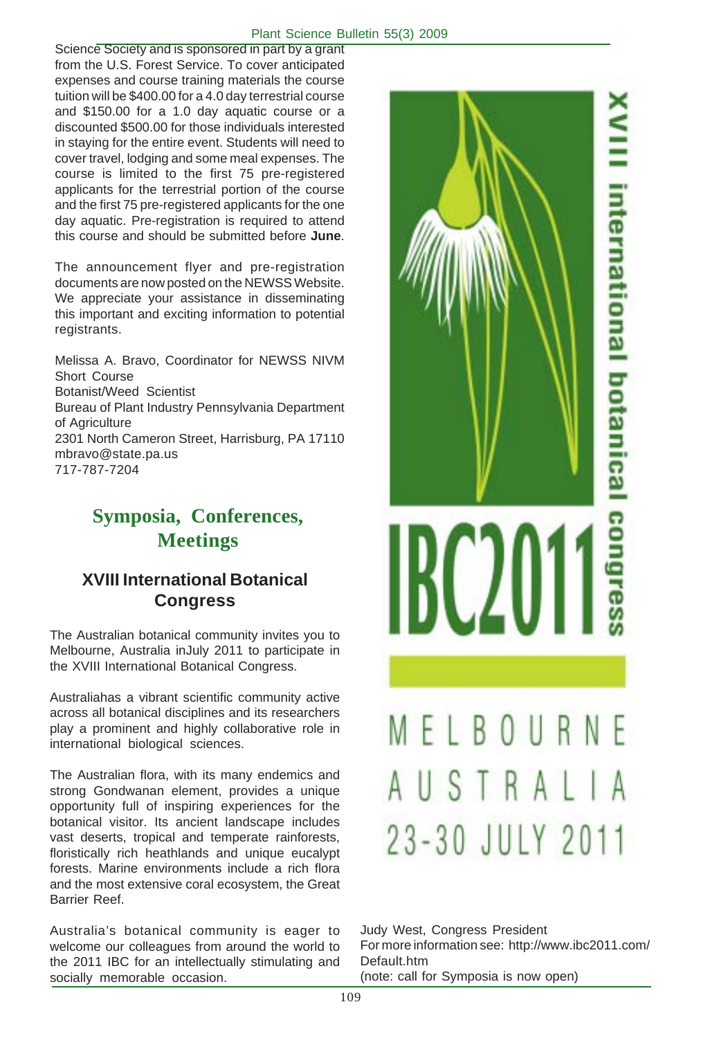#### Plant Science Bulletin 55(3) 2009

Science Society and is sponsored in part by a grant from the U.S. Forest Service. To cover anticipated expenses and course training materials the course tuition will be \$400.00 for a 4.0 day terrestrial course and \$150.00 for a 1.0 day aquatic course or a discounted \$500.00 for those individuals interested in staying for the entire event. Students will need to cover travel, lodging and some meal expenses. The course is limited to the first 75 pre-registered applicants for the terrestrial portion of the course and the first 75 pre-registered applicants for the one day aquatic. Pre-registration is required to attend this course and should be submitted before **June**.

The announcement flyer and pre-registration documents are now posted on the NEWSS Website. We appreciate your assistance in disseminating this important and exciting information to potential registrants.

Melissa A. Bravo, Coordinator for NEWSS NIVM Short Course Botanist/Weed Scientist Bureau of Plant Industry Pennsylvania Department of Agriculture 2301 North Cameron Street, Harrisburg, PA 17110 mbravo@state.pa.us 717-787-7204

# **Symposia, Conferences, Meetings**

# **XVIII International Botanical Congress**

The Australian botanical community invites you to Melbourne, Australia inJuly 2011 to participate in the XVIII International Botanical Congress.

Australiahas a vibrant scientific community active across all botanical disciplines and its researchers play a prominent and highly collaborative role in international biological sciences.

The Australian flora, with its many endemics and strong Gondwanan element, provides a unique opportunity full of inspiring experiences for the botanical visitor. Its ancient landscape includes vast deserts, tropical and temperate rainforests, floristically rich heathlands and unique eucalypt forests. Marine environments include a rich flora and the most extensive coral ecosystem, the Great Barrier Reef.

Australia's botanical community is eager to welcome our colleagues from around the world to the 2011 IBC for an intellectually stimulating and socially memorable occasion.



Judy West, Congress President For more information see: http://www.ibc2011.com/ Default.htm (note: call for Symposia is now open)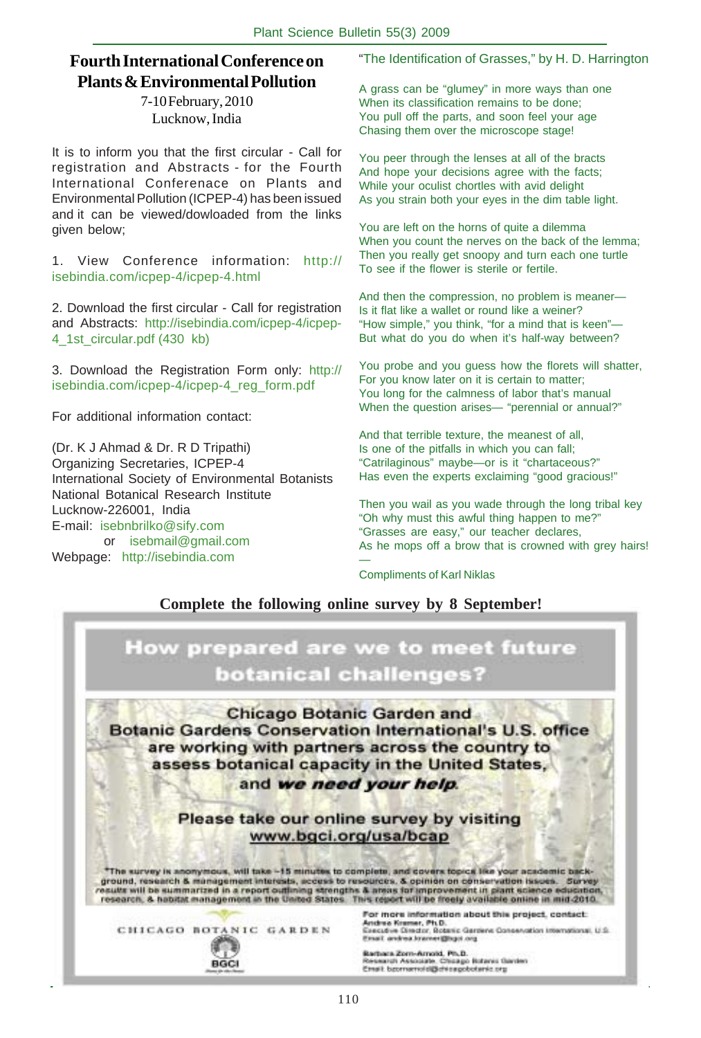# **Fourth International Conference on Plants & Environmental Pollution**

7-10 February, 2010 Lucknow, India

It is to inform you that the first circular - Call for registration and Abstracts - for the Fourth International Conferenace on Plants and Environmental Pollution (ICPEP-4) has been issued and it can be viewed/dowloaded from the links given below;

1. View Conference information: http:// isebindia.com/icpep-4/icpep-4.html

2. Download the first circular - Call for registration and Abstracts: http://isebindia.com/icpep-4/icpep-4\_1st\_circular.pdf (430 kb)

3. Download the Registration Form only: http:// isebindia.com/icpep-4/icpep-4\_reg\_form.pdf

For additional information contact:

(Dr. K J Ahmad & Dr. R D Tripathi) Organizing Secretaries, ICPEP-4 International Society of Environmental Botanists National Botanical Research Institute Lucknow-226001, India E-mail: isebnbrilko@sify.com or isebmail@gmail.com Webpage: http://isebindia.com

"The Identification of Grasses," by H. D. Harrington

A grass can be "glumey" in more ways than one When its classification remains to be done; You pull off the parts, and soon feel your age Chasing them over the microscope stage!

You peer through the lenses at all of the bracts And hope your decisions agree with the facts; While your oculist chortles with avid delight As you strain both your eyes in the dim table light.

You are left on the horns of quite a dilemma When you count the nerves on the back of the lemma; Then you really get snoopy and turn each one turtle To see if the flower is sterile or fertile.

And then the compression, no problem is meaner— Is it flat like a wallet or round like a weiner? "How simple," you think, "for a mind that is keen"— But what do you do when it's half-way between?

You probe and you guess how the florets will shatter, For you know later on it is certain to matter; You long for the calmness of labor that's manual When the question arises— "perennial or annual?"

And that terrible texture, the meanest of all, Is one of the pitfalls in which you can fall; "Catrilaginous" maybe—or is it "chartaceous?" Has even the experts exclaiming "good gracious!"

Then you wail as you wade through the long tribal key "Oh why must this awful thing happen to me?" "Grasses are easy," our teacher declares, As he mops off a brow that is crowned with grey hairs! —

Compliments of Karl Niklas

#### **Complete the following online survey by 8 September!**

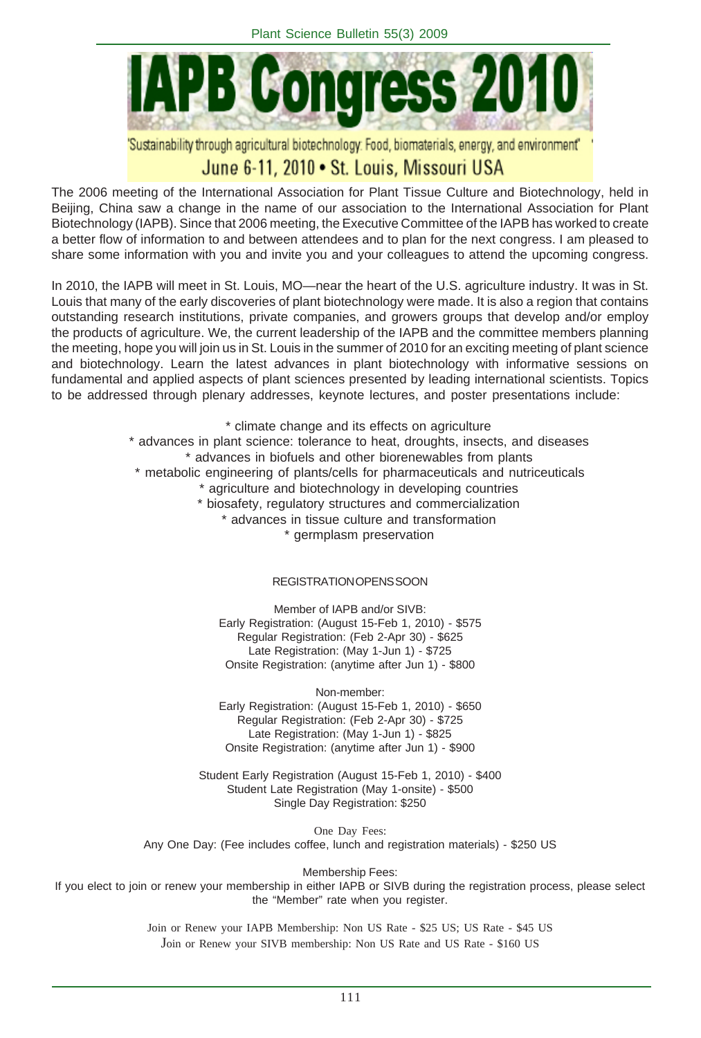

'Sustainability through agricultural biotechnology: Food, biomaterials, energy, and environment"

# June 6-11, 2010 • St. Louis, Missouri USA

The 2006 meeting of the International Association for Plant Tissue Culture and Biotechnology, held in Beijing, China saw a change in the name of our association to the International Association for Plant Biotechnology (IAPB). Since that 2006 meeting, the Executive Committee of the IAPB has worked to create a better flow of information to and between attendees and to plan for the next congress. I am pleased to share some information with you and invite you and your colleagues to attend the upcoming congress.

In 2010, the IAPB will meet in St. Louis, MO—near the heart of the U.S. agriculture industry. It was in St. Louis that many of the early discoveries of plant biotechnology were made. It is also a region that contains outstanding research institutions, private companies, and growers groups that develop and/or employ the products of agriculture. We, the current leadership of the IAPB and the committee members planning the meeting, hope you will join us in St. Louis in the summer of 2010 for an exciting meeting of plant science and biotechnology. Learn the latest advances in plant biotechnology with informative sessions on fundamental and applied aspects of plant sciences presented by leading international scientists. Topics to be addressed through plenary addresses, keynote lectures, and poster presentations include:

> \* climate change and its effects on agriculture \* advances in plant science: tolerance to heat, droughts, insects, and diseases \* advances in biofuels and other biorenewables from plants \* metabolic engineering of plants/cells for pharmaceuticals and nutriceuticals \* agriculture and biotechnology in developing countries \* biosafety, regulatory structures and commercialization \* advances in tissue culture and transformation \* germplasm preservation

#### REGISTRATION OPENS SOON

Member of IAPB and/or SIVB: Early Registration: (August 15-Feb 1, 2010) - \$575 Regular Registration: (Feb 2-Apr 30) - \$625 Late Registration: (May 1-Jun 1) - \$725 Onsite Registration: (anytime after Jun 1) - \$800

Non-member: Early Registration: (August 15-Feb 1, 2010) - \$650 Regular Registration: (Feb 2-Apr 30) - \$725 Late Registration: (May 1-Jun 1) - \$825 Onsite Registration: (anytime after Jun 1) - \$900

Student Early Registration (August 15-Feb 1, 2010) - \$400 Student Late Registration (May 1-onsite) - \$500 Single Day Registration: \$250

One Day Fees: Any One Day: (Fee includes coffee, lunch and registration materials) - \$250 US

Membership Fees: If you elect to join or renew your membership in either IAPB or SIVB during the registration process, please select the "Member" rate when you register.

> Join or Renew your IAPB Membership: Non US Rate - \$25 US; US Rate - \$45 US Join or Renew your SIVB membership: Non US Rate and US Rate - \$160 US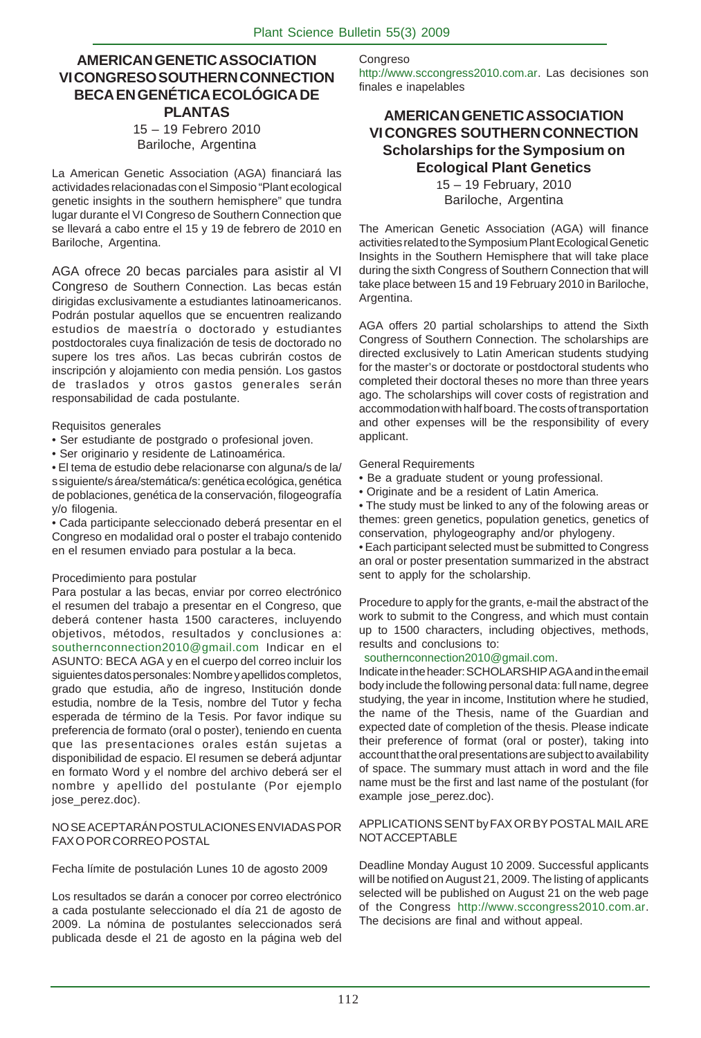#### **AMERICAN GENETIC ASSOCIATION VI CONGRESO SOUTHERN CONNECTION BECA EN GENÉTICA ECOLÓGICA DE PLANTAS** 15 – 19 Febrero 2010

#### Bariloche, Argentina

La American Genetic Association (AGA) financiará las actividades relacionadas con el Simposio "Plant ecological genetic insights in the southern hemisphere" que tundra lugar durante el VI Congreso de Southern Connection que se llevará a cabo entre el 15 y 19 de febrero de 2010 en Bariloche, Argentina.

AGA ofrece 20 becas parciales para asistir al VI Congreso de Southern Connection. Las becas están dirigidas exclusivamente a estudiantes latinoamericanos. Podrán postular aquellos que se encuentren realizando estudios de maestría o doctorado y estudiantes postdoctorales cuya finalización de tesis de doctorado no supere los tres años. Las becas cubrirán costos de inscripción y alojamiento con media pensión. Los gastos de traslados y otros gastos generales serán responsabilidad de cada postulante.

#### Requisitos generales

- Ser estudiante de postgrado o profesional joven.
- Ser originario y residente de Latinoamérica.

• El tema de estudio debe relacionarse con alguna/s de la/ s siguiente/s área/stemática/s: genética ecológica, genética de poblaciones, genética de la conservación, filogeografía y/o filogenia.

• Cada participante seleccionado deberá presentar en el Congreso en modalidad oral o poster el trabajo contenido en el resumen enviado para postular a la beca.

#### Procedimiento para postular

Para postular a las becas, enviar por correo electrónico el resumen del trabajo a presentar en el Congreso, que deberá contener hasta 1500 caracteres, incluyendo objetivos, métodos, resultados y conclusiones a: southernconnection2010@gmail.com Indicar en el ASUNTO: BECA AGA y en el cuerpo del correo incluir los siguientes datos personales: Nombre y apellidos completos, grado que estudia, año de ingreso, Institución donde estudia, nombre de la Tesis, nombre del Tutor y fecha esperada de término de la Tesis. Por favor indique su preferencia de formato (oral o poster), teniendo en cuenta que las presentaciones orales están sujetas a disponibilidad de espacio. El resumen se deberá adjuntar en formato Word y el nombre del archivo deberá ser el nombre y apellido del postulante (Por ejemplo jose\_perez.doc).

#### NO SE ACEPTARÁN POSTULACIONES ENVIADAS POR FAX O POR CORREO POSTAL

#### Fecha límite de postulación Lunes 10 de agosto 2009

Los resultados se darán a conocer por correo electrónico a cada postulante seleccionado el día 21 de agosto de 2009. La nómina de postulantes seleccionados será publicada desde el 21 de agosto en la página web del Congreso

http://www.sccongress2010.com.ar. Las decisiones son finales e inapelables

#### **AMERICAN GENETIC ASSOCIATION VI CONGRES SOUTHERN CONNECTION Scholarships for the Symposium on Ecological Plant Genetics**

15 – 19 February, 2010 Bariloche, Argentina

The American Genetic Association (AGA) will finance activities related to the Symposium Plant Ecological Genetic Insights in the Southern Hemisphere that will take place during the sixth Congress of Southern Connection that will take place between 15 and 19 February 2010 in Bariloche, Argentina.

AGA offers 20 partial scholarships to attend the Sixth Congress of Southern Connection. The scholarships are directed exclusively to Latin American students studying for the master's or doctorate or postdoctoral students who completed their doctoral theses no more than three years ago. The scholarships will cover costs of registration and accommodation with half board. The costs of transportation and other expenses will be the responsibility of every applicant.

#### General Requirements

- Be a graduate student or young professional.
- Originate and be a resident of Latin America.

• The study must be linked to any of the folowing areas or themes: green genetics, population genetics, genetics of conservation, phylogeography and/or phylogeny.

• Each participant selected must be submitted to Congress an oral or poster presentation summarized in the abstract sent to apply for the scholarship.

Procedure to apply for the grants, e-mail the abstract of the work to submit to the Congress, and which must contain up to 1500 characters, including objectives, methods, results and conclusions to:

#### southernconnection2010@gmail.com.

Indicate in the header: SCHOLARSHIP AGA and in the email body include the following personal data: full name, degree studying, the year in income, Institution where he studied, the name of the Thesis, name of the Guardian and expected date of completion of the thesis. Please indicate their preference of format (oral or poster), taking into account that the oral presentations are subject to availability of space. The summary must attach in word and the file name must be the first and last name of the postulant (for example jose perez.doc).

#### APPLICATIONS SENT by FAX OR BY POSTAL MAIL ARE NOT ACCEPTABLE

Deadline Monday August 10 2009. Successful applicants will be notified on August 21, 2009. The listing of applicants selected will be published on August 21 on the web page of the Congress http://www.sccongress2010.com.ar. The decisions are final and without appeal.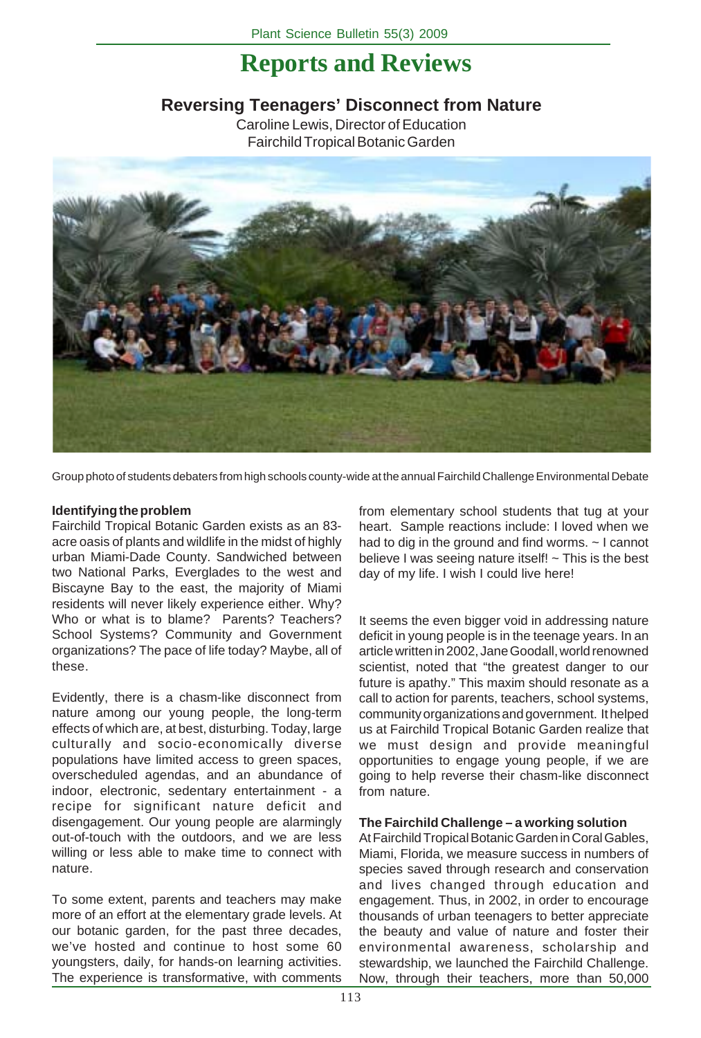# **Reports and Reviews**

# **Reversing Teenagers' Disconnect from Nature**

Caroline Lewis, Director of Education Fairchild Tropical Botanic Garden



Group photo of students debaters from high schools county-wide at the annual Fairchild Challenge Environmental Debate

#### **Identifying the problem**

Fairchild Tropical Botanic Garden exists as an 83 acre oasis of plants and wildlife in the midst of highly urban Miami-Dade County. Sandwiched between two National Parks, Everglades to the west and Biscayne Bay to the east, the majority of Miami residents will never likely experience either. Why? Who or what is to blame? Parents? Teachers? School Systems? Community and Government organizations? The pace of life today? Maybe, all of these.

Evidently, there is a chasm-like disconnect from nature among our young people, the long-term effects of which are, at best, disturbing. Today, large culturally and socio-economically diverse populations have limited access to green spaces, overscheduled agendas, and an abundance of indoor, electronic, sedentary entertainment - a recipe for significant nature deficit and disengagement. Our young people are alarmingly out-of-touch with the outdoors, and we are less willing or less able to make time to connect with nature.

To some extent, parents and teachers may make more of an effort at the elementary grade levels. At our botanic garden, for the past three decades, we've hosted and continue to host some 60 youngsters, daily, for hands-on learning activities. The experience is transformative, with comments from elementary school students that tug at your heart. Sample reactions include: I loved when we had to dig in the ground and find worms. ~ I cannot believe I was seeing nature itself!  $\sim$  This is the best day of my life. I wish I could live here!

It seems the even bigger void in addressing nature deficit in young people is in the teenage years. In an article written in 2002, Jane Goodall, world renowned scientist, noted that "the greatest danger to our future is apathy." This maxim should resonate as a call to action for parents, teachers, school systems, community organizations and government. It helped us at Fairchild Tropical Botanic Garden realize that we must design and provide meaningful opportunities to engage young people, if we are going to help reverse their chasm-like disconnect from nature.

#### **The Fairchild Challenge – a working solution**

At Fairchild Tropical Botanic Garden in Coral Gables, Miami, Florida, we measure success in numbers of species saved through research and conservation and lives changed through education and engagement. Thus, in 2002, in order to encourage thousands of urban teenagers to better appreciate the beauty and value of nature and foster their environmental awareness, scholarship and stewardship, we launched the Fairchild Challenge. Now, through their teachers, more than 50,000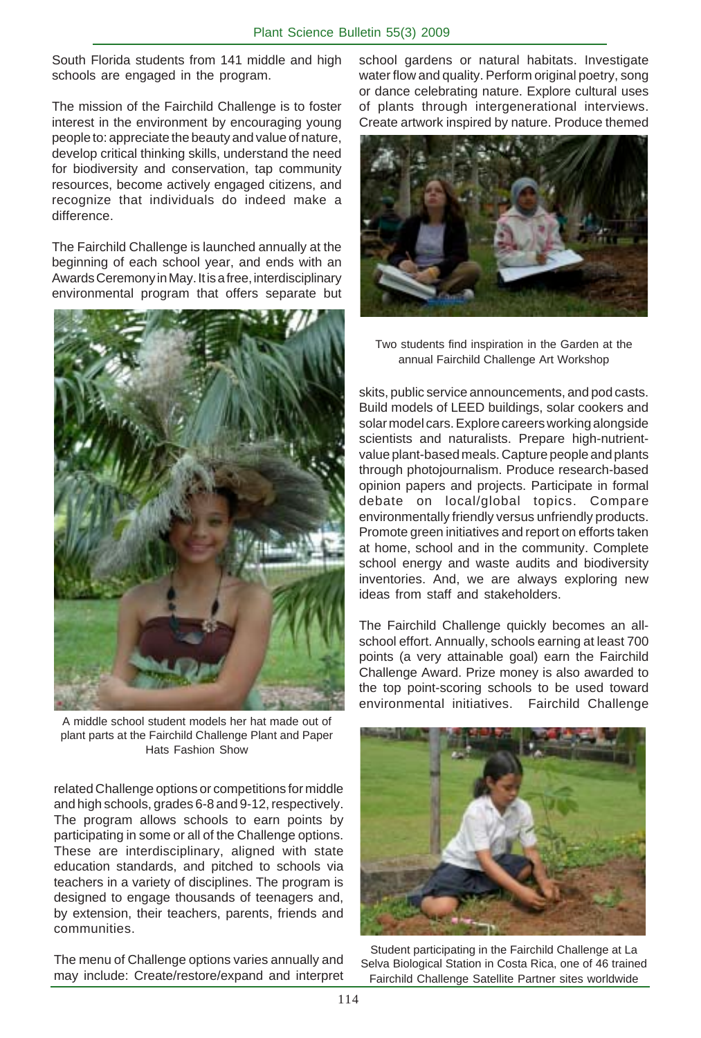South Florida students from 141 middle and high schools are engaged in the program.

The mission of the Fairchild Challenge is to foster interest in the environment by encouraging young people to: appreciate the beauty and value of nature, develop critical thinking skills, understand the need for biodiversity and conservation, tap community resources, become actively engaged citizens, and recognize that individuals do indeed make a difference.

The Fairchild Challenge is launched annually at the beginning of each school year, and ends with an Awards Ceremony in May. It is a free, interdisciplinary environmental program that offers separate but



A middle school student models her hat made out of plant parts at the Fairchild Challenge Plant and Paper Hats Fashion Show

related Challenge options or competitions for middle and high schools, grades 6-8 and 9-12, respectively. The program allows schools to earn points by participating in some or all of the Challenge options. These are interdisciplinary, aligned with state education standards, and pitched to schools via teachers in a variety of disciplines. The program is designed to engage thousands of teenagers and, by extension, their teachers, parents, friends and communities.

The menu of Challenge options varies annually and may include: Create/restore/expand and interpret school gardens or natural habitats. Investigate water flow and quality. Perform original poetry, song or dance celebrating nature. Explore cultural uses of plants through intergenerational interviews. Create artwork inspired by nature. Produce themed



Two students find inspiration in the Garden at the annual Fairchild Challenge Art Workshop

skits, public service announcements, and pod casts. Build models of LEED buildings, solar cookers and solar model cars. Explore careers working alongside scientists and naturalists. Prepare high-nutrientvalue plant-based meals. Capture people and plants through photojournalism. Produce research-based opinion papers and projects. Participate in formal debate on local/global topics. Compare environmentally friendly versus unfriendly products. Promote green initiatives and report on efforts taken at home, school and in the community. Complete school energy and waste audits and biodiversity inventories. And, we are always exploring new ideas from staff and stakeholders.

The Fairchild Challenge quickly becomes an allschool effort. Annually, schools earning at least 700 points (a very attainable goal) earn the Fairchild Challenge Award. Prize money is also awarded to the top point-scoring schools to be used toward environmental initiatives. Fairchild Challenge



Student participating in the Fairchild Challenge at La Selva Biological Station in Costa Rica, one of 46 trained Fairchild Challenge Satellite Partner sites worldwide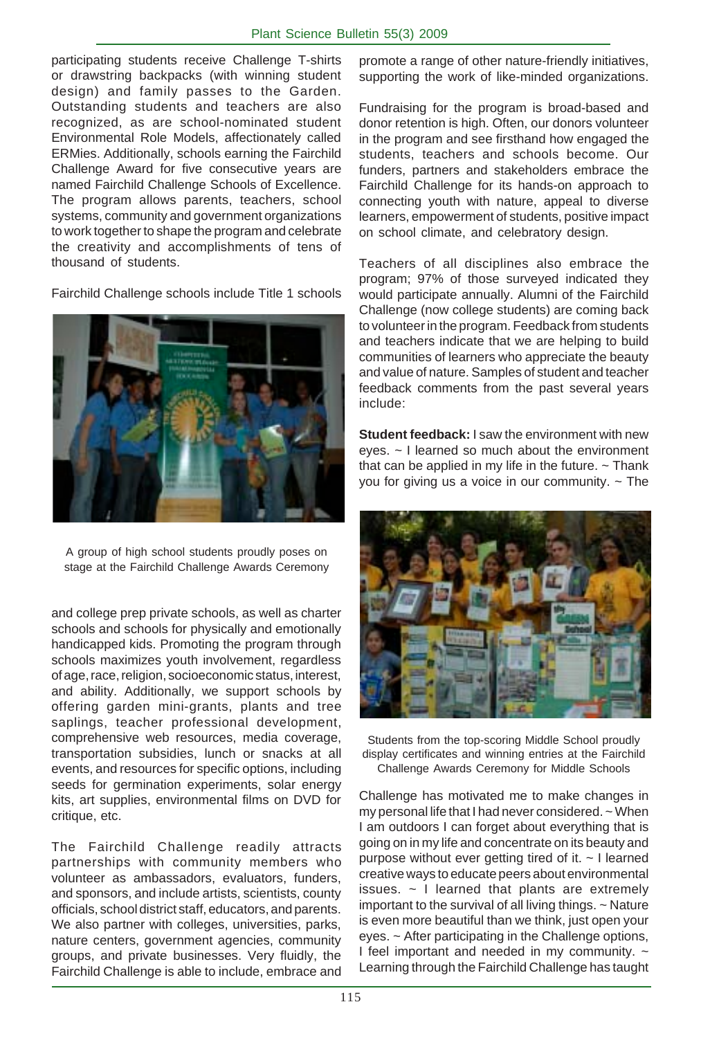participating students receive Challenge T-shirts or drawstring backpacks (with winning student design) and family passes to the Garden. Outstanding students and teachers are also recognized, as are school-nominated student Environmental Role Models, affectionately called ERMies. Additionally, schools earning the Fairchild Challenge Award for five consecutive years are named Fairchild Challenge Schools of Excellence. The program allows parents, teachers, school systems, community and government organizations to work together to shape the program and celebrate the creativity and accomplishments of tens of thousand of students.

Fairchild Challenge schools include Title 1 schools



A group of high school students proudly poses on stage at the Fairchild Challenge Awards Ceremony

and college prep private schools, as well as charter schools and schools for physically and emotionally handicapped kids. Promoting the program through schools maximizes youth involvement, regardless of age, race, religion, socioeconomic status, interest, and ability. Additionally, we support schools by offering garden mini-grants, plants and tree saplings, teacher professional development, comprehensive web resources, media coverage, transportation subsidies, lunch or snacks at all events, and resources for specific options, including seeds for germination experiments, solar energy kits, art supplies, environmental films on DVD for critique, etc.

The Fairchild Challenge readily attracts partnerships with community members who volunteer as ambassadors, evaluators, funders, and sponsors, and include artists, scientists, county officials, school district staff, educators, and parents. We also partner with colleges, universities, parks, nature centers, government agencies, community groups, and private businesses. Very fluidly, the Fairchild Challenge is able to include, embrace and

promote a range of other nature-friendly initiatives, supporting the work of like-minded organizations.

Fundraising for the program is broad-based and donor retention is high. Often, our donors volunteer in the program and see firsthand how engaged the students, teachers and schools become. Our funders, partners and stakeholders embrace the Fairchild Challenge for its hands-on approach to connecting youth with nature, appeal to diverse learners, empowerment of students, positive impact on school climate, and celebratory design.

Teachers of all disciplines also embrace the program; 97% of those surveyed indicated they would participate annually. Alumni of the Fairchild Challenge (now college students) are coming back to volunteer in the program. Feedback from students and teachers indicate that we are helping to build communities of learners who appreciate the beauty and value of nature. Samples of student and teacher feedback comments from the past several years include:

**Student feedback:** I saw the environment with new eyes. ~ I learned so much about the environment that can be applied in my life in the future.  $\sim$  Thank you for giving us a voice in our community.  $\sim$  The



Students from the top-scoring Middle School proudly display certificates and winning entries at the Fairchild Challenge Awards Ceremony for Middle Schools

Challenge has motivated me to make changes in my personal life that I had never considered. ~ When I am outdoors I can forget about everything that is going on in my life and concentrate on its beauty and purpose without ever getting tired of it. ~ I learned creative ways to educate peers about environmental issues. ~ I learned that plants are extremely important to the survival of all living things. ~ Nature is even more beautiful than we think, just open your eyes. ~ After participating in the Challenge options, I feel important and needed in my community.  $\sim$ Learning through the Fairchild Challenge has taught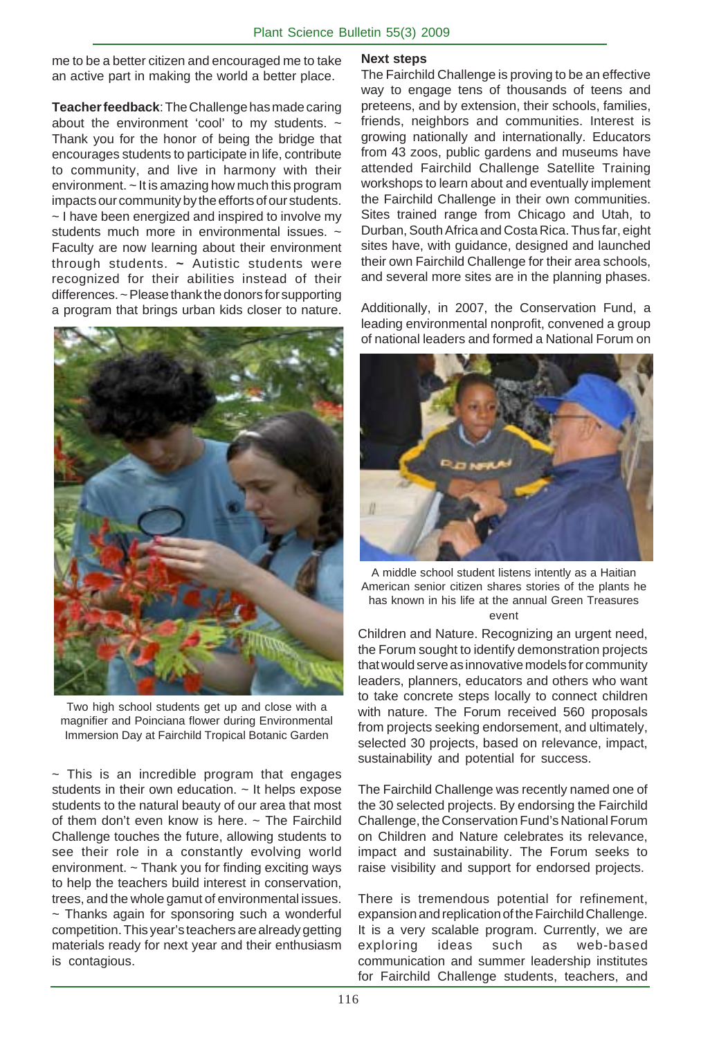me to be a better citizen and encouraged me to take an active part in making the world a better place.

**Teacher feedback**: The Challenge has made caring about the environment 'cool' to my students.  $\sim$ Thank you for the honor of being the bridge that encourages students to participate in life, contribute to community, and live in harmony with their environment. ~ It is amazing how much this program impacts our community by the efforts of our students. ~ I have been energized and inspired to involve my students much more in environmental issues. ~ Faculty are now learning about their environment through students. **~** Autistic students were recognized for their abilities instead of their differences. ~ Please thank the donors for supporting a program that brings urban kids closer to nature.



Two high school students get up and close with a magnifier and Poinciana flower during Environmental Immersion Day at Fairchild Tropical Botanic Garden

 $\sim$  This is an incredible program that engages students in their own education. ~ It helps expose students to the natural beauty of our area that most of them don't even know is here.  $\sim$  The Fairchild Challenge touches the future, allowing students to see their role in a constantly evolving world environment. ~ Thank you for finding exciting ways to help the teachers build interest in conservation, trees, and the whole gamut of environmental issues.  $\sim$  Thanks again for sponsoring such a wonderful competition. This year's teachers are already getting materials ready for next year and their enthusiasm is contagious.

#### **Next steps**

The Fairchild Challenge is proving to be an effective way to engage tens of thousands of teens and preteens, and by extension, their schools, families, friends, neighbors and communities. Interest is growing nationally and internationally. Educators from 43 zoos, public gardens and museums have attended Fairchild Challenge Satellite Training workshops to learn about and eventually implement the Fairchild Challenge in their own communities. Sites trained range from Chicago and Utah, to Durban, South Africa and Costa Rica. Thus far, eight sites have, with guidance, designed and launched their own Fairchild Challenge for their area schools, and several more sites are in the planning phases.

Additionally, in 2007, the Conservation Fund, a leading environmental nonprofit, convened a group of national leaders and formed a National Forum on



A middle school student listens intently as a Haitian American senior citizen shares stories of the plants he has known in his life at the annual Green Treasures event

Children and Nature. Recognizing an urgent need, the Forum sought to identify demonstration projects that would serve as innovative models for community leaders, planners, educators and others who want to take concrete steps locally to connect children with nature. The Forum received 560 proposals from projects seeking endorsement, and ultimately, selected 30 projects, based on relevance, impact, sustainability and potential for success.

The Fairchild Challenge was recently named one of the 30 selected projects. By endorsing the Fairchild Challenge, the Conservation Fund's National Forum on Children and Nature celebrates its relevance, impact and sustainability. The Forum seeks to raise visibility and support for endorsed projects.

There is tremendous potential for refinement, expansion and replication of the Fairchild Challenge. It is a very scalable program. Currently, we are exploring ideas such as web-based communication and summer leadership institutes for Fairchild Challenge students, teachers, and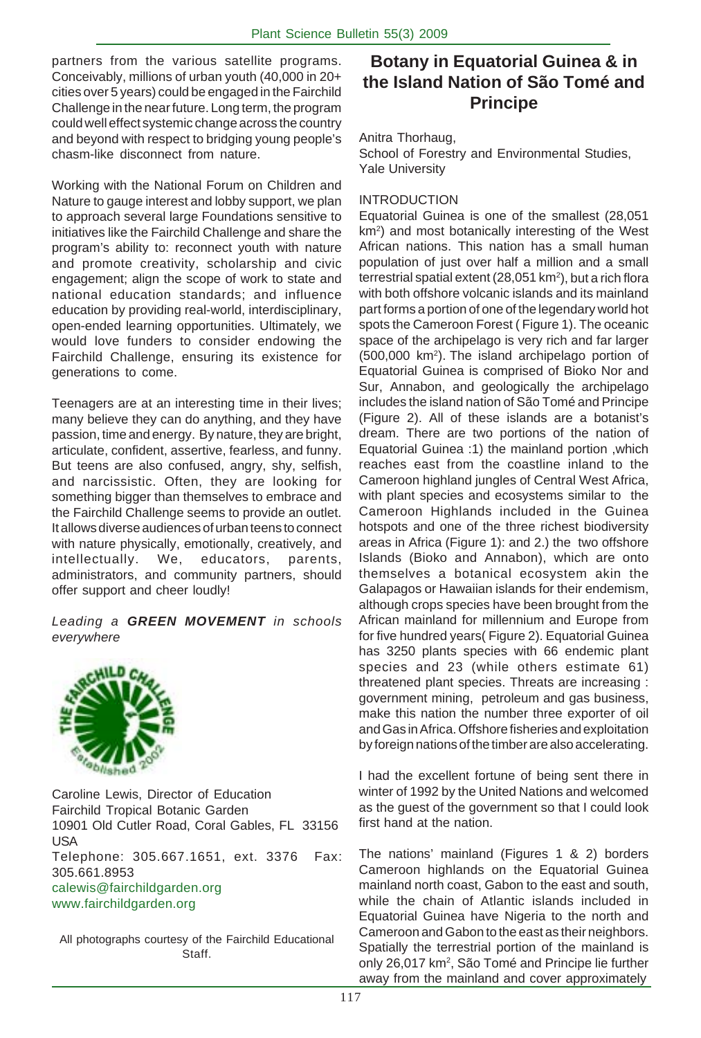partners from the various satellite programs. Conceivably, millions of urban youth (40,000 in 20+ cities over 5 years) could be engaged in the Fairchild Challenge in the near future. Long term, the program could well effect systemic change across the country and beyond with respect to bridging young people's chasm-like disconnect from nature.

Working with the National Forum on Children and Nature to gauge interest and lobby support, we plan to approach several large Foundations sensitive to initiatives like the Fairchild Challenge and share the program's ability to: reconnect youth with nature and promote creativity, scholarship and civic engagement; align the scope of work to state and national education standards; and influence education by providing real-world, interdisciplinary, open-ended learning opportunities. Ultimately, we would love funders to consider endowing the Fairchild Challenge, ensuring its existence for generations to come.

Teenagers are at an interesting time in their lives; many believe they can do anything, and they have passion, time and energy. By nature, they are bright, articulate, confident, assertive, fearless, and funny. But teens are also confused, angry, shy, selfish, and narcissistic. Often, they are looking for something bigger than themselves to embrace and the Fairchild Challenge seems to provide an outlet. It allows diverse audiences of urban teens to connect with nature physically, emotionally, creatively, and intellectually. We, educators, parents, administrators, and community partners, should offer support and cheer loudly!

*Leading a GREEN MOVEMENT in schools everywhere*



Caroline Lewis, Director of Education Fairchild Tropical Botanic Garden 10901 Old Cutler Road, Coral Gables, FL 33156 USA Telephone: 305.667.1651, ext. 3376 Fax: 305.661.8953 calewis@fairchildgarden.org www.fairchildgarden.org

All photographs courtesy of the Fairchild Educational Staff.

# **Botany in Equatorial Guinea & in the Island Nation of São Tomé and Principe**

Anitra Thorhaug,

School of Forestry and Environmental Studies, Yale University

#### INTRODUCTION

Equatorial Guinea is one of the smallest (28,051 km<sup>2</sup>) and most botanically interesting of the West African nations. This nation has a small human population of just over half a million and a small terrestrial spatial extent (28,051 km<sup>2</sup>), but a rich flora with both offshore volcanic islands and its mainland part forms a portion of one of the legendary world hot spots the Cameroon Forest ( Figure 1). The oceanic space of the archipelago is very rich and far larger (500,000 km2). The island archipelago portion of Equatorial Guinea is comprised of Bioko Nor and Sur, Annabon, and geologically the archipelago includes the island nation of São Tomé and Principe (Figure 2). All of these islands are a botanist's dream. There are two portions of the nation of Equatorial Guinea :1) the mainland portion ,which reaches east from the coastline inland to the Cameroon highland jungles of Central West Africa, with plant species and ecosystems similar to the Cameroon Highlands included in the Guinea hotspots and one of the three richest biodiversity areas in Africa (Figure 1): and 2.) the two offshore Islands (Bioko and Annabon), which are onto themselves a botanical ecosystem akin the Galapagos or Hawaiian islands for their endemism, although crops species have been brought from the African mainland for millennium and Europe from for five hundred years( Figure 2). Equatorial Guinea has 3250 plants species with 66 endemic plant species and 23 (while others estimate 61) threatened plant species. Threats are increasing : government mining, petroleum and gas business, make this nation the number three exporter of oil and Gas in Africa. Offshore fisheries and exploitation by foreign nations of the timber are also accelerating.

I had the excellent fortune of being sent there in winter of 1992 by the United Nations and welcomed as the guest of the government so that I could look first hand at the nation.

The nations' mainland (Figures 1 & 2) borders Cameroon highlands on the Equatorial Guinea mainland north coast, Gabon to the east and south, while the chain of Atlantic islands included in Equatorial Guinea have Nigeria to the north and Cameroon and Gabon to the east as their neighbors. Spatially the terrestrial portion of the mainland is only 26,017 km<sup>2</sup>, São Tomé and Principe lie further away from the mainland and cover approximately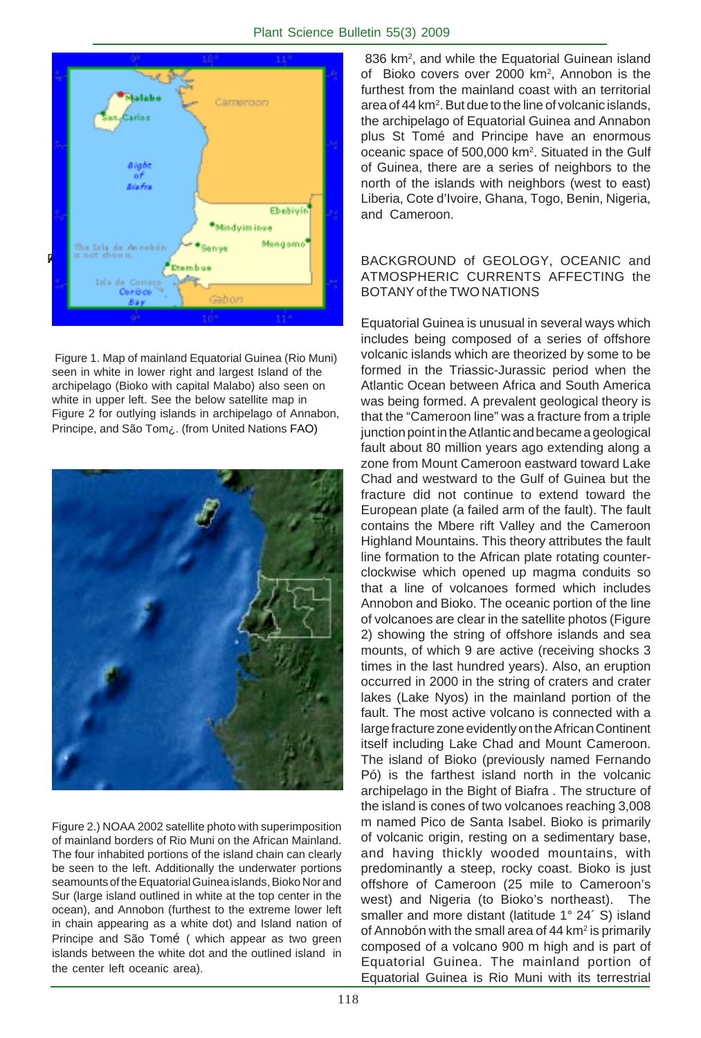

Figure 1. Map of mainland Equatorial Guinea (Rio Muni) seen in white in lower right and largest Island of the archipelago (Bioko with capital Malabo) also seen on white in upper left. See the below satellite map in Figure 2 for outlying islands in archipelago of Annabon, Principe, and São Tom¿. (from United Nations FAO)



Figure 2.) NOAA 2002 satellite photo with superimposition of mainland borders of Rio Muni on the African Mainland. The four inhabited portions of the island chain can clearly be seen to the left. Additionally the underwater portions seamounts of the Equatorial Guinea islands, Bioko Nor and Sur (large island outlined in white at the top center in the ocean), and Annobon (furthest to the extreme lower left in chain appearing as a white dot) and Island nation of Principe and São Tomé ( which appear as two green islands between the white dot and the outlined island in the center left oceanic area).

836 km<sup>2</sup>, and while the Equatorial Guinean island of Bioko covers over 2000 km<sup>2</sup>, Annobon is the furthest from the mainland coast with an territorial area of 44 km<sup>2</sup>. But due to the line of volcanic islands, the archipelago of Equatorial Guinea and Annabon plus St Tomé and Principe have an enormous oceanic space of 500,000 km2. Situated in the Gulf of Guinea, there are a series of neighbors to the north of the islands with neighbors (west to east) Liberia, Cote d'Ivoire, Ghana, Togo, Benin, Nigeria, and Cameroon.

#### BACKGROUND of GEOLOGY, OCEANIC and ATMOSPHERIC CURRENTS AFFECTING the BOTANY of the TWO NATIONS

Equatorial Guinea is unusual in several ways which includes being composed of a series of offshore volcanic islands which are theorized by some to be formed in the Triassic-Jurassic period when the Atlantic Ocean between Africa and South America was being formed. A prevalent geological theory is that the "Cameroon line" was a fracture from a triple junction point in the Atlantic and became a geological fault about 80 million years ago extending along a zone from Mount Cameroon eastward toward Lake Chad and westward to the Gulf of Guinea but the fracture did not continue to extend toward the European plate (a failed arm of the fault). The fault contains the Mbere rift Valley and the Cameroon Highland Mountains. This theory attributes the fault line formation to the African plate rotating counterclockwise which opened up magma conduits so that a line of volcanoes formed which includes Annobon and Bioko. The oceanic portion of the line of volcanoes are clear in the satellite photos (Figure 2) showing the string of offshore islands and sea mounts, of which 9 are active (receiving shocks 3 times in the last hundred years). Also, an eruption occurred in 2000 in the string of craters and crater lakes (Lake Nyos) in the mainland portion of the fault. The most active volcano is connected with a large fracture zone evidently on the African Continent itself including Lake Chad and Mount Cameroon. The island of Bioko (previously named Fernando Pó) is the farthest island north in the volcanic archipelago in the Bight of Biafra . The structure of the island is cones of two volcanoes reaching 3,008 m named Pico de Santa Isabel. Bioko is primarily of volcanic origin, resting on a sedimentary base, and having thickly wooded mountains, with predominantly a steep, rocky coast. Bioko is just offshore of Cameroon (25 mile to Cameroon's west) and Nigeria (to Bioko's northeast). The smaller and more distant (latitude 1° 24´ S) island of Annobón with the small area of 44 km<sup>2</sup> is primarily composed of a volcano 900 m high and is part of Equatorial Guinea. The mainland portion of Equatorial Guinea is Rio Muni with its terrestrial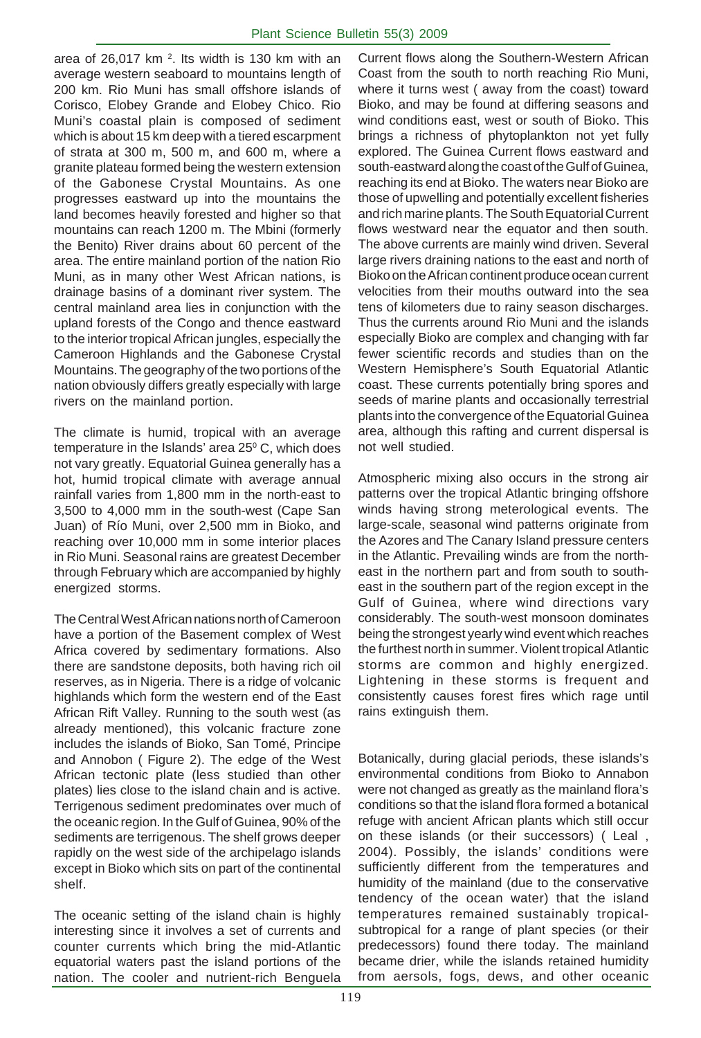area of 26,017 km  $2$ . Its width is 130 km with an average western seaboard to mountains length of 200 km. Rio Muni has small offshore islands of Corisco, Elobey Grande and Elobey Chico. Rio Muni's coastal plain is composed of sediment which is about 15 km deep with a tiered escarpment of strata at 300 m, 500 m, and 600 m, where a granite plateau formed being the western extension of the Gabonese Crystal Mountains. As one progresses eastward up into the mountains the land becomes heavily forested and higher so that mountains can reach 1200 m. The Mbini (formerly the Benito) River drains about 60 percent of the area. The entire mainland portion of the nation Rio Muni, as in many other West African nations, is drainage basins of a dominant river system. The central mainland area lies in conjunction with the upland forests of the Congo and thence eastward to the interior tropical African jungles, especially the Cameroon Highlands and the Gabonese Crystal Mountains. The geography of the two portions of the nation obviously differs greatly especially with large rivers on the mainland portion.

The climate is humid, tropical with an average temperature in the Islands' area  $25^{\circ}$  C, which does not vary greatly. Equatorial Guinea generally has a hot, humid tropical climate with average annual rainfall varies from 1,800 mm in the north-east to 3,500 to 4,000 mm in the south-west (Cape San Juan) of Río Muni, over 2,500 mm in Bioko, and reaching over 10,000 mm in some interior places in Rio Muni. Seasonal rains are greatest December through February which are accompanied by highly energized storms.

The Central West African nations north of Cameroon have a portion of the Basement complex of West Africa covered by sedimentary formations. Also there are sandstone deposits, both having rich oil reserves, as in Nigeria. There is a ridge of volcanic highlands which form the western end of the East African Rift Valley. Running to the south west (as already mentioned), this volcanic fracture zone includes the islands of Bioko, San Tomé, Principe and Annobon ( Figure 2). The edge of the West African tectonic plate (less studied than other plates) lies close to the island chain and is active. Terrigenous sediment predominates over much of the oceanic region. In the Gulf of Guinea, 90% of the sediments are terrigenous. The shelf grows deeper rapidly on the west side of the archipelago islands except in Bioko which sits on part of the continental shelf.

The oceanic setting of the island chain is highly interesting since it involves a set of currents and counter currents which bring the mid-Atlantic equatorial waters past the island portions of the nation. The cooler and nutrient-rich Benguela

Current flows along the Southern-Western African Coast from the south to north reaching Rio Muni, where it turns west ( away from the coast) toward Bioko, and may be found at differing seasons and wind conditions east, west or south of Bioko. This brings a richness of phytoplankton not yet fully explored. The Guinea Current flows eastward and south-eastward along the coast of the Gulf of Guinea, reaching its end at Bioko. The waters near Bioko are those of upwelling and potentially excellent fisheries and rich marine plants. The South Equatorial Current flows westward near the equator and then south. The above currents are mainly wind driven. Several large rivers draining nations to the east and north of Bioko on the African continent produce ocean current velocities from their mouths outward into the sea tens of kilometers due to rainy season discharges. Thus the currents around Rio Muni and the islands especially Bioko are complex and changing with far fewer scientific records and studies than on the Western Hemisphere's South Equatorial Atlantic coast. These currents potentially bring spores and seeds of marine plants and occasionally terrestrial plants into the convergence of the Equatorial Guinea area, although this rafting and current dispersal is not well studied.

Atmospheric mixing also occurs in the strong air patterns over the tropical Atlantic bringing offshore winds having strong meterological events. The large-scale, seasonal wind patterns originate from the Azores and The Canary Island pressure centers in the Atlantic. Prevailing winds are from the northeast in the northern part and from south to southeast in the southern part of the region except in the Gulf of Guinea, where wind directions vary considerably. The south-west monsoon dominates being the strongest yearly wind event which reaches the furthest north in summer. Violent tropical Atlantic storms are common and highly energized. Lightening in these storms is frequent and consistently causes forest fires which rage until rains extinguish them.

Botanically, during glacial periods, these islands's environmental conditions from Bioko to Annabon were not changed as greatly as the mainland flora's conditions so that the island flora formed a botanical refuge with ancient African plants which still occur on these islands (or their successors) ( Leal , 2004). Possibly, the islands' conditions were sufficiently different from the temperatures and humidity of the mainland (due to the conservative tendency of the ocean water) that the island temperatures remained sustainably tropicalsubtropical for a range of plant species (or their predecessors) found there today. The mainland became drier, while the islands retained humidity from aersols, fogs, dews, and other oceanic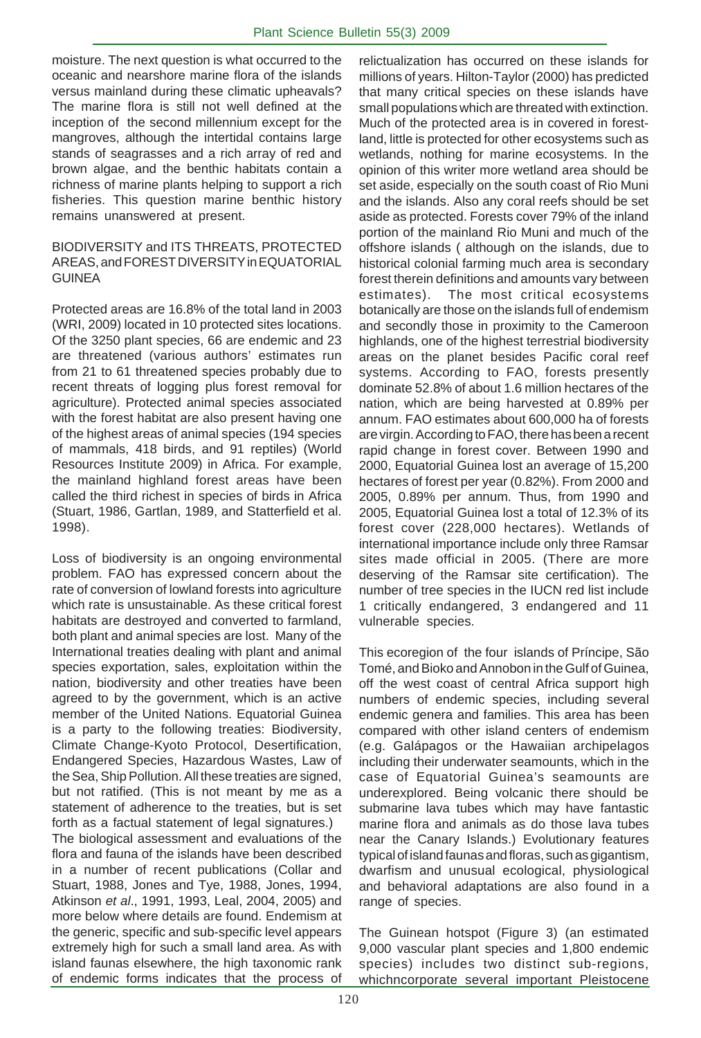moisture. The next question is what occurred to the oceanic and nearshore marine flora of the islands versus mainland during these climatic upheavals? The marine flora is still not well defined at the inception of the second millennium except for the mangroves, although the intertidal contains large stands of seagrasses and a rich array of red and brown algae, and the benthic habitats contain a richness of marine plants helping to support a rich fisheries. This question marine benthic history remains unanswered at present.

#### BIODIVERSITY and ITS THREATS, PROTECTED AREAS, and FOREST DIVERSITY in EQUATORIAL **GUINEA**

Protected areas are 16.8% of the total land in 2003 (WRI, 2009) located in 10 protected sites locations. Of the 3250 plant species, 66 are endemic and 23 are threatened (various authors' estimates run from 21 to 61 threatened species probably due to recent threats of logging plus forest removal for agriculture). Protected animal species associated with the forest habitat are also present having one of the highest areas of animal species (194 species of mammals, 418 birds, and 91 reptiles) (World Resources Institute 2009) in Africa. For example, the mainland highland forest areas have been called the third richest in species of birds in Africa (Stuart, 1986, Gartlan, 1989, and Statterfield et al. 1998).

Loss of biodiversity is an ongoing environmental problem. FAO has expressed concern about the rate of conversion of lowland forests into agriculture which rate is unsustainable. As these critical forest habitats are destroyed and converted to farmland, both plant and animal species are lost. Many of the International treaties dealing with plant and animal species exportation, sales, exploitation within the nation, biodiversity and other treaties have been agreed to by the government, which is an active member of the United Nations. Equatorial Guinea is a party to the following treaties: Biodiversity, Climate Change-Kyoto Protocol, Desertification, Endangered Species, Hazardous Wastes, Law of the Sea, Ship Pollution. All these treaties are signed, but not ratified. (This is not meant by me as a statement of adherence to the treaties, but is set forth as a factual statement of legal signatures.)

The biological assessment and evaluations of the flora and fauna of the islands have been described in a number of recent publications (Collar and Stuart, 1988, Jones and Tye, 1988, Jones, 1994, Atkinson *et al*., 1991, 1993, Leal, 2004, 2005) and more below where details are found. Endemism at the generic, specific and sub-specific level appears extremely high for such a small land area. As with island faunas elsewhere, the high taxonomic rank of endemic forms indicates that the process of

relictualization has occurred on these islands for millions of years. Hilton-Taylor (2000) has predicted that many critical species on these islands have small populations which are threated with extinction. Much of the protected area is in covered in forestland, little is protected for other ecosystems such as wetlands, nothing for marine ecosystems. In the opinion of this writer more wetland area should be set aside, especially on the south coast of Rio Muni and the islands. Also any coral reefs should be set aside as protected. Forests cover 79% of the inland portion of the mainland Rio Muni and much of the offshore islands ( although on the islands, due to historical colonial farming much area is secondary forest therein definitions and amounts vary between estimates). The most critical ecosystems botanically are those on the islands full of endemism and secondly those in proximity to the Cameroon highlands, one of the highest terrestrial biodiversity areas on the planet besides Pacific coral reef systems. According to FAO, forests presently dominate 52.8% of about 1.6 million hectares of the nation, which are being harvested at 0.89% per annum. FAO estimates about 600,000 ha of forests are virgin. According to FAO, there has been a recent rapid change in forest cover. Between 1990 and 2000, Equatorial Guinea lost an average of 15,200 hectares of forest per year (0.82%). From 2000 and 2005, 0.89% per annum. Thus, from 1990 and 2005, Equatorial Guinea lost a total of 12.3% of its forest cover (228,000 hectares). Wetlands of international importance include only three Ramsar sites made official in 2005. (There are more deserving of the Ramsar site certification). The number of tree species in the IUCN red list include 1 critically endangered, 3 endangered and 11 vulnerable species.

This ecoregion of the four islands of Príncipe, São Tomé, and Bioko and Annobon in the Gulf of Guinea, off the west coast of central Africa support high numbers of endemic species, including several endemic genera and families. This area has been compared with other island centers of endemism (e.g. Galápagos or the Hawaiian archipelagos including their underwater seamounts, which in the case of Equatorial Guinea's seamounts are underexplored. Being volcanic there should be submarine lava tubes which may have fantastic marine flora and animals as do those lava tubes near the Canary Islands.) Evolutionary features typical of island faunas and floras, such as gigantism, dwarfism and unusual ecological, physiological and behavioral adaptations are also found in a range of species.

The Guinean hotspot (Figure 3) (an estimated 9,000 vascular plant species and 1,800 endemic species) includes two distinct sub-regions, whichncorporate several important Pleistocene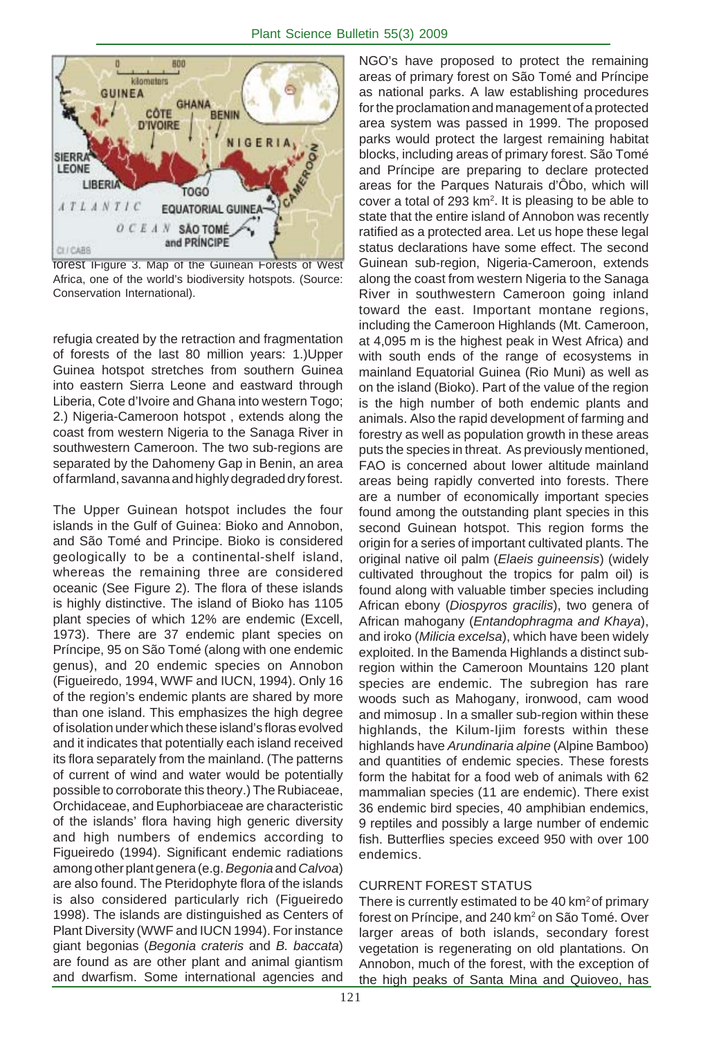

forest iFigure 3. Map of the Guinean Forests of West Africa, one of the world's biodiversity hotspots. (Source: Conservation International).

refugia created by the retraction and fragmentation of forests of the last 80 million years: 1.)Upper Guinea hotspot stretches from southern Guinea into eastern Sierra Leone and eastward through Liberia, Cote d'Ivoire and Ghana into western Togo; 2.) Nigeria-Cameroon hotspot , extends along the coast from western Nigeria to the Sanaga River in southwestern Cameroon. The two sub-regions are separated by the Dahomeny Gap in Benin, an area of farmland, savanna and highly degraded dry forest.

The Upper Guinean hotspot includes the four islands in the Gulf of Guinea: Bioko and Annobon, and São Tomé and Principe. Bioko is considered geologically to be a continental-shelf island, whereas the remaining three are considered oceanic (See Figure 2). The flora of these islands is highly distinctive. The island of Bioko has 1105 plant species of which 12% are endemic (Excell, 1973). There are 37 endemic plant species on Príncipe, 95 on São Tomé (along with one endemic genus), and 20 endemic species on Annobon (Figueiredo, 1994, WWF and IUCN, 1994). Only 16 of the region's endemic plants are shared by more than one island. This emphasizes the high degree of isolation under which these island's floras evolved and it indicates that potentially each island received its flora separately from the mainland. (The patterns of current of wind and water would be potentially possible to corroborate this theory.) The Rubiaceae, Orchidaceae, and Euphorbiaceae are characteristic of the islands' flora having high generic diversity and high numbers of endemics according to Figueiredo (1994). Significant endemic radiations among other plant genera (e.g. *Begonia* and *Calvoa*) are also found. The Pteridophyte flora of the islands is also considered particularly rich (Figueiredo 1998). The islands are distinguished as Centers of Plant Diversity (WWF and IUCN 1994). For instance giant begonias (*Begonia crateris* and *B. baccata*) are found as are other plant and animal giantism and dwarfism. Some international agencies and

NGO's have proposed to protect the remaining areas of primary forest on São Tomé and Príncipe as national parks. A law establishing procedures for the proclamation and management of a protected area system was passed in 1999. The proposed parks would protect the largest remaining habitat blocks, including areas of primary forest. São Tomé and Príncipe are preparing to declare protected areas for the Parques Naturais d'Ôbo, which will cover a total of 293  $km^2$ . It is pleasing to be able to state that the entire island of Annobon was recently ratified as a protected area. Let us hope these legal status declarations have some effect. The second Guinean sub-region, Nigeria-Cameroon, extends along the coast from western Nigeria to the Sanaga River in southwestern Cameroon going inland toward the east. Important montane regions, including the Cameroon Highlands (Mt. Cameroon, at 4,095 m is the highest peak in West Africa) and with south ends of the range of ecosystems in mainland Equatorial Guinea (Rio Muni) as well as on the island (Bioko). Part of the value of the region is the high number of both endemic plants and animals. Also the rapid development of farming and forestry as well as population growth in these areas puts the species in threat. As previously mentioned, FAO is concerned about lower altitude mainland areas being rapidly converted into forests. There are a number of economically important species found among the outstanding plant species in this second Guinean hotspot. This region forms the origin for a series of important cultivated plants. The original native oil palm (*Elaeis guineensis*) (widely cultivated throughout the tropics for palm oil) is found along with valuable timber species including African ebony (*Diospyros gracilis*), two genera of African mahogany (*Entandophragma and Khaya*), and iroko (*Milicia excelsa*), which have been widely exploited. In the Bamenda Highlands a distinct subregion within the Cameroon Mountains 120 plant species are endemic. The subregion has rare woods such as Mahogany, ironwood, cam wood and mimosup . In a smaller sub-region within these highlands, the Kilum-Ijim forests within these highlands have *Arundinaria alpine* (Alpine Bamboo) and quantities of endemic species. These forests form the habitat for a food web of animals with 62 mammalian species (11 are endemic). There exist 36 endemic bird species, 40 amphibian endemics, 9 reptiles and possibly a large number of endemic fish. Butterflies species exceed 950 with over 100 endemics.

#### CURRENT FOREST STATUS

There is currently estimated to be 40 km<sup>2</sup> of primary forest on Príncipe, and 240 km<sup>2</sup> on São Tomé. Over larger areas of both islands, secondary forest vegetation is regenerating on old plantations. On Annobon, much of the forest, with the exception of the high peaks of Santa Mina and Quioveo, has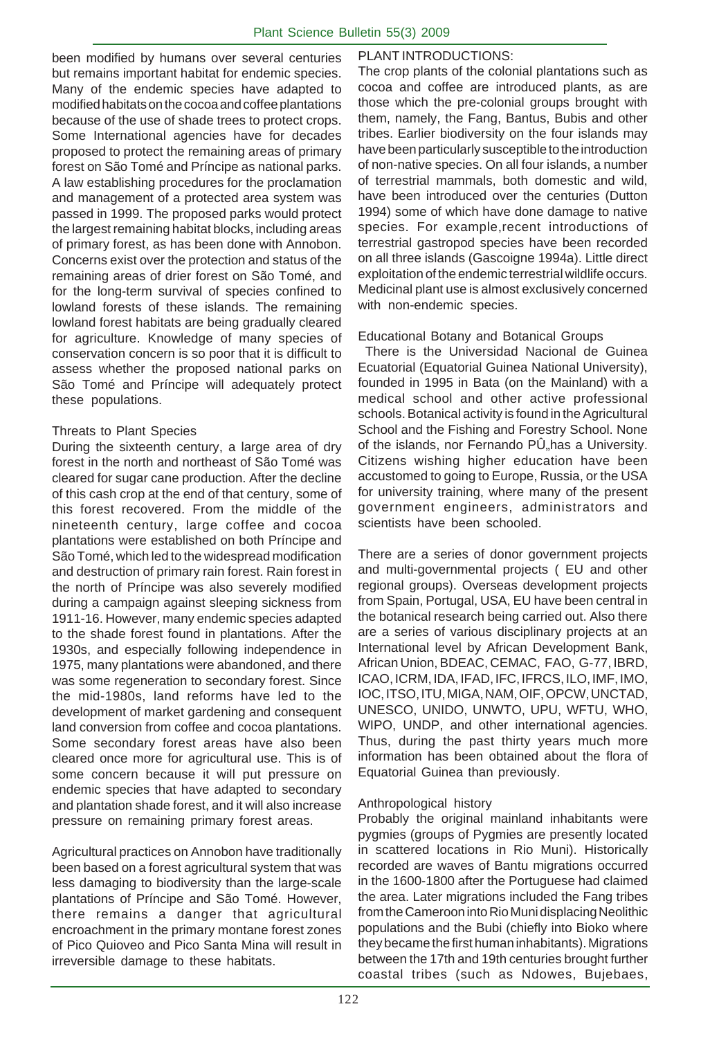been modified by humans over several centuries but remains important habitat for endemic species. Many of the endemic species have adapted to modified habitats on the cocoa and coffee plantations because of the use of shade trees to protect crops. Some International agencies have for decades proposed to protect the remaining areas of primary forest on São Tomé and Príncipe as national parks. A law establishing procedures for the proclamation and management of a protected area system was passed in 1999. The proposed parks would protect the largest remaining habitat blocks, including areas of primary forest, as has been done with Annobon. Concerns exist over the protection and status of the remaining areas of drier forest on São Tomé, and for the long-term survival of species confined to lowland forests of these islands. The remaining lowland forest habitats are being gradually cleared for agriculture. Knowledge of many species of conservation concern is so poor that it is difficult to assess whether the proposed national parks on São Tomé and Príncipe will adequately protect these populations.

#### Threats to Plant Species

During the sixteenth century, a large area of dry forest in the north and northeast of São Tomé was cleared for sugar cane production. After the decline of this cash crop at the end of that century, some of this forest recovered. From the middle of the nineteenth century, large coffee and cocoa plantations were established on both Príncipe and São Tomé, which led to the widespread modification and destruction of primary rain forest. Rain forest in the north of Príncipe was also severely modified during a campaign against sleeping sickness from 1911-16. However, many endemic species adapted to the shade forest found in plantations. After the 1930s, and especially following independence in 1975, many plantations were abandoned, and there was some regeneration to secondary forest. Since the mid-1980s, land reforms have led to the development of market gardening and consequent land conversion from coffee and cocoa plantations. Some secondary forest areas have also been cleared once more for agricultural use. This is of some concern because it will put pressure on endemic species that have adapted to secondary and plantation shade forest, and it will also increase pressure on remaining primary forest areas.

Agricultural practices on Annobon have traditionally been based on a forest agricultural system that was less damaging to biodiversity than the large-scale plantations of Príncipe and São Tomé. However, there remains a danger that agricultural encroachment in the primary montane forest zones of Pico Quioveo and Pico Santa Mina will result in irreversible damage to these habitats.

#### PLANT INTRODUCTIONS:

The crop plants of the colonial plantations such as cocoa and coffee are introduced plants, as are those which the pre-colonial groups brought with them, namely, the Fang, Bantus, Bubis and other tribes. Earlier biodiversity on the four islands may have been particularly susceptible to the introduction of non-native species. On all four islands, a number of terrestrial mammals, both domestic and wild, have been introduced over the centuries (Dutton 1994) some of which have done damage to native species. For example,recent introductions of terrestrial gastropod species have been recorded on all three islands (Gascoigne 1994a). Little direct exploitation of the endemic terrestrial wildlife occurs. Medicinal plant use is almost exclusively concerned with non-endemic species.

#### Educational Botany and Botanical Groups

 There is the Universidad Nacional de Guinea Ecuatorial (Equatorial Guinea National University), founded in 1995 in Bata (on the Mainland) with a medical school and other active professional schools. Botanical activity is found in the Agricultural School and the Fishing and Forestry School. None of the islands, nor Fernando PÜ"has a University. Citizens wishing higher education have been accustomed to going to Europe, Russia, or the USA for university training, where many of the present government engineers, administrators and scientists have been schooled.

There are a series of donor government projects and multi-governmental projects ( EU and other regional groups). Overseas development projects from Spain, Portugal, USA, EU have been central in the botanical research being carried out. Also there are a series of various disciplinary projects at an International level by African Development Bank, African Union, BDEAC, CEMAC, FAO, G-77, IBRD, ICAO, ICRM, IDA, IFAD, IFC, IFRCS, ILO, IMF, IMO, IOC, ITSO, ITU, MIGA, NAM, OIF, OPCW, UNCTAD, UNESCO, UNIDO, UNWTO, UPU, WFTU, WHO, WIPO, UNDP, and other international agencies. Thus, during the past thirty years much more information has been obtained about the flora of Equatorial Guinea than previously.

#### Anthropological history

Probably the original mainland inhabitants were pygmies (groups of Pygmies are presently located in scattered locations in Rio Muni). Historically recorded are waves of Bantu migrations occurred in the 1600-1800 after the Portuguese had claimed the area. Later migrations included the Fang tribes from the Cameroon into Rio Muni displacing Neolithic populations and the Bubi (chiefly into Bioko where they became the first human inhabitants). Migrations between the 17th and 19th centuries brought further coastal tribes (such as Ndowes, Bujebaes,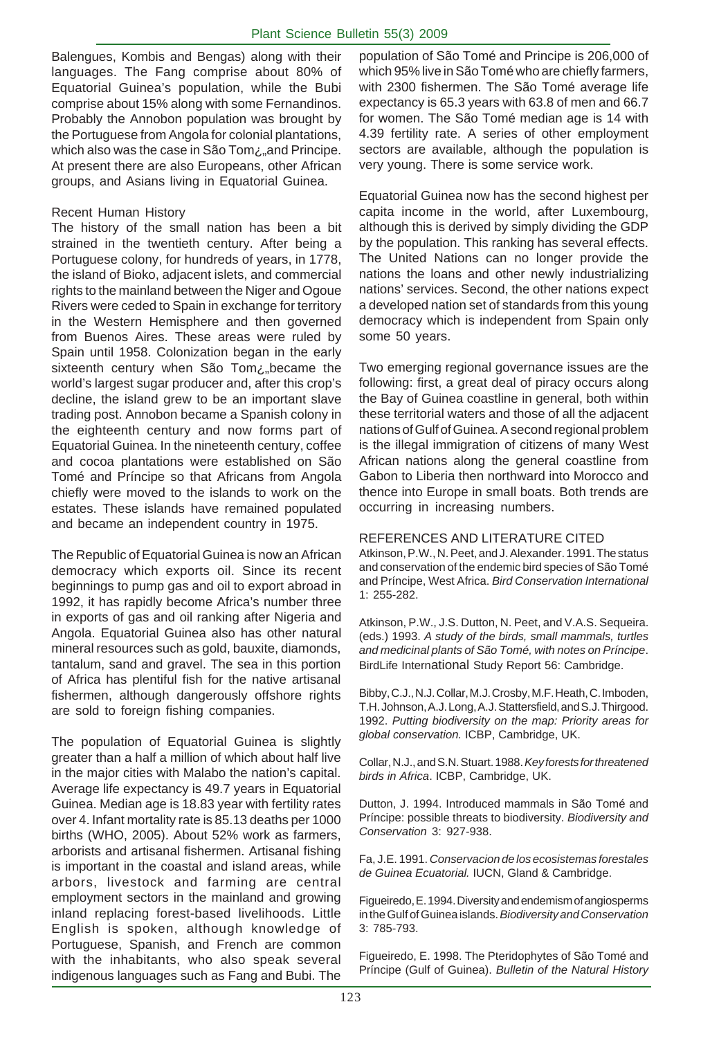Balengues, Kombis and Bengas) along with their languages. The Fang comprise about 80% of Equatorial Guinea's population, while the Bubi comprise about 15% along with some Fernandinos. Probably the Annobon population was brought by the Portuguese from Angola for colonial plantations, which also was the case in São Tom¿"and Principe. At present there are also Europeans, other African groups, and Asians living in Equatorial Guinea.

#### Recent Human History

The history of the small nation has been a bit strained in the twentieth century. After being a Portuguese colony, for hundreds of years, in 1778, the island of Bioko, adjacent islets, and commercial rights to the mainland between the Niger and Ogoue Rivers were ceded to Spain in exchange for territory in the Western Hemisphere and then governed from Buenos Aires. These areas were ruled by Spain until 1958. Colonization began in the early sixteenth century when São Tom¿"became the world's largest sugar producer and, after this crop's decline, the island grew to be an important slave trading post. Annobon became a Spanish colony in the eighteenth century and now forms part of Equatorial Guinea. In the nineteenth century, coffee and cocoa plantations were established on São Tomé and Príncipe so that Africans from Angola chiefly were moved to the islands to work on the estates. These islands have remained populated and became an independent country in 1975.

The Republic of Equatorial Guinea is now an African democracy which exports oil. Since its recent beginnings to pump gas and oil to export abroad in 1992, it has rapidly become Africa's number three in exports of gas and oil ranking after Nigeria and Angola. Equatorial Guinea also has other natural mineral resources such as gold, bauxite, diamonds, tantalum, sand and gravel. The sea in this portion of Africa has plentiful fish for the native artisanal fishermen, although dangerously offshore rights are sold to foreign fishing companies.

The population of Equatorial Guinea is slightly greater than a half a million of which about half live in the major cities with Malabo the nation's capital. Average life expectancy is 49.7 years in Equatorial Guinea. Median age is 18.83 year with fertility rates over 4. Infant mortality rate is 85.13 deaths per 1000 births (WHO, 2005). About 52% work as farmers, arborists and artisanal fishermen. Artisanal fishing is important in the coastal and island areas, while arbors, livestock and farming are central employment sectors in the mainland and growing inland replacing forest-based livelihoods. Little English is spoken, although knowledge of Portuguese, Spanish, and French are common with the inhabitants, who also speak several indigenous languages such as Fang and Bubi. The

population of São Tomé and Principe is 206,000 of which 95% live in São Tomé who are chiefly farmers, with 2300 fishermen. The São Tomé average life expectancy is 65.3 years with 63.8 of men and 66.7 for women. The São Tomé median age is 14 with 4.39 fertility rate. A series of other employment sectors are available, although the population is very young. There is some service work.

Equatorial Guinea now has the second highest per capita income in the world, after Luxembourg, although this is derived by simply dividing the GDP by the population. This ranking has several effects. The United Nations can no longer provide the nations the loans and other newly industrializing nations' services. Second, the other nations expect a developed nation set of standards from this young democracy which is independent from Spain only some 50 years.

Two emerging regional governance issues are the following: first, a great deal of piracy occurs along the Bay of Guinea coastline in general, both within these territorial waters and those of all the adjacent nations of Gulf of Guinea. A second regional problem is the illegal immigration of citizens of many West African nations along the general coastline from Gabon to Liberia then northward into Morocco and thence into Europe in small boats. Both trends are occurring in increasing numbers.

#### REFERENCES AND LITERATURE CITED

Atkinson, P.W., N. Peet, and J. Alexander. 1991. The status and conservation of the endemic bird species of São Tomé and Príncipe, West Africa. *Bird Conservation International* 1: 255-282.

Atkinson, P.W., J.S. Dutton, N. Peet, and V.A.S. Sequeira. (eds.) 1993. *A study of the birds, small mammals, turtles and medicinal plants of São Tomé, with notes on Príncipe*. BirdLife International Study Report 56: Cambridge.

Bibby, C.J., N.J. Collar, M.J. Crosby, M.F. Heath, C. Imboden, T.H. Johnson, A.J. Long, A.J. Stattersfield, and S.J. Thirgood. 1992. *Putting biodiversity on the map: Priority areas for global conservation.* ICBP, Cambridge, UK.

Collar, N.J., and S.N. Stuart. 1988. *Key forests for threatened birds in Africa*. ICBP, Cambridge, UK.

Dutton, J. 1994. Introduced mammals in São Tomé and Príncipe: possible threats to biodiversity. *Biodiversity and Conservation* 3: 927-938.

Fa, J.E. 1991. *Conservacion de los ecosistemas forestales de Guinea Ecuatorial.* IUCN, Gland & Cambridge.

Figueiredo, E. 1994. Diversity and endemism of angiosperms in the Gulf of Guinea islands. *Biodiversity and Conservation* 3: 785-793.

Figueiredo, E. 1998. The Pteridophytes of São Tomé and Príncipe (Gulf of Guinea). *Bulletin of the Natural History*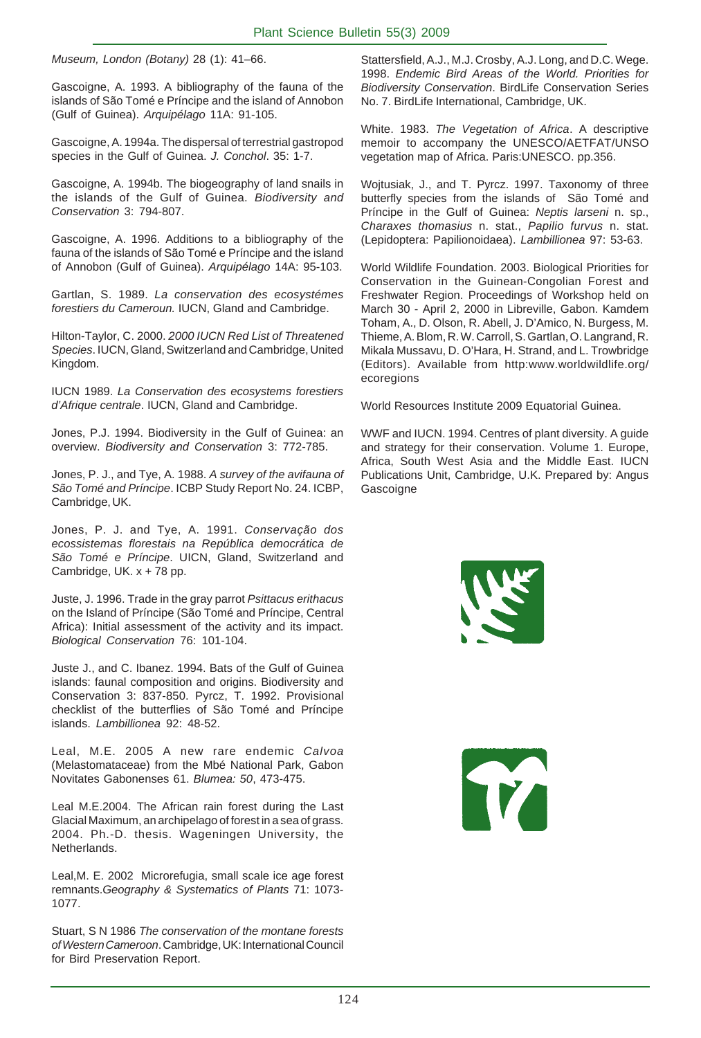*Museum, London (Botany)* 28 (1): 41–66.

Gascoigne, A. 1993. A bibliography of the fauna of the islands of São Tomé e Príncipe and the island of Annobon (Gulf of Guinea). *Arquipélago* 11A: 91-105.

Gascoigne, A. 1994a. The dispersal of terrestrial gastropod species in the Gulf of Guinea. *J. Conchol*. 35: 1-7.

Gascoigne, A. 1994b. The biogeography of land snails in the islands of the Gulf of Guinea. *Biodiversity and Conservation* 3: 794-807.

Gascoigne, A. 1996. Additions to a bibliography of the fauna of the islands of São Tomé e Príncipe and the island of Annobon (Gulf of Guinea). *Arquipélago* 14A: 95-103.

Gartlan, S. 1989. *La conservation des ecosystémes forestiers du Cameroun.* IUCN, Gland and Cambridge.

Hilton-Taylor, C. 2000. *2000 IUCN Red List of Threatened Species*. IUCN, Gland, Switzerland and Cambridge, United Kingdom.

IUCN 1989. *La Conservation des ecosystems forestiers d'Afrique centrale*. IUCN, Gland and Cambridge.

Jones, P.J. 1994. Biodiversity in the Gulf of Guinea: an overview. *Biodiversity and Conservation* 3: 772-785.

Jones, P. J., and Tye, A. 1988. *A survey of the avifauna of São Tomé and Príncipe*. ICBP Study Report No. 24. ICBP, Cambridge, UK.

Jones, P. J. and Tye, A. 1991. *Conservação dos ecossistemas florestais na República democrática de São Tomé e Príncipe*. UICN, Gland, Switzerland and Cambridge, UK. x + 78 pp.

Juste, J. 1996. Trade in the gray parrot *Psittacus erithacus* on the Island of Príncipe (São Tomé and Príncipe, Central Africa): Initial assessment of the activity and its impact. *Biological Conservation* 76: 101-104.

Juste J., and C. Ibanez. 1994. Bats of the Gulf of Guinea islands: faunal composition and origins. Biodiversity and Conservation 3: 837-850. Pyrcz, T. 1992. Provisional checklist of the butterflies of São Tomé and Príncipe islands. *Lambillionea* 92: 48-52.

Leal, M.E. 2005 A new rare endemic *Calvoa* (Melastomataceae) from the Mbé National Park, Gabon Novitates Gabonenses 61. *Blumea: 50*, 473-475.

Leal M.E.2004. The African rain forest during the Last Glacial Maximum, an archipelago of forest in a sea of grass. 2004. Ph.-D. thesis. Wageningen University, the Netherlands.

Leal,M. E. 2002 Microrefugia, small scale ice age forest remnants.*Geography & Systematics of Plants* 71: 1073- 1077.

Stuart, S N 1986 *The conservation of the montane forests of Western Cameroon*. Cambridge, UK: International Council for Bird Preservation Report.

Stattersfield, A.J., M.J. Crosby, A.J. Long, and D.C. Wege. 1998. *Endemic Bird Areas of the World. Priorities for Biodiversity Conservation*. BirdLife Conservation Series No. 7. BirdLife International, Cambridge, UK.

White. 1983. *The Vegetation of Africa*. A descriptive memoir to accompany the UNESCO/AETFAT/UNSO vegetation map of Africa. Paris:UNESCO. pp.356.

Wojtusiak, J., and T. Pyrcz. 1997. Taxonomy of three butterfly species from the islands of São Tomé and Príncipe in the Gulf of Guinea: *Neptis larseni* n. sp., *Charaxes thomasius* n. stat., *Papilio furvus* n. stat. (Lepidoptera: Papilionoidaea). *Lambillionea* 97: 53-63.

World Wildlife Foundation. 2003. Biological Priorities for Conservation in the Guinean-Congolian Forest and Freshwater Region. Proceedings of Workshop held on March 30 - April 2, 2000 in Libreville, Gabon. Kamdem Toham, A., D. Olson, R. Abell, J. D'Amico, N. Burgess, M. Thieme, A. Blom, R. W. Carroll, S. Gartlan, O. Langrand, R. Mikala Mussavu, D. O'Hara, H. Strand, and L. Trowbridge (Editors). Available from http:www.worldwildlife.org/ ecoregions

World Resources Institute 2009 Equatorial Guinea.

WWF and IUCN. 1994. Centres of plant diversity. A guide and strategy for their conservation. Volume 1. Europe, Africa, South West Asia and the Middle East. IUCN Publications Unit, Cambridge, U.K. Prepared by: Angus Gascoigne



TY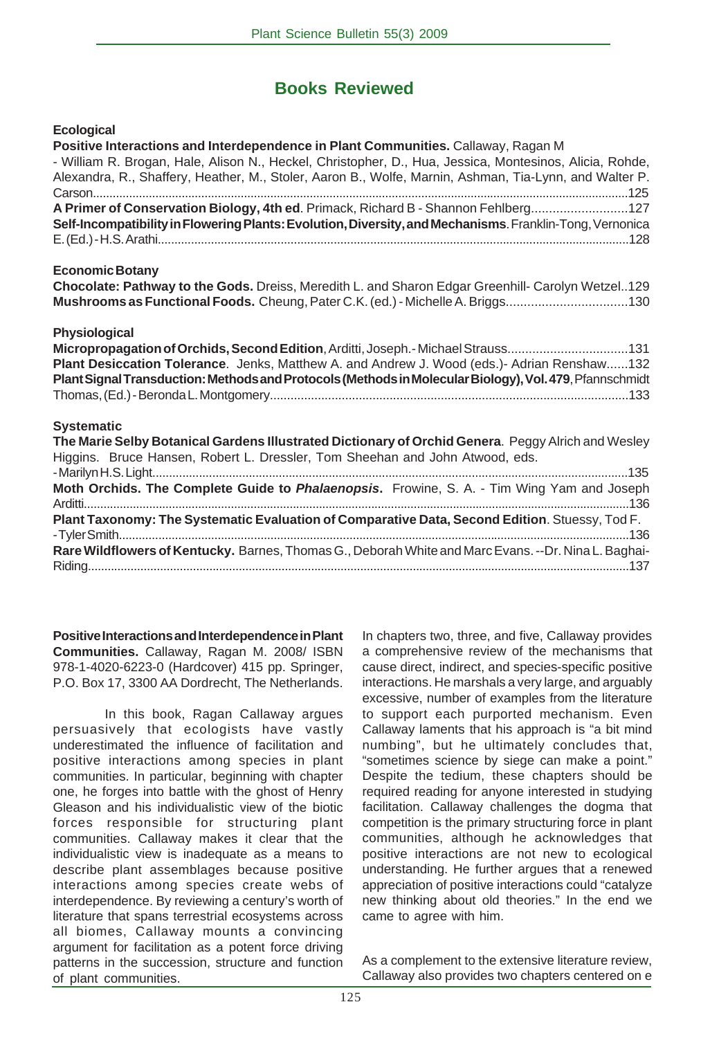# **Books Reviewed**

#### **Ecological**

| Positive Interactions and Interdependence in Plant Communities. Callaway, Ragan M<br>- William R. Brogan, Hale, Alison N., Heckel, Christopher, D., Hua, Jessica, Montesinos, Alicia, Rohde,<br>Alexandra, R., Shaffery, Heather, M., Stoler, Aaron B., Wolfe, Marnin, Ashman, Tia-Lynn, and Walter P.      |
|-------------------------------------------------------------------------------------------------------------------------------------------------------------------------------------------------------------------------------------------------------------------------------------------------------------|
| A Primer of Conservation Biology, 4th ed. Primack, Richard B - Shannon Fehlberg127<br>Self-Incompatibility in Flowering Plants: Evolution, Diversity, and Mechanisms. Franklin-Tong, Vernonica                                                                                                              |
| <b>Economic Botany</b><br>Chocolate: Pathway to the Gods. Dreiss, Meredith L. and Sharon Edgar Greenhill- Carolyn Wetzel129<br>Mushrooms as Functional Foods. Cheung, Pater C.K. (ed.) - Michelle A. Briggs130                                                                                              |
| Physiological<br>Micropropagation of Orchids, Second Edition, Arditti, Joseph.-Michael Strauss131<br>Plant Desiccation Tolerance. Jenks, Matthew A. and Andrew J. Wood (eds.)- Adrian Renshaw132<br>Plant Signal Transduction: Methods and Protocols (Methods in Molecular Biology), Vol. 479, Pfannschmidt |
| <b>Systematic</b><br>The Marie Selby Botanical Gardens Illustrated Dictionary of Orchid Genera. Peggy Alrich and Wesley<br>Higgins. Bruce Hansen, Robert L. Dressler, Tom Sheehan and John Atwood, eds.                                                                                                     |
| Moth Orchids. The Complete Guide to Phalaenopsis. Frowine, S. A. - Tim Wing Yam and Joseph                                                                                                                                                                                                                  |
| Plant Taxonomy: The Systematic Evaluation of Comparative Data, Second Edition. Stuessy, Tod F.                                                                                                                                                                                                              |
| Rare Wildflowers of Kentucky. Barnes, Thomas G., Deborah White and Marc Evans. --Dr. Nina L. Baghai-                                                                                                                                                                                                        |

**Positive Interactions and Interdependence in Plant Communities.** Callaway, Ragan M. 2008/ ISBN 978-1-4020-6223-0 (Hardcover) 415 pp. Springer, P.O. Box 17, 3300 AA Dordrecht, The Netherlands.

In this book, Ragan Callaway argues persuasively that ecologists have vastly underestimated the influence of facilitation and positive interactions among species in plant communities. In particular, beginning with chapter one, he forges into battle with the ghost of Henry Gleason and his individualistic view of the biotic forces responsible for structuring plant communities. Callaway makes it clear that the individualistic view is inadequate as a means to describe plant assemblages because positive interactions among species create webs of interdependence. By reviewing a century's worth of literature that spans terrestrial ecosystems across all biomes, Callaway mounts a convincing argument for facilitation as a potent force driving patterns in the succession, structure and function of plant communities.

In chapters two, three, and five, Callaway provides a comprehensive review of the mechanisms that cause direct, indirect, and species-specific positive interactions. He marshals a very large, and arguably excessive, number of examples from the literature to support each purported mechanism. Even Callaway laments that his approach is "a bit mind numbing", but he ultimately concludes that, "sometimes science by siege can make a point." Despite the tedium, these chapters should be required reading for anyone interested in studying facilitation. Callaway challenges the dogma that competition is the primary structuring force in plant communities, although he acknowledges that positive interactions are not new to ecological understanding. He further argues that a renewed appreciation of positive interactions could "catalyze new thinking about old theories." In the end we came to agree with him.

As a complement to the extensive literature review, Callaway also provides two chapters centered on e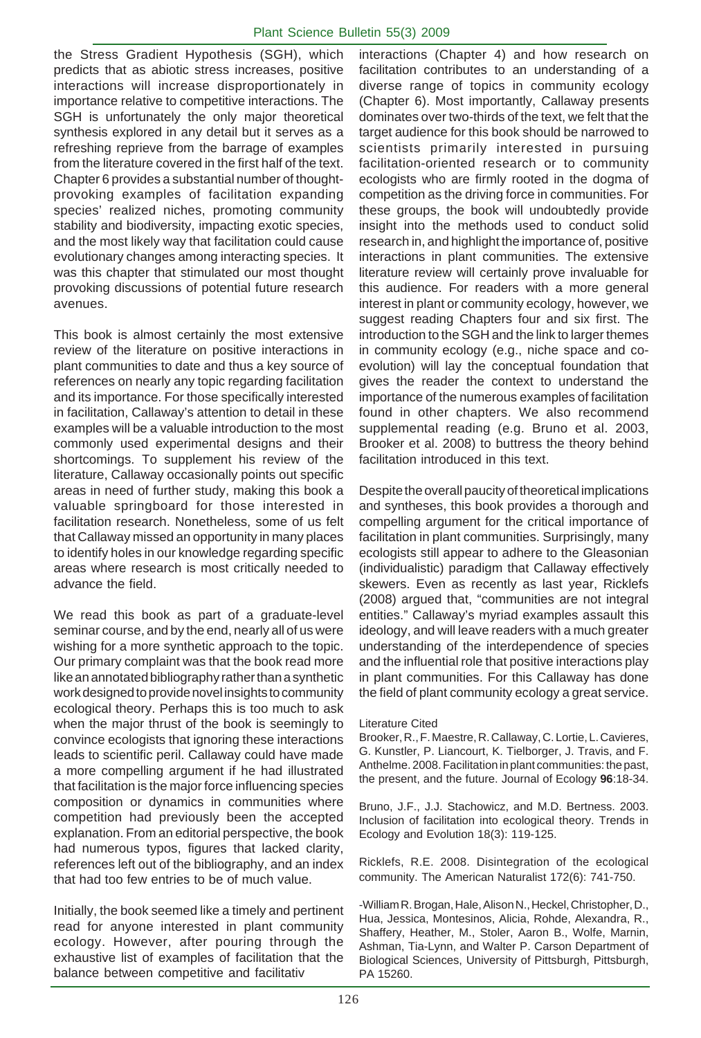the Stress Gradient Hypothesis (SGH), which predicts that as abiotic stress increases, positive interactions will increase disproportionately in importance relative to competitive interactions. The SGH is unfortunately the only major theoretical synthesis explored in any detail but it serves as a refreshing reprieve from the barrage of examples from the literature covered in the first half of the text. Chapter 6 provides a substantial number of thoughtprovoking examples of facilitation expanding species' realized niches, promoting community stability and biodiversity, impacting exotic species, and the most likely way that facilitation could cause evolutionary changes among interacting species. It was this chapter that stimulated our most thought provoking discussions of potential future research avenues.

This book is almost certainly the most extensive review of the literature on positive interactions in plant communities to date and thus a key source of references on nearly any topic regarding facilitation and its importance. For those specifically interested in facilitation, Callaway's attention to detail in these examples will be a valuable introduction to the most commonly used experimental designs and their shortcomings. To supplement his review of the literature, Callaway occasionally points out specific areas in need of further study, making this book a valuable springboard for those interested in facilitation research. Nonetheless, some of us felt that Callaway missed an opportunity in many places to identify holes in our knowledge regarding specific areas where research is most critically needed to advance the field.

We read this book as part of a graduate-level seminar course, and by the end, nearly all of us were wishing for a more synthetic approach to the topic. Our primary complaint was that the book read more like an annotated bibliography rather than a synthetic work designed to provide novel insights to community ecological theory. Perhaps this is too much to ask when the major thrust of the book is seemingly to convince ecologists that ignoring these interactions leads to scientific peril. Callaway could have made a more compelling argument if he had illustrated that facilitation is the major force influencing species composition or dynamics in communities where competition had previously been the accepted explanation. From an editorial perspective, the book had numerous typos, figures that lacked clarity, references left out of the bibliography, and an index that had too few entries to be of much value.

Initially, the book seemed like a timely and pertinent read for anyone interested in plant community ecology. However, after pouring through the exhaustive list of examples of facilitation that the balance between competitive and facilitativ

interactions (Chapter 4) and how research on facilitation contributes to an understanding of a diverse range of topics in community ecology (Chapter 6). Most importantly, Callaway presents dominates over two-thirds of the text, we felt that the target audience for this book should be narrowed to scientists primarily interested in pursuing facilitation-oriented research or to community ecologists who are firmly rooted in the dogma of competition as the driving force in communities. For these groups, the book will undoubtedly provide insight into the methods used to conduct solid research in, and highlight the importance of, positive interactions in plant communities. The extensive literature review will certainly prove invaluable for this audience. For readers with a more general interest in plant or community ecology, however, we suggest reading Chapters four and six first. The introduction to the SGH and the link to larger themes in community ecology (e.g., niche space and coevolution) will lay the conceptual foundation that gives the reader the context to understand the importance of the numerous examples of facilitation found in other chapters. We also recommend supplemental reading (e.g. Bruno et al. 2003, Brooker et al. 2008) to buttress the theory behind facilitation introduced in this text.

Despite the overall paucity of theoretical implications and syntheses, this book provides a thorough and compelling argument for the critical importance of facilitation in plant communities. Surprisingly, many ecologists still appear to adhere to the Gleasonian (individualistic) paradigm that Callaway effectively skewers. Even as recently as last year, Ricklefs (2008) argued that, "communities are not integral entities." Callaway's myriad examples assault this ideology, and will leave readers with a much greater understanding of the interdependence of species and the influential role that positive interactions play in plant communities. For this Callaway has done the field of plant community ecology a great service.

#### Literature Cited

Brooker, R., F. Maestre, R. Callaway, C. Lortie, L. Cavieres, G. Kunstler, P. Liancourt, K. Tielborger, J. Travis, and F. Anthelme. 2008. Facilitation in plant communities: the past, the present, and the future. Journal of Ecology **96**:18-34.

Bruno, J.F., J.J. Stachowicz, and M.D. Bertness. 2003. Inclusion of facilitation into ecological theory. Trends in Ecology and Evolution 18(3): 119-125.

Ricklefs, R.E. 2008. Disintegration of the ecological community. The American Naturalist 172(6): 741-750.

-William R. Brogan, Hale, Alison N., Heckel, Christopher, D., Hua, Jessica, Montesinos, Alicia, Rohde, Alexandra, R., Shaffery, Heather, M., Stoler, Aaron B., Wolfe, Marnin, Ashman, Tia-Lynn, and Walter P. Carson Department of Biological Sciences, University of Pittsburgh, Pittsburgh, PA 15260.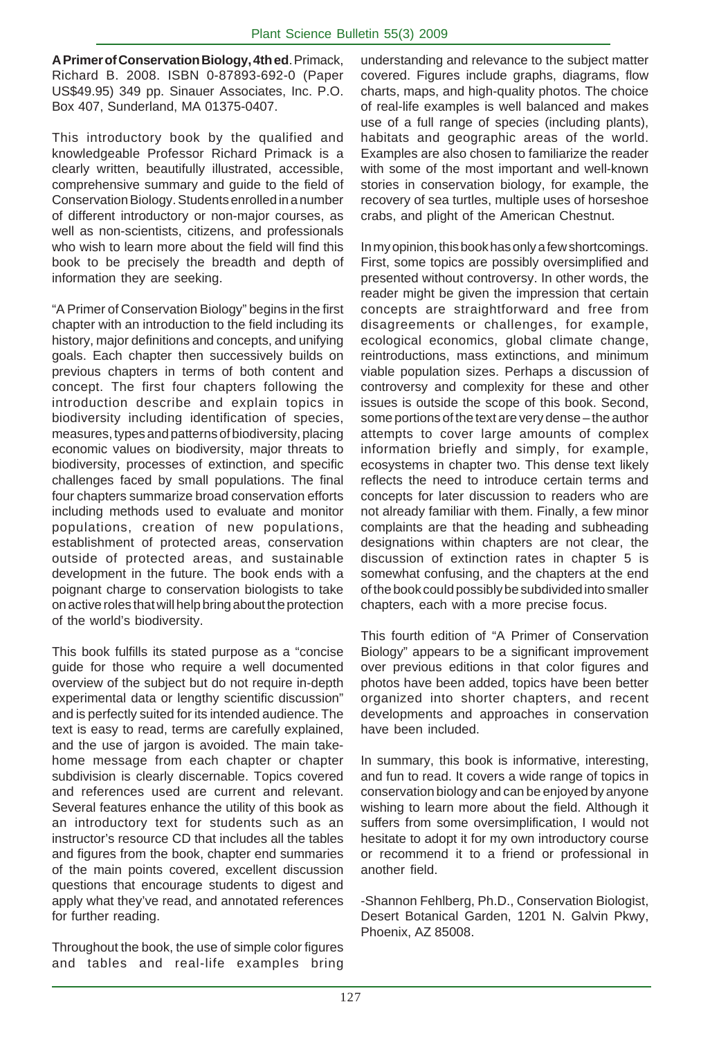**A Primer of Conservation Biology, 4th ed**. Primack, Richard B. 2008. ISBN 0-87893-692-0 (Paper US\$49.95) 349 pp. Sinauer Associates, Inc. P.O. Box 407, Sunderland, MA 01375-0407.

This introductory book by the qualified and knowledgeable Professor Richard Primack is a clearly written, beautifully illustrated, accessible, comprehensive summary and guide to the field of Conservation Biology. Students enrolled in a number of different introductory or non-major courses, as well as non-scientists, citizens, and professionals who wish to learn more about the field will find this book to be precisely the breadth and depth of information they are seeking.

"A Primer of Conservation Biology" begins in the first chapter with an introduction to the field including its history, major definitions and concepts, and unifying goals. Each chapter then successively builds on previous chapters in terms of both content and concept. The first four chapters following the introduction describe and explain topics in biodiversity including identification of species, measures, types and patterns of biodiversity, placing economic values on biodiversity, major threats to biodiversity, processes of extinction, and specific challenges faced by small populations. The final four chapters summarize broad conservation efforts including methods used to evaluate and monitor populations, creation of new populations, establishment of protected areas, conservation outside of protected areas, and sustainable development in the future. The book ends with a poignant charge to conservation biologists to take on active roles that will help bring about the protection of the world's biodiversity.

This book fulfills its stated purpose as a "concise guide for those who require a well documented overview of the subject but do not require in-depth experimental data or lengthy scientific discussion" and is perfectly suited for its intended audience. The text is easy to read, terms are carefully explained, and the use of jargon is avoided. The main takehome message from each chapter or chapter subdivision is clearly discernable. Topics covered and references used are current and relevant. Several features enhance the utility of this book as an introductory text for students such as an instructor's resource CD that includes all the tables and figures from the book, chapter end summaries of the main points covered, excellent discussion questions that encourage students to digest and apply what they've read, and annotated references for further reading.

Throughout the book, the use of simple color figures and tables and real-life examples bring

understanding and relevance to the subject matter covered. Figures include graphs, diagrams, flow charts, maps, and high-quality photos. The choice of real-life examples is well balanced and makes use of a full range of species (including plants), habitats and geographic areas of the world. Examples are also chosen to familiarize the reader with some of the most important and well-known stories in conservation biology, for example, the recovery of sea turtles, multiple uses of horseshoe crabs, and plight of the American Chestnut.

In my opinion, this book has only a few shortcomings. First, some topics are possibly oversimplified and presented without controversy. In other words, the reader might be given the impression that certain concepts are straightforward and free from disagreements or challenges, for example, ecological economics, global climate change, reintroductions, mass extinctions, and minimum viable population sizes. Perhaps a discussion of controversy and complexity for these and other issues is outside the scope of this book. Second, some portions of the text are very dense – the author attempts to cover large amounts of complex information briefly and simply, for example, ecosystems in chapter two. This dense text likely reflects the need to introduce certain terms and concepts for later discussion to readers who are not already familiar with them. Finally, a few minor complaints are that the heading and subheading designations within chapters are not clear, the discussion of extinction rates in chapter 5 is somewhat confusing, and the chapters at the end of the book could possibly be subdivided into smaller chapters, each with a more precise focus.

This fourth edition of "A Primer of Conservation Biology" appears to be a significant improvement over previous editions in that color figures and photos have been added, topics have been better organized into shorter chapters, and recent developments and approaches in conservation have been included.

In summary, this book is informative, interesting, and fun to read. It covers a wide range of topics in conservation biology and can be enjoyed by anyone wishing to learn more about the field. Although it suffers from some oversimplification, I would not hesitate to adopt it for my own introductory course or recommend it to a friend or professional in another field.

-Shannon Fehlberg, Ph.D., Conservation Biologist, Desert Botanical Garden, 1201 N. Galvin Pkwy, Phoenix, AZ 85008.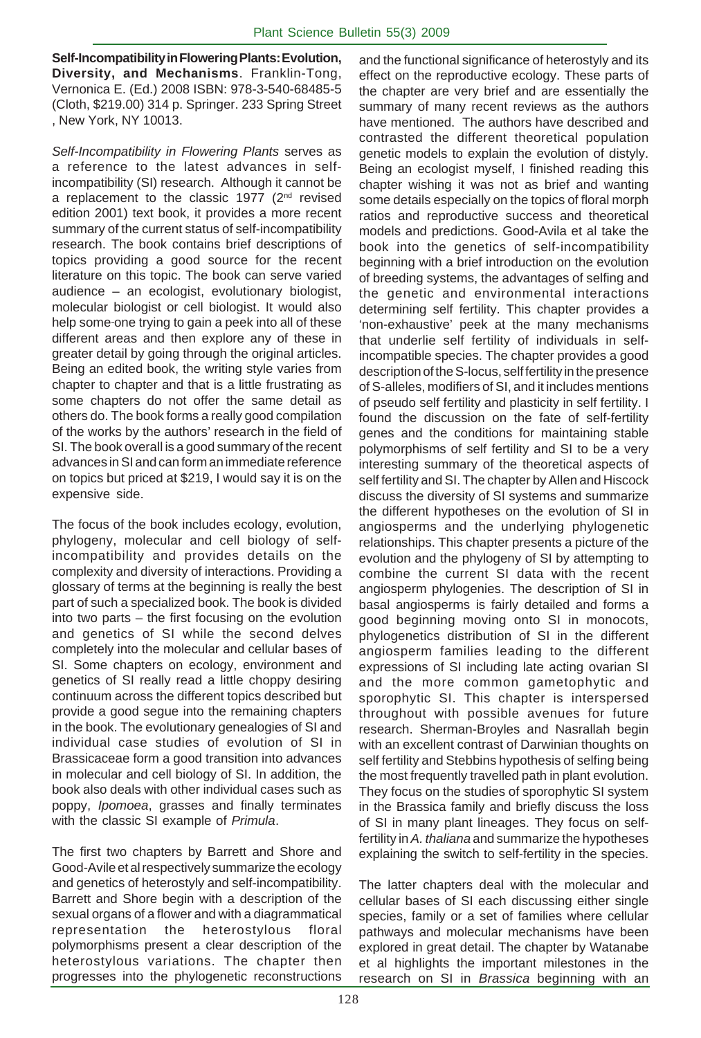**Self-Incompatibility in Flowering Plants: Evolution, Diversity, and Mechanisms**. Franklin-Tong, Vernonica E. (Ed.) 2008 ISBN: 978-3-540-68485-5 (Cloth, \$219.00) 314 p. Springer. 233 Spring Street , New York, NY 10013.

*Self-Incompatibility in Flowering Plants* serves as a reference to the latest advances in selfincompatibility (SI) research. Although it cannot be a replacement to the classic 1977 (2<sup>nd</sup> revised edition 2001) text book, it provides a more recent summary of the current status of self-incompatibility research. The book contains brief descriptions of topics providing a good source for the recent literature on this topic. The book can serve varied audience – an ecologist, evolutionary biologist, molecular biologist or cell biologist. It would also help some one trying to gain a peek into all of these different areas and then explore any of these in greater detail by going through the original articles. Being an edited book, the writing style varies from chapter to chapter and that is a little frustrating as some chapters do not offer the same detail as others do. The book forms a really good compilation of the works by the authors' research in the field of SI. The book overall is a good summary of the recent advances in SI and can form an immediate reference on topics but priced at \$219, I would say it is on the expensive side.

The focus of the book includes ecology, evolution, phylogeny, molecular and cell biology of selfincompatibility and provides details on the complexity and diversity of interactions. Providing a glossary of terms at the beginning is really the best part of such a specialized book. The book is divided into two parts – the first focusing on the evolution and genetics of SI while the second delves completely into the molecular and cellular bases of SI. Some chapters on ecology, environment and genetics of SI really read a little choppy desiring continuum across the different topics described but provide a good segue into the remaining chapters in the book. The evolutionary genealogies of SI and individual case studies of evolution of SI in Brassicaceae form a good transition into advances in molecular and cell biology of SI. In addition, the book also deals with other individual cases such as poppy, *Ipomoea*, grasses and finally terminates with the classic SI example of *Primula*.

The first two chapters by Barrett and Shore and Good-Avile et al respectively summarize the ecology and genetics of heterostyly and self-incompatibility. Barrett and Shore begin with a description of the sexual organs of a flower and with a diagrammatical representation the heterostylous floral polymorphisms present a clear description of the heterostylous variations. The chapter then progresses into the phylogenetic reconstructions

and the functional significance of heterostyly and its effect on the reproductive ecology. These parts of the chapter are very brief and are essentially the summary of many recent reviews as the authors have mentioned. The authors have described and contrasted the different theoretical population genetic models to explain the evolution of distyly. Being an ecologist myself, I finished reading this chapter wishing it was not as brief and wanting some details especially on the topics of floral morph ratios and reproductive success and theoretical models and predictions. Good-Avila et al take the book into the genetics of self-incompatibility beginning with a brief introduction on the evolution of breeding systems, the advantages of selfing and the genetic and environmental interactions determining self fertility. This chapter provides a 'non-exhaustive' peek at the many mechanisms that underlie self fertility of individuals in selfincompatible species. The chapter provides a good description of the S-locus, self fertility in the presence of S-alleles, modifiers of SI, and it includes mentions of pseudo self fertility and plasticity in self fertility. I found the discussion on the fate of self-fertility genes and the conditions for maintaining stable polymorphisms of self fertility and SI to be a very interesting summary of the theoretical aspects of self fertility and SI. The chapter by Allen and Hiscock discuss the diversity of SI systems and summarize the different hypotheses on the evolution of SI in angiosperms and the underlying phylogenetic relationships. This chapter presents a picture of the evolution and the phylogeny of SI by attempting to combine the current SI data with the recent angiosperm phylogenies. The description of SI in basal angiosperms is fairly detailed and forms a good beginning moving onto SI in monocots, phylogenetics distribution of SI in the different angiosperm families leading to the different expressions of SI including late acting ovarian SI and the more common gametophytic and sporophytic SI. This chapter is interspersed throughout with possible avenues for future research. Sherman-Broyles and Nasrallah begin with an excellent contrast of Darwinian thoughts on self fertility and Stebbins hypothesis of selfing being the most frequently travelled path in plant evolution. They focus on the studies of sporophytic SI system in the Brassica family and briefly discuss the loss of SI in many plant lineages. They focus on selffertility in *A. thaliana* and summarize the hypotheses explaining the switch to self-fertility in the species.

The latter chapters deal with the molecular and cellular bases of SI each discussing either single species, family or a set of families where cellular pathways and molecular mechanisms have been explored in great detail. The chapter by Watanabe et al highlights the important milestones in the research on SI in *Brassica* beginning with an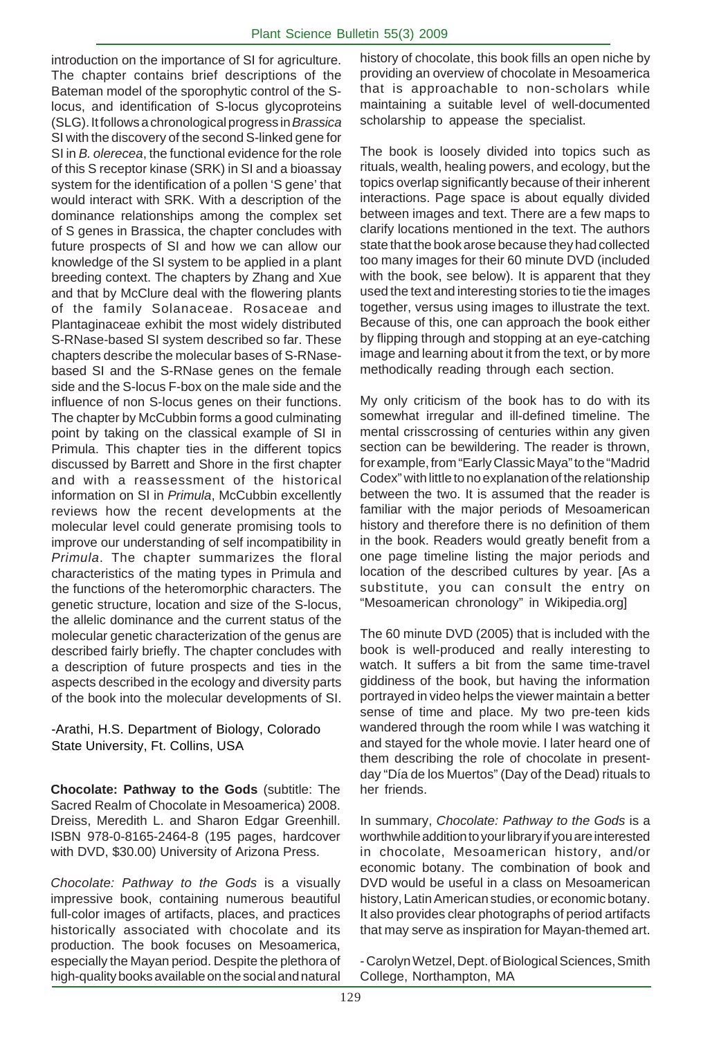introduction on the importance of SI for agriculture. The chapter contains brief descriptions of the Bateman model of the sporophytic control of the Slocus, and identification of S-locus glycoproteins (SLG). It follows a chronological progress in *Brassica* SI with the discovery of the second S-linked gene for SI in *B. olerecea*, the functional evidence for the role of this S receptor kinase (SRK) in SI and a bioassay system for the identification of a pollen 'S gene' that would interact with SRK. With a description of the dominance relationships among the complex set of S genes in Brassica, the chapter concludes with future prospects of SI and how we can allow our knowledge of the SI system to be applied in a plant breeding context. The chapters by Zhang and Xue and that by McClure deal with the flowering plants of the family Solanaceae. Rosaceae and Plantaginaceae exhibit the most widely distributed S-RNase-based SI system described so far. These chapters describe the molecular bases of S-RNasebased SI and the S-RNase genes on the female side and the S-locus F-box on the male side and the influence of non S-locus genes on their functions. The chapter by McCubbin forms a good culminating point by taking on the classical example of SI in Primula. This chapter ties in the different topics discussed by Barrett and Shore in the first chapter and with a reassessment of the historical information on SI in *Primula*, McCubbin excellently reviews how the recent developments at the molecular level could generate promising tools to improve our understanding of self incompatibility in *Primula*. The chapter summarizes the floral characteristics of the mating types in Primula and the functions of the heteromorphic characters. The genetic structure, location and size of the S-locus, the allelic dominance and the current status of the molecular genetic characterization of the genus are described fairly briefly. The chapter concludes with a description of future prospects and ties in the aspects described in the ecology and diversity parts of the book into the molecular developments of SI.

-Arathi, H.S. Department of Biology, Colorado State University, Ft. Collins, USA

**Chocolate: Pathway to the Gods** (subtitle: The Sacred Realm of Chocolate in Mesoamerica) 2008. Dreiss, Meredith L. and Sharon Edgar Greenhill. ISBN 978-0-8165-2464-8 (195 pages, hardcover with DVD, \$30.00) University of Arizona Press.

*Chocolate: Pathway to the Gods* is a visually impressive book, containing numerous beautiful full-color images of artifacts, places, and practices historically associated with chocolate and its production. The book focuses on Mesoamerica, especially the Mayan period. Despite the plethora of high-quality books available on the social and natural history of chocolate, this book fills an open niche by providing an overview of chocolate in Mesoamerica that is approachable to non-scholars while maintaining a suitable level of well-documented scholarship to appease the specialist.

The book is loosely divided into topics such as rituals, wealth, healing powers, and ecology, but the topics overlap significantly because of their inherent interactions. Page space is about equally divided between images and text. There are a few maps to clarify locations mentioned in the text. The authors state that the book arose because they had collected too many images for their 60 minute DVD (included with the book, see below). It is apparent that they used the text and interesting stories to tie the images together, versus using images to illustrate the text. Because of this, one can approach the book either by flipping through and stopping at an eye-catching image and learning about it from the text, or by more methodically reading through each section.

My only criticism of the book has to do with its somewhat irregular and ill-defined timeline. The mental crisscrossing of centuries within any given section can be bewildering. The reader is thrown, for example, from "Early Classic Maya" to the "Madrid Codex" with little to no explanation of the relationship between the two. It is assumed that the reader is familiar with the major periods of Mesoamerican history and therefore there is no definition of them in the book. Readers would greatly benefit from a one page timeline listing the major periods and location of the described cultures by year. [As a substitute, you can consult the entry on "Mesoamerican chronology" in Wikipedia.org]

The 60 minute DVD (2005) that is included with the book is well-produced and really interesting to watch. It suffers a bit from the same time-travel giddiness of the book, but having the information portrayed in video helps the viewer maintain a better sense of time and place. My two pre-teen kids wandered through the room while I was watching it and stayed for the whole movie. I later heard one of them describing the role of chocolate in presentday "Día de los Muertos" (Day of the Dead) rituals to her friends.

In summary, *Chocolate: Pathway to the Gods* is a worthwhile addition to your library if you are interested in chocolate, Mesoamerican history, and/or economic botany. The combination of book and DVD would be useful in a class on Mesoamerican history, Latin American studies, or economic botany. It also provides clear photographs of period artifacts that may serve as inspiration for Mayan-themed art.

- Carolyn Wetzel, Dept. of Biological Sciences, Smith College, Northampton, MA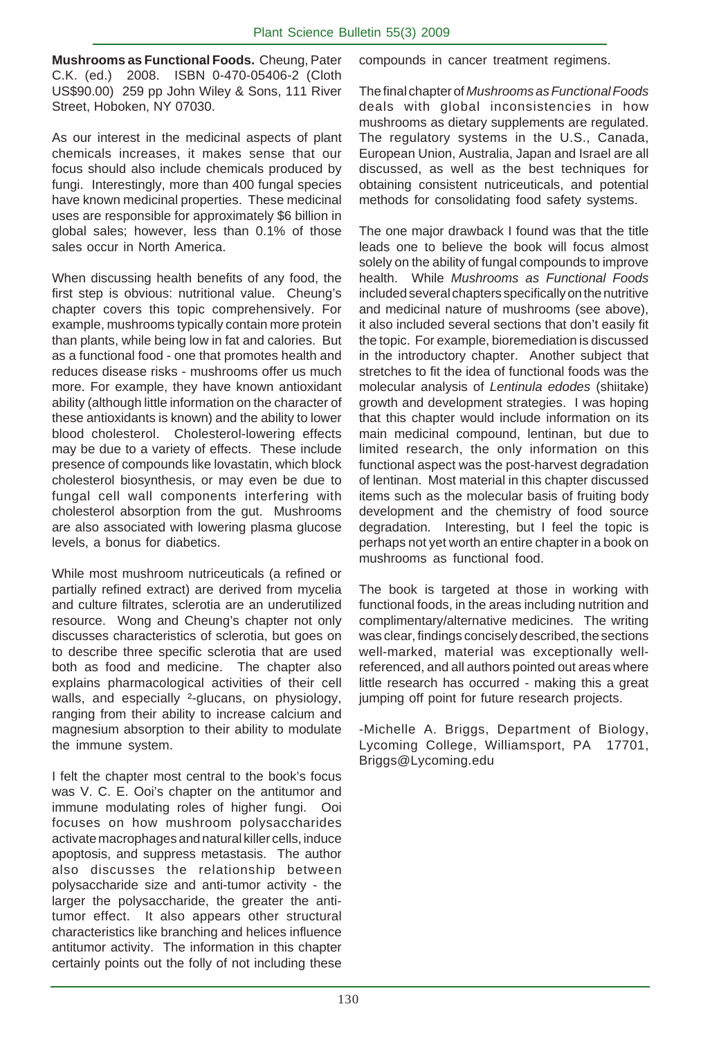**Mushrooms as Functional Foods.** Cheung, Pater C.K. (ed.) 2008. ISBN 0-470-05406-2 (Cloth US\$90.00) 259 pp John Wiley & Sons, 111 River Street, Hoboken, NY 07030.

As our interest in the medicinal aspects of plant chemicals increases, it makes sense that our focus should also include chemicals produced by fungi. Interestingly, more than 400 fungal species have known medicinal properties. These medicinal uses are responsible for approximately \$6 billion in global sales; however, less than 0.1% of those sales occur in North America.

When discussing health benefits of any food, the first step is obvious: nutritional value. Cheung's chapter covers this topic comprehensively. For example, mushrooms typically contain more protein than plants, while being low in fat and calories. But as a functional food - one that promotes health and reduces disease risks - mushrooms offer us much more. For example, they have known antioxidant ability (although little information on the character of these antioxidants is known) and the ability to lower blood cholesterol. Cholesterol-lowering effects may be due to a variety of effects. These include presence of compounds like lovastatin, which block cholesterol biosynthesis, or may even be due to fungal cell wall components interfering with cholesterol absorption from the gut. Mushrooms are also associated with lowering plasma glucose levels, a bonus for diabetics.

While most mushroom nutriceuticals (a refined or partially refined extract) are derived from mycelia and culture filtrates, sclerotia are an underutilized resource. Wong and Cheung's chapter not only discusses characteristics of sclerotia, but goes on to describe three specific sclerotia that are used both as food and medicine. The chapter also explains pharmacological activities of their cell walls, and especially <sup>2</sup>-glucans, on physiology, ranging from their ability to increase calcium and magnesium absorption to their ability to modulate the immune system.

I felt the chapter most central to the book's focus was V. C. E. Ooi's chapter on the antitumor and immune modulating roles of higher fungi. Ooi focuses on how mushroom polysaccharides activate macrophages and natural killer cells, induce apoptosis, and suppress metastasis. The author also discusses the relationship between polysaccharide size and anti-tumor activity - the larger the polysaccharide, the greater the antitumor effect. It also appears other structural characteristics like branching and helices influence antitumor activity. The information in this chapter certainly points out the folly of not including these

compounds in cancer treatment regimens.

The final chapter of *Mushrooms as Functional Foods* deals with global inconsistencies in how mushrooms as dietary supplements are regulated. The regulatory systems in the U.S., Canada, European Union, Australia, Japan and Israel are all discussed, as well as the best techniques for obtaining consistent nutriceuticals, and potential methods for consolidating food safety systems.

The one major drawback I found was that the title leads one to believe the book will focus almost solely on the ability of fungal compounds to improve health. While *Mushrooms as Functional Foods* included several chapters specifically on the nutritive and medicinal nature of mushrooms (see above), it also included several sections that don't easily fit the topic. For example, bioremediation is discussed in the introductory chapter. Another subject that stretches to fit the idea of functional foods was the molecular analysis of *Lentinula edodes* (shiitake) growth and development strategies. I was hoping that this chapter would include information on its main medicinal compound, lentinan, but due to limited research, the only information on this functional aspect was the post-harvest degradation of lentinan. Most material in this chapter discussed items such as the molecular basis of fruiting body development and the chemistry of food source degradation. Interesting, but I feel the topic is perhaps not yet worth an entire chapter in a book on mushrooms as functional food.

The book is targeted at those in working with functional foods, in the areas including nutrition and complimentary/alternative medicines. The writing was clear, findings concisely described, the sections well-marked, material was exceptionally wellreferenced, and all authors pointed out areas where little research has occurred - making this a great jumping off point for future research projects.

-Michelle A. Briggs, Department of Biology, Lycoming College, Williamsport, PA 17701, Briggs@Lycoming.edu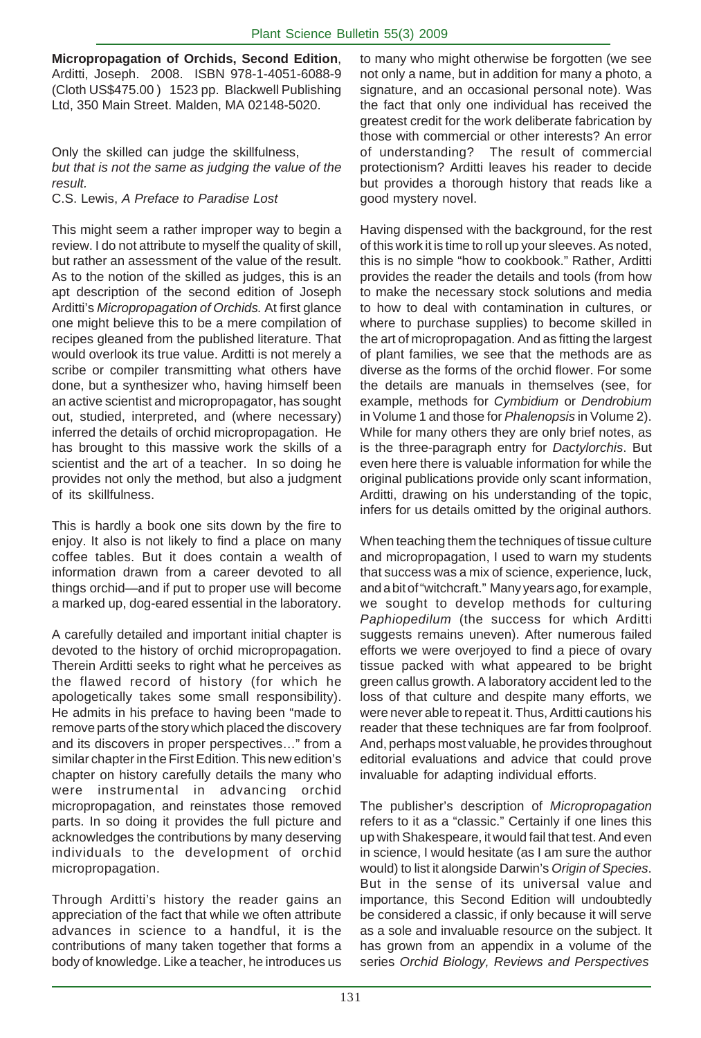**Micropropagation of Orchids, Second Edition**, Arditti, Joseph. 2008. ISBN 978-1-4051-6088-9 (Cloth US\$475.00 ) 1523 pp. Blackwell Publishing Ltd, 350 Main Street. Malden, MA 02148-5020.

Only the skilled can judge the skillfulness, *but that is not the same as judging the value of the result.*

C.S. Lewis, *A Preface to Paradise Lost*

This might seem a rather improper way to begin a review. I do not attribute to myself the quality of skill, but rather an assessment of the value of the result. As to the notion of the skilled as judges, this is an apt description of the second edition of Joseph Arditti's *Micropropagation of Orchids.* At first glance one might believe this to be a mere compilation of recipes gleaned from the published literature. That would overlook its true value. Arditti is not merely a scribe or compiler transmitting what others have done, but a synthesizer who, having himself been an active scientist and micropropagator, has sought out, studied, interpreted, and (where necessary) inferred the details of orchid micropropagation. He has brought to this massive work the skills of a scientist and the art of a teacher. In so doing he provides not only the method, but also a judgment of its skillfulness.

This is hardly a book one sits down by the fire to enjoy. It also is not likely to find a place on many coffee tables. But it does contain a wealth of information drawn from a career devoted to all things orchid—and if put to proper use will become a marked up, dog-eared essential in the laboratory.

A carefully detailed and important initial chapter is devoted to the history of orchid micropropagation. Therein Arditti seeks to right what he perceives as the flawed record of history (for which he apologetically takes some small responsibility). He admits in his preface to having been "made to remove parts of the story which placed the discovery and its discovers in proper perspectives…" from a similar chapter in the First Edition. This new edition's chapter on history carefully details the many who were instrumental in advancing orchid micropropagation, and reinstates those removed parts. In so doing it provides the full picture and acknowledges the contributions by many deserving individuals to the development of orchid micropropagation.

Through Arditti's history the reader gains an appreciation of the fact that while we often attribute advances in science to a handful, it is the contributions of many taken together that forms a body of knowledge. Like a teacher, he introduces us

to many who might otherwise be forgotten (we see not only a name, but in addition for many a photo, a signature, and an occasional personal note). Was the fact that only one individual has received the greatest credit for the work deliberate fabrication by those with commercial or other interests? An error of understanding? The result of commercial protectionism? Arditti leaves his reader to decide but provides a thorough history that reads like a good mystery novel.

Having dispensed with the background, for the rest of this work it is time to roll up your sleeves. As noted, this is no simple "how to cookbook." Rather, Arditti provides the reader the details and tools (from how to make the necessary stock solutions and media to how to deal with contamination in cultures, or where to purchase supplies) to become skilled in the art of micropropagation. And as fitting the largest of plant families, we see that the methods are as diverse as the forms of the orchid flower. For some the details are manuals in themselves (see, for example, methods for *Cymbidium* or *Dendrobium* in Volume 1 and those for *Phalenopsis* in Volume 2). While for many others they are only brief notes, as is the three-paragraph entry for *Dactylorchis*. But even here there is valuable information for while the original publications provide only scant information, Arditti, drawing on his understanding of the topic, infers for us details omitted by the original authors.

When teaching them the techniques of tissue culture and micropropagation, I used to warn my students that success was a mix of science, experience, luck, and a bit of "witchcraft." Many years ago, for example, we sought to develop methods for culturing *Paphiopedilum* (the success for which Arditti suggests remains uneven). After numerous failed efforts we were overjoyed to find a piece of ovary tissue packed with what appeared to be bright green callus growth. A laboratory accident led to the loss of that culture and despite many efforts, we were never able to repeat it. Thus, Arditti cautions his reader that these techniques are far from foolproof. And, perhaps most valuable, he provides throughout editorial evaluations and advice that could prove invaluable for adapting individual efforts.

The publisher's description of *Micropropagation* refers to it as a "classic." Certainly if one lines this up with Shakespeare, it would fail that test. And even in science, I would hesitate (as I am sure the author would) to list it alongside Darwin's *Origin of Species*. But in the sense of its universal value and importance, this Second Edition will undoubtedly be considered a classic, if only because it will serve as a sole and invaluable resource on the subject. It has grown from an appendix in a volume of the series *Orchid Biology, Reviews and Perspectives*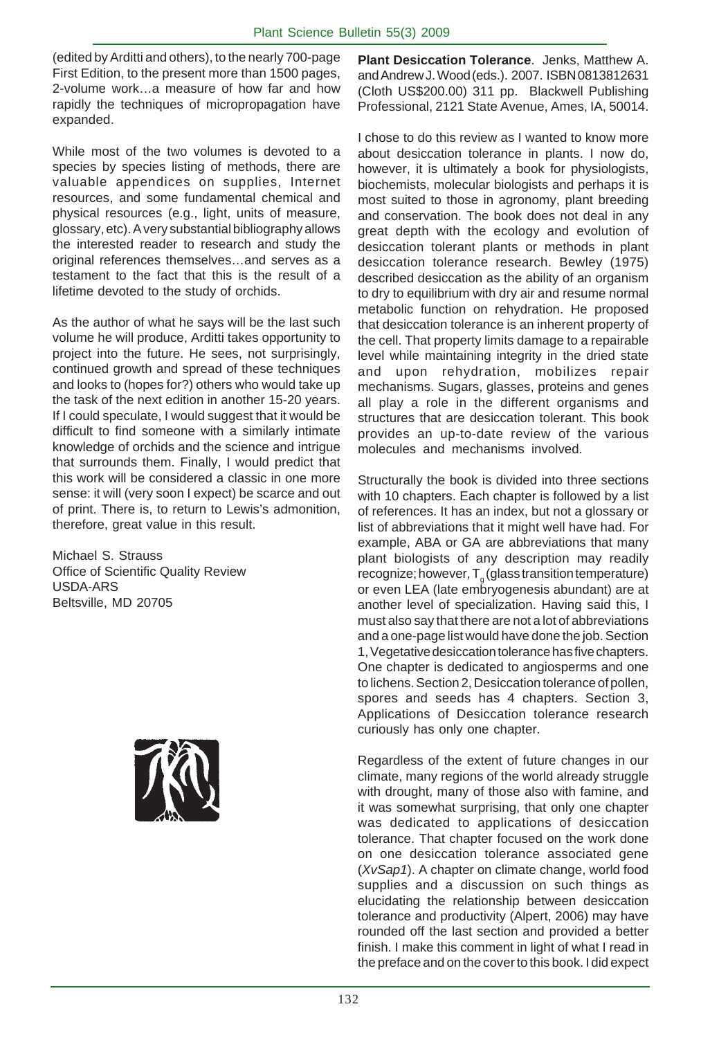(edited by Arditti and others), to the nearly 700-page First Edition, to the present more than 1500 pages, 2-volume work…a measure of how far and how rapidly the techniques of micropropagation have expanded.

While most of the two volumes is devoted to a species by species listing of methods, there are valuable appendices on supplies, Internet resources, and some fundamental chemical and physical resources (e.g., light, units of measure, glossary, etc). A very substantial bibliography allows the interested reader to research and study the original references themselves…and serves as a testament to the fact that this is the result of a lifetime devoted to the study of orchids.

As the author of what he says will be the last such volume he will produce, Arditti takes opportunity to project into the future. He sees, not surprisingly, continued growth and spread of these techniques and looks to (hopes for?) others who would take up the task of the next edition in another 15-20 years. If I could speculate, I would suggest that it would be difficult to find someone with a similarly intimate knowledge of orchids and the science and intrigue that surrounds them. Finally, I would predict that this work will be considered a classic in one more sense: it will (very soon I expect) be scarce and out of print. There is, to return to Lewis's admonition, therefore, great value in this result.

Michael S. Strauss Office of Scientific Quality Review USDA-ARS Beltsville, MD 20705



**Plant Desiccation Tolerance**. Jenks, Matthew A. and Andrew J. Wood (eds.). 2007. ISBN 0813812631 (Cloth US\$200.00) 311 pp. Blackwell Publishing Professional, 2121 State Avenue, Ames, IA, 50014.

I chose to do this review as I wanted to know more about desiccation tolerance in plants. I now do, however, it is ultimately a book for physiologists, biochemists, molecular biologists and perhaps it is most suited to those in agronomy, plant breeding and conservation. The book does not deal in any great depth with the ecology and evolution of desiccation tolerant plants or methods in plant desiccation tolerance research. Bewley (1975) described desiccation as the ability of an organism to dry to equilibrium with dry air and resume normal metabolic function on rehydration. He proposed that desiccation tolerance is an inherent property of the cell. That property limits damage to a repairable level while maintaining integrity in the dried state and upon rehydration, mobilizes repair mechanisms. Sugars, glasses, proteins and genes all play a role in the different organisms and structures that are desiccation tolerant. This book provides an up-to-date review of the various molecules and mechanisms involved.

Structurally the book is divided into three sections with 10 chapters. Each chapter is followed by a list of references. It has an index, but not a glossary or list of abbreviations that it might well have had. For example, ABA or GA are abbreviations that many plant biologists of any description may readily recognize; however,  ${\sf T}_{_{\cal g}}$  (glass transition temperature) or even LEA (late embryogenesis abundant) are at another level of specialization. Having said this, I must also say that there are not a lot of abbreviations and a one-page list would have done the job. Section 1, Vegetative desiccation tolerance has five chapters. One chapter is dedicated to angiosperms and one to lichens. Section 2, Desiccation tolerance of pollen, spores and seeds has 4 chapters. Section 3, Applications of Desiccation tolerance research curiously has only one chapter.

Regardless of the extent of future changes in our climate, many regions of the world already struggle with drought, many of those also with famine, and it was somewhat surprising, that only one chapter was dedicated to applications of desiccation tolerance. That chapter focused on the work done on one desiccation tolerance associated gene (*XvSap1*). A chapter on climate change, world food supplies and a discussion on such things as elucidating the relationship between desiccation tolerance and productivity (Alpert, 2006) may have rounded off the last section and provided a better finish. I make this comment in light of what I read in the preface and on the cover to this book. I did expect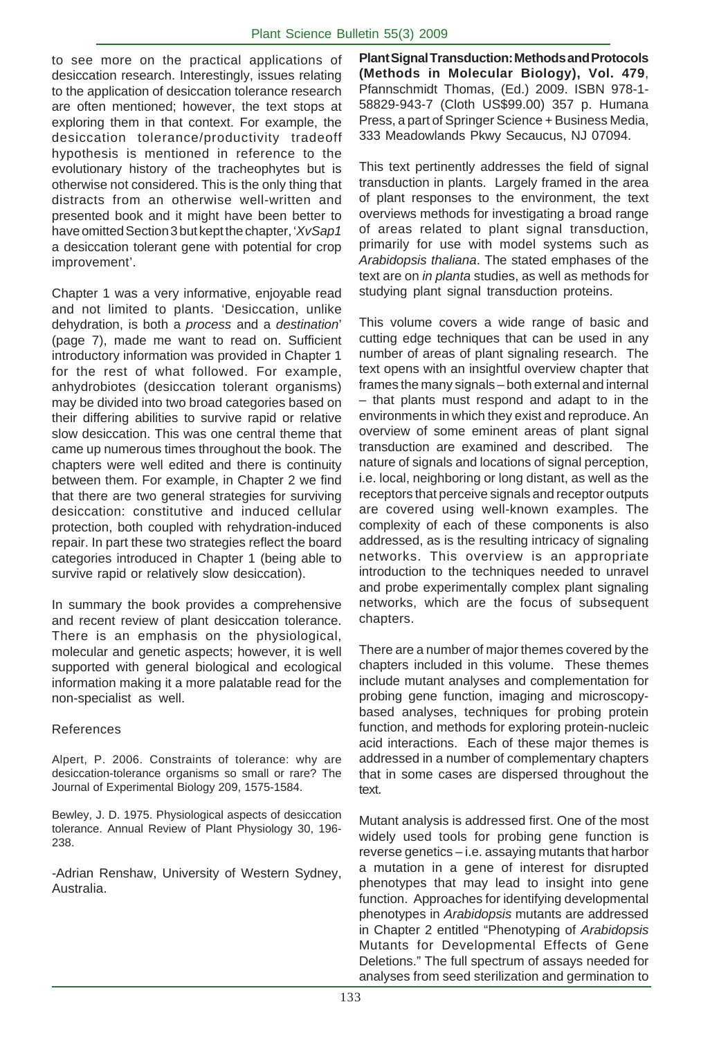to see more on the practical applications of desiccation research. Interestingly, issues relating to the application of desiccation tolerance research are often mentioned; however, the text stops at exploring them in that context. For example, the desiccation tolerance/productivity tradeoff hypothesis is mentioned in reference to the evolutionary history of the tracheophytes but is otherwise not considered. This is the only thing that distracts from an otherwise well-written and presented book and it might have been better to have omitted Section 3 but kept the chapter, '*XvSap1* a desiccation tolerant gene with potential for crop improvement'.

Chapter 1 was a very informative, enjoyable read and not limited to plants. 'Desiccation, unlike dehydration, is both a *process* and a *destination*' (page 7), made me want to read on. Sufficient introductory information was provided in Chapter 1 for the rest of what followed. For example, anhydrobiotes (desiccation tolerant organisms) may be divided into two broad categories based on their differing abilities to survive rapid or relative slow desiccation. This was one central theme that came up numerous times throughout the book. The chapters were well edited and there is continuity between them. For example, in Chapter 2 we find that there are two general strategies for surviving desiccation: constitutive and induced cellular protection, both coupled with rehydration-induced repair. In part these two strategies reflect the board categories introduced in Chapter 1 (being able to survive rapid or relatively slow desiccation).

In summary the book provides a comprehensive and recent review of plant desiccation tolerance. There is an emphasis on the physiological, molecular and genetic aspects; however, it is well supported with general biological and ecological information making it a more palatable read for the non-specialist as well.

#### References

Alpert, P. 2006. Constraints of tolerance: why are desiccation-tolerance organisms so small or rare? The Journal of Experimental Biology 209, 1575-1584.

Bewley, J. D. 1975. Physiological aspects of desiccation tolerance. Annual Review of Plant Physiology 30, 196- 238.

-Adrian Renshaw, University of Western Sydney, Australia.

**Plant Signal Transduction: Methods and Protocols (Methods in Molecular Biology), Vol. 479**, Pfannschmidt Thomas, (Ed.) 2009. ISBN 978-1- 58829-943-7 (Cloth US\$99.00) 357 p. Humana Press, a part of Springer Science + Business Media, 333 Meadowlands Pkwy Secaucus, NJ 07094.

This text pertinently addresses the field of signal transduction in plants. Largely framed in the area of plant responses to the environment, the text overviews methods for investigating a broad range of areas related to plant signal transduction, primarily for use with model systems such as *Arabidopsis thaliana*. The stated emphases of the text are on *in planta* studies, as well as methods for studying plant signal transduction proteins.

This volume covers a wide range of basic and cutting edge techniques that can be used in any number of areas of plant signaling research. The text opens with an insightful overview chapter that frames the many signals – both external and internal – that plants must respond and adapt to in the environments in which they exist and reproduce. An overview of some eminent areas of plant signal transduction are examined and described. The nature of signals and locations of signal perception, i.e. local, neighboring or long distant, as well as the receptors that perceive signals and receptor outputs are covered using well-known examples. The complexity of each of these components is also addressed, as is the resulting intricacy of signaling networks. This overview is an appropriate introduction to the techniques needed to unravel and probe experimentally complex plant signaling networks, which are the focus of subsequent chapters.

There are a number of major themes covered by the chapters included in this volume. These themes include mutant analyses and complementation for probing gene function, imaging and microscopybased analyses, techniques for probing protein function, and methods for exploring protein-nucleic acid interactions. Each of these major themes is addressed in a number of complementary chapters that in some cases are dispersed throughout the text.

Mutant analysis is addressed first. One of the most widely used tools for probing gene function is reverse genetics – i.e. assaying mutants that harbor a mutation in a gene of interest for disrupted phenotypes that may lead to insight into gene function. Approaches for identifying developmental phenotypes in *Arabidopsis* mutants are addressed in Chapter 2 entitled "Phenotyping of *Arabidopsis* Mutants for Developmental Effects of Gene Deletions." The full spectrum of assays needed for analyses from seed sterilization and germination to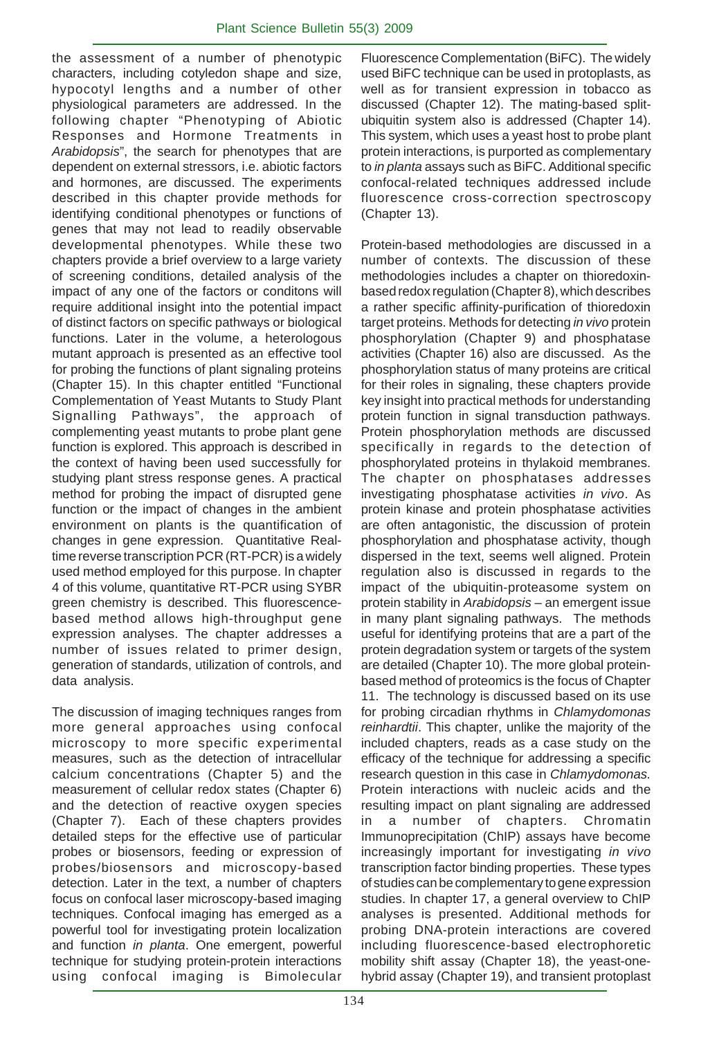the assessment of a number of phenotypic characters, including cotyledon shape and size, hypocotyl lengths and a number of other physiological parameters are addressed. In the following chapter "Phenotyping of Abiotic Responses and Hormone Treatments in *Arabidopsis*", the search for phenotypes that are dependent on external stressors, i.e. abiotic factors and hormones, are discussed. The experiments described in this chapter provide methods for identifying conditional phenotypes or functions of genes that may not lead to readily observable developmental phenotypes. While these two chapters provide a brief overview to a large variety of screening conditions, detailed analysis of the impact of any one of the factors or conditons will require additional insight into the potential impact of distinct factors on specific pathways or biological functions. Later in the volume, a heterologous mutant approach is presented as an effective tool for probing the functions of plant signaling proteins (Chapter 15). In this chapter entitled "Functional Complementation of Yeast Mutants to Study Plant Signalling Pathways", the approach of complementing yeast mutants to probe plant gene function is explored. This approach is described in the context of having been used successfully for studying plant stress response genes. A practical method for probing the impact of disrupted gene function or the impact of changes in the ambient environment on plants is the quantification of changes in gene expression. Quantitative Realtime reverse transcription PCR (RT-PCR) is a widely used method employed for this purpose. In chapter 4 of this volume, quantitative RT-PCR using SYBR green chemistry is described. This fluorescencebased method allows high-throughput gene expression analyses. The chapter addresses a number of issues related to primer design, generation of standards, utilization of controls, and data analysis.

The discussion of imaging techniques ranges from more general approaches using confocal microscopy to more specific experimental measures, such as the detection of intracellular calcium concentrations (Chapter 5) and the measurement of cellular redox states (Chapter 6) and the detection of reactive oxygen species (Chapter 7). Each of these chapters provides detailed steps for the effective use of particular probes or biosensors, feeding or expression of probes/biosensors and microscopy-based detection. Later in the text, a number of chapters focus on confocal laser microscopy-based imaging techniques. Confocal imaging has emerged as a powerful tool for investigating protein localization and function *in planta*. One emergent, powerful technique for studying protein-protein interactions using confocal imaging is Bimolecular

Fluorescence Complementation (BiFC). The widely used BiFC technique can be used in protoplasts, as well as for transient expression in tobacco as discussed (Chapter 12). The mating-based splitubiquitin system also is addressed (Chapter 14). This system, which uses a yeast host to probe plant protein interactions, is purported as complementary to *in planta* assays such as BiFC. Additional specific confocal-related techniques addressed include fluorescence cross-correction spectroscopy (Chapter 13).

Protein-based methodologies are discussed in a number of contexts. The discussion of these methodologies includes a chapter on thioredoxinbased redox regulation (Chapter 8), which describes a rather specific affinity-purification of thioredoxin target proteins. Methods for detecting *in vivo* protein phosphorylation (Chapter 9) and phosphatase activities (Chapter 16) also are discussed. As the phosphorylation status of many proteins are critical for their roles in signaling, these chapters provide key insight into practical methods for understanding protein function in signal transduction pathways. Protein phosphorylation methods are discussed specifically in regards to the detection of phosphorylated proteins in thylakoid membranes. The chapter on phosphatases addresses investigating phosphatase activities *in vivo*. As protein kinase and protein phosphatase activities are often antagonistic, the discussion of protein phosphorylation and phosphatase activity, though dispersed in the text, seems well aligned. Protein regulation also is discussed in regards to the impact of the ubiquitin-proteasome system on protein stability in *Arabidopsis* – an emergent issue in many plant signaling pathways. The methods useful for identifying proteins that are a part of the protein degradation system or targets of the system are detailed (Chapter 10). The more global proteinbased method of proteomics is the focus of Chapter 11. The technology is discussed based on its use for probing circadian rhythms in *Chlamydomonas reinhardtii*. This chapter, unlike the majority of the included chapters, reads as a case study on the efficacy of the technique for addressing a specific research question in this case in *Chlamydomonas.* Protein interactions with nucleic acids and the resulting impact on plant signaling are addressed in a number of chapters. Chromatin Immunoprecipitation (ChIP) assays have become increasingly important for investigating *in vivo* transcription factor binding properties. These types of studies can be complementary to gene expression studies. In chapter 17, a general overview to ChIP analyses is presented. Additional methods for probing DNA-protein interactions are covered including fluorescence-based electrophoretic mobility shift assay (Chapter 18), the yeast-onehybrid assay (Chapter 19), and transient protoplast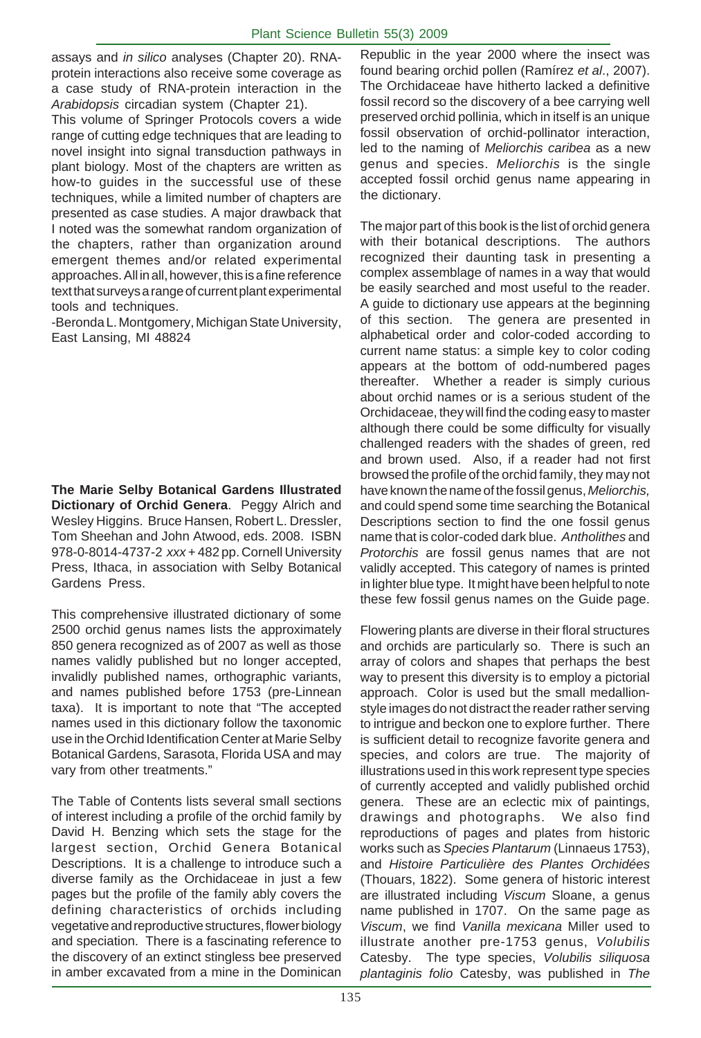assays and *in silico* analyses (Chapter 20). RNAprotein interactions also receive some coverage as a case study of RNA-protein interaction in the *Arabidopsis* circadian system (Chapter 21).

This volume of Springer Protocols covers a wide range of cutting edge techniques that are leading to novel insight into signal transduction pathways in plant biology. Most of the chapters are written as how-to guides in the successful use of these techniques, while a limited number of chapters are presented as case studies. A major drawback that I noted was the somewhat random organization of the chapters, rather than organization around emergent themes and/or related experimental approaches. All in all, however, this is a fine reference text that surveys a range of current plant experimental tools and techniques.

-Beronda L. Montgomery, Michigan State University, East Lansing, MI 48824

**The Marie Selby Botanical Gardens Illustrated Dictionary of Orchid Genera**. Peggy Alrich and Wesley Higgins. Bruce Hansen, Robert L. Dressler, Tom Sheehan and John Atwood, eds. 2008. ISBN 978-0-8014-4737-2 *xxx* + 482 pp. Cornell University Press, Ithaca, in association with Selby Botanical Gardens Press.

This comprehensive illustrated dictionary of some 2500 orchid genus names lists the approximately 850 genera recognized as of 2007 as well as those names validly published but no longer accepted, invalidly published names, orthographic variants, and names published before 1753 (pre-Linnean taxa). It is important to note that "The accepted names used in this dictionary follow the taxonomic use in the Orchid Identification Center at Marie Selby Botanical Gardens, Sarasota, Florida USA and may vary from other treatments."

The Table of Contents lists several small sections of interest including a profile of the orchid family by David H. Benzing which sets the stage for the largest section, Orchid Genera Botanical Descriptions. It is a challenge to introduce such a diverse family as the Orchidaceae in just a few pages but the profile of the family ably covers the defining characteristics of orchids including vegetative and reproductive structures, flower biology and speciation. There is a fascinating reference to the discovery of an extinct stingless bee preserved in amber excavated from a mine in the Dominican Republic in the year 2000 where the insect was found bearing orchid pollen (Ramírez *et al*., 2007). The Orchidaceae have hitherto lacked a definitive fossil record so the discovery of a bee carrying well preserved orchid pollinia, which in itself is an unique fossil observation of orchid-pollinator interaction, led to the naming of *Meliorchis caribea* as a new genus and species. *Meliorchis* is the single accepted fossil orchid genus name appearing in the dictionary.

The major part of this book is the list of orchid genera with their botanical descriptions. The authors recognized their daunting task in presenting a complex assemblage of names in a way that would be easily searched and most useful to the reader. A guide to dictionary use appears at the beginning of this section. The genera are presented in alphabetical order and color-coded according to current name status: a simple key to color coding appears at the bottom of odd-numbered pages thereafter. Whether a reader is simply curious about orchid names or is a serious student of the Orchidaceae, they will find the coding easy to master although there could be some difficulty for visually challenged readers with the shades of green, red and brown used. Also, if a reader had not first browsed the profile of the orchid family, they may not have known the name of the fossil genus, *Meliorchis,* and could spend some time searching the Botanical Descriptions section to find the one fossil genus name that is color-coded dark blue. *Antholithes* and *Protorchis* are fossil genus names that are not validly accepted. This category of names is printed in lighter blue type. It might have been helpful to note these few fossil genus names on the Guide page.

Flowering plants are diverse in their floral structures and orchids are particularly so. There is such an array of colors and shapes that perhaps the best way to present this diversity is to employ a pictorial approach. Color is used but the small medallionstyle images do not distract the reader rather serving to intrigue and beckon one to explore further. There is sufficient detail to recognize favorite genera and species, and colors are true. The majority of illustrations used in this work represent type species of currently accepted and validly published orchid genera. These are an eclectic mix of paintings, drawings and photographs. We also find reproductions of pages and plates from historic works such as *Species Plantarum* (Linnaeus 1753), and *Histoire Particulière des Plantes Orchidées* (Thouars, 1822). Some genera of historic interest are illustrated including *Viscum* Sloane, a genus name published in 1707. On the same page as *Viscum*, we find *Vanilla mexicana* Miller used to illustrate another pre-1753 genus, *Volubilis* Catesby. The type species, *Volubilis siliquosa plantaginis folio* Catesby, was published in *The*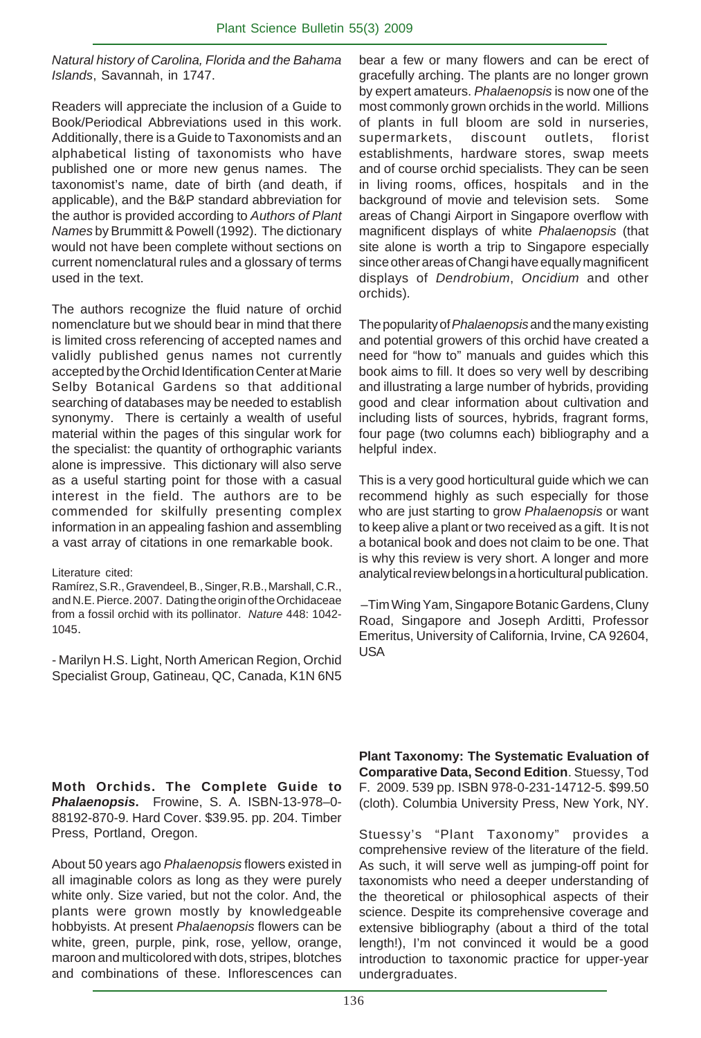*Natural history of Carolina, Florida and the Bahama Islands*, Savannah, in 1747.

Readers will appreciate the inclusion of a Guide to Book/Periodical Abbreviations used in this work. Additionally, there is a Guide to Taxonomists and an alphabetical listing of taxonomists who have published one or more new genus names. The taxonomist's name, date of birth (and death, if applicable), and the B&P standard abbreviation for the author is provided according to *Authors of Plant Names* by Brummitt & Powell (1992). The dictionary would not have been complete without sections on current nomenclatural rules and a glossary of terms used in the text.

The authors recognize the fluid nature of orchid nomenclature but we should bear in mind that there is limited cross referencing of accepted names and validly published genus names not currently accepted by the Orchid Identification Center at Marie Selby Botanical Gardens so that additional searching of databases may be needed to establish synonymy. There is certainly a wealth of useful material within the pages of this singular work for the specialist: the quantity of orthographic variants alone is impressive. This dictionary will also serve as a useful starting point for those with a casual interest in the field. The authors are to be commended for skilfully presenting complex information in an appealing fashion and assembling a vast array of citations in one remarkable book.

Ramírez, S.R., Gravendeel, B., Singer, R.B., Marshall, C.R., and N.E. Pierce. 2007. Dating the origin of the Orchidaceae from a fossil orchid with its pollinator. *Nature* 448: 1042- 1045.

- Marilyn H.S. Light, North American Region, Orchid Specialist Group, Gatineau, QC, Canada, K1N 6N5 bear a few or many flowers and can be erect of gracefully arching. The plants are no longer grown by expert amateurs. *Phalaenopsis* is now one of the most commonly grown orchids in the world. Millions of plants in full bloom are sold in nurseries, supermarkets, discount outlets, florist establishments, hardware stores, swap meets and of course orchid specialists. They can be seen in living rooms, offices, hospitals and in the background of movie and television sets. Some areas of Changi Airport in Singapore overflow with magnificent displays of white *Phalaenopsis* (that site alone is worth a trip to Singapore especially since other areas of Changi have equally magnificent displays of *Dendrobium*, *Oncidium* and other orchids)*.*

The popularity of *Phalaenopsis* and the many existing and potential growers of this orchid have created a need for "how to" manuals and guides which this book aims to fill. It does so very well by describing and illustrating a large number of hybrids, providing good and clear information about cultivation and including lists of sources, hybrids, fragrant forms, four page (two columns each) bibliography and a helpful index.

This is a very good horticultural guide which we can recommend highly as such especially for those who are just starting to grow *Phalaenopsis* or want to keep alive a plant or two received as a gift. It is not a botanical book and does not claim to be one. That is why this review is very short. A longer and more analytical review belongs in a horticultural publication.

 –Tim Wing Yam, Singapore Botanic Gardens, Cluny Road, Singapore and Joseph Arditti, Professor Emeritus, University of California, Irvine, CA 92604, USA

**Moth Orchids. The Complete Guide to** *Phalaenopsis***.** Frowine, S. A. ISBN-13-978–0- 88192-870-9. Hard Cover. \$39.95. pp. 204. Timber Press, Portland, Oregon.

About 50 years ago *Phalaenopsis* flowers existed in all imaginable colors as long as they were purely white only. Size varied, but not the color. And, the plants were grown mostly by knowledgeable hobbyists. At present *Phalaenopsis* flowers can be white, green, purple, pink, rose, yellow, orange, maroon and multicolored with dots, stripes, blotches and combinations of these. Inflorescences can

**Plant Taxonomy: The Systematic Evaluation of Comparative Data, Second Edition**. Stuessy, Tod F. 2009. 539 pp. ISBN 978-0-231-14712-5. \$99.50 (cloth). Columbia University Press, New York, NY.

Stuessy's "Plant Taxonomy" provides a comprehensive review of the literature of the field. As such, it will serve well as jumping-off point for taxonomists who need a deeper understanding of the theoretical or philosophical aspects of their science. Despite its comprehensive coverage and extensive bibliography (about a third of the total length!), I'm not convinced it would be a good introduction to taxonomic practice for upper-year undergraduates.

Literature cited: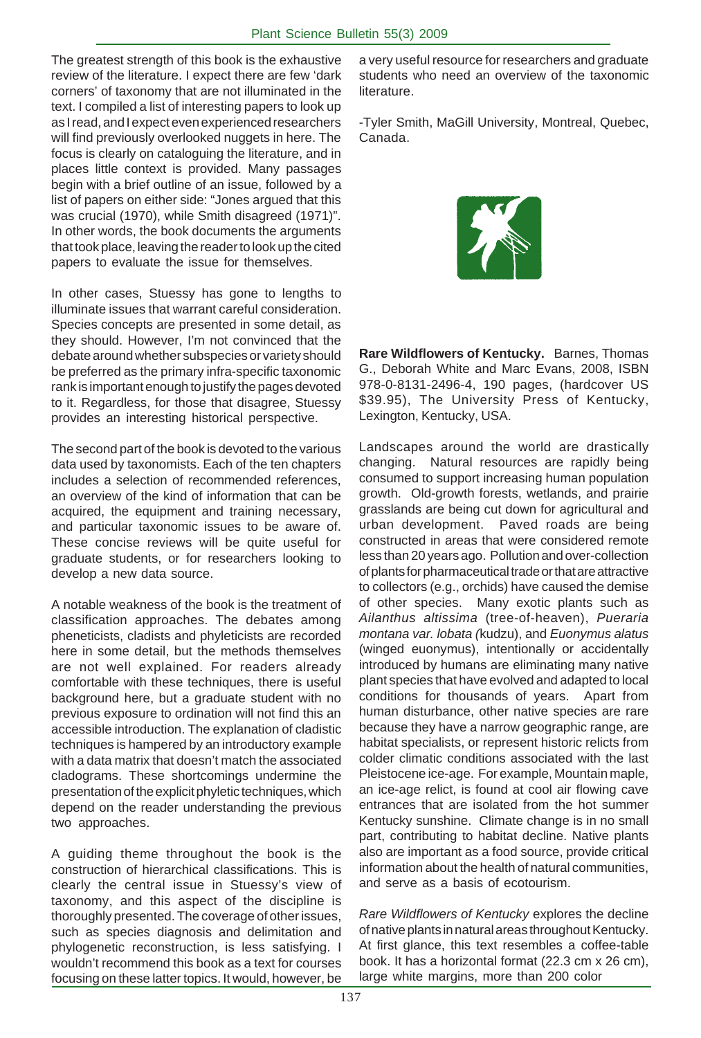The greatest strength of this book is the exhaustive review of the literature. I expect there are few 'dark corners' of taxonomy that are not illuminated in the text. I compiled a list of interesting papers to look up as I read, and I expect even experienced researchers will find previously overlooked nuggets in here. The focus is clearly on cataloguing the literature, and in places little context is provided. Many passages begin with a brief outline of an issue, followed by a list of papers on either side: "Jones argued that this was crucial (1970), while Smith disagreed (1971)". In other words, the book documents the arguments that took place, leaving the reader to look up the cited papers to evaluate the issue for themselves.

In other cases, Stuessy has gone to lengths to illuminate issues that warrant careful consideration. Species concepts are presented in some detail, as they should. However, I'm not convinced that the debate around whether subspecies or variety should be preferred as the primary infra-specific taxonomic rank is important enough to justify the pages devoted to it. Regardless, for those that disagree, Stuessy provides an interesting historical perspective.

The second part of the book is devoted to the various data used by taxonomists. Each of the ten chapters includes a selection of recommended references, an overview of the kind of information that can be acquired, the equipment and training necessary, and particular taxonomic issues to be aware of. These concise reviews will be quite useful for graduate students, or for researchers looking to develop a new data source.

A notable weakness of the book is the treatment of classification approaches. The debates among pheneticists, cladists and phyleticists are recorded here in some detail, but the methods themselves are not well explained. For readers already comfortable with these techniques, there is useful background here, but a graduate student with no previous exposure to ordination will not find this an accessible introduction. The explanation of cladistic techniques is hampered by an introductory example with a data matrix that doesn't match the associated cladograms. These shortcomings undermine the presentation of the explicit phyletic techniques, which depend on the reader understanding the previous two approaches.

A guiding theme throughout the book is the construction of hierarchical classifications. This is clearly the central issue in Stuessy's view of taxonomy, and this aspect of the discipline is thoroughly presented. The coverage of other issues, such as species diagnosis and delimitation and phylogenetic reconstruction, is less satisfying. I wouldn't recommend this book as a text for courses focusing on these latter topics. It would, however, be

a very useful resource for researchers and graduate students who need an overview of the taxonomic literature.

-Tyler Smith, MaGill University, Montreal, Quebec, Canada.



**Rare Wildflowers of Kentucky.** Barnes, Thomas G., Deborah White and Marc Evans, 2008, ISBN 978-0-8131-2496-4, 190 pages, (hardcover US \$39.95), The University Press of Kentucky, Lexington, Kentucky, USA.

Landscapes around the world are drastically changing. Natural resources are rapidly being consumed to support increasing human population growth. Old-growth forests, wetlands, and prairie grasslands are being cut down for agricultural and urban development. Paved roads are being constructed in areas that were considered remote less than 20 years ago. Pollution and over-collection of plants for pharmaceutical trade or that are attractive to collectors (e.g., orchids) have caused the demise of other species. Many exotic plants such as *Ailanthus altissima* (tree-of-heaven), *Pueraria montana var. lobata (*kudzu), and *Euonymus alatus* (winged euonymus), intentionally or accidentally introduced by humans are eliminating many native plant species that have evolved and adapted to local conditions for thousands of years. Apart from human disturbance, other native species are rare because they have a narrow geographic range, are habitat specialists, or represent historic relicts from colder climatic conditions associated with the last Pleistocene ice-age. For example, Mountain maple, an ice-age relict, is found at cool air flowing cave entrances that are isolated from the hot summer Kentucky sunshine. Climate change is in no small part, contributing to habitat decline. Native plants also are important as a food source, provide critical information about the health of natural communities, and serve as a basis of ecotourism.

*Rare Wildflowers of Kentucky* explores the decline of native plants in natural areas throughout Kentucky. At first glance, this text resembles a coffee-table book. It has a horizontal format (22.3 cm x 26 cm), large white margins, more than 200 color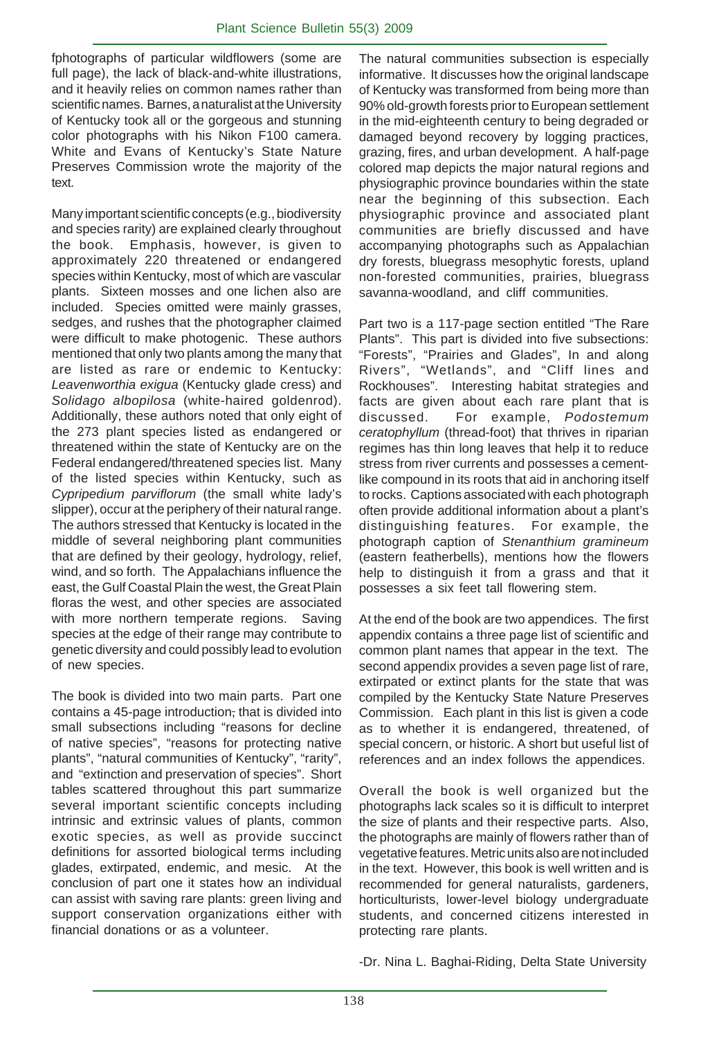fphotographs of particular wildflowers (some are full page), the lack of black-and-white illustrations, and it heavily relies on common names rather than scientific names. Barnes, a naturalist at the University of Kentucky took all or the gorgeous and stunning color photographs with his Nikon F100 camera. White and Evans of Kentucky's State Nature Preserves Commission wrote the majority of the text.

Many important scientific concepts (e.g., biodiversity and species rarity) are explained clearly throughout the book. Emphasis, however, is given to approximately 220 threatened or endangered species within Kentucky, most of which are vascular plants. Sixteen mosses and one lichen also are included. Species omitted were mainly grasses, sedges, and rushes that the photographer claimed were difficult to make photogenic. These authors mentioned that only two plants among the many that are listed as rare or endemic to Kentucky: *Leavenworthia exigua* (Kentucky glade cress) and *Solidago albopilosa* (white-haired goldenrod). Additionally, these authors noted that only eight of the 273 plant species listed as endangered or threatened within the state of Kentucky are on the Federal endangered/threatened species list. Many of the listed species within Kentucky, such as *Cypripedium parviflorum* (the small white lady's slipper), occur at the periphery of their natural range. The authors stressed that Kentucky is located in the middle of several neighboring plant communities that are defined by their geology, hydrology, relief, wind, and so forth. The Appalachians influence the east, the Gulf Coastal Plain the west, the Great Plain floras the west, and other species are associated with more northern temperate regions. Saving species at the edge of their range may contribute to genetic diversity and could possibly lead to evolution of new species.

The book is divided into two main parts. Part one contains a 45-page introduction, that is divided into small subsections including "reasons for decline of native species", "reasons for protecting native plants", "natural communities of Kentucky", "rarity", and "extinction and preservation of species". Short tables scattered throughout this part summarize several important scientific concepts including intrinsic and extrinsic values of plants, common exotic species, as well as provide succinct definitions for assorted biological terms including glades, extirpated, endemic, and mesic. At the conclusion of part one it states how an individual can assist with saving rare plants: green living and support conservation organizations either with financial donations or as a volunteer.

The natural communities subsection is especially informative. It discusses how the original landscape of Kentucky was transformed from being more than 90% old-growth forests prior to European settlement in the mid-eighteenth century to being degraded or damaged beyond recovery by logging practices, grazing, fires, and urban development. A half-page colored map depicts the major natural regions and physiographic province boundaries within the state near the beginning of this subsection. Each physiographic province and associated plant communities are briefly discussed and have accompanying photographs such as Appalachian dry forests, bluegrass mesophytic forests, upland non-forested communities, prairies, bluegrass savanna-woodland, and cliff communities.

Part two is a 117-page section entitled "The Rare Plants". This part is divided into five subsections: "Forests", "Prairies and Glades", In and along Rivers", "Wetlands", and "Cliff lines and Rockhouses". Interesting habitat strategies and facts are given about each rare plant that is discussed. For example, *Podostemum ceratophyllum* (thread-foot) that thrives in riparian regimes has thin long leaves that help it to reduce stress from river currents and possesses a cementlike compound in its roots that aid in anchoring itself to rocks. Captions associated with each photograph often provide additional information about a plant's distinguishing features. For example, the photograph caption of *Stenanthium gramineum* (eastern featherbells), mentions how the flowers help to distinguish it from a grass and that it possesses a six feet tall flowering stem.

At the end of the book are two appendices. The first appendix contains a three page list of scientific and common plant names that appear in the text. The second appendix provides a seven page list of rare, extirpated or extinct plants for the state that was compiled by the Kentucky State Nature Preserves Commission. Each plant in this list is given a code as to whether it is endangered, threatened, of special concern, or historic. A short but useful list of references and an index follows the appendices.

Overall the book is well organized but the photographs lack scales so it is difficult to interpret the size of plants and their respective parts. Also, the photographs are mainly of flowers rather than of vegetative features. Metric units also are not included in the text. However, this book is well written and is recommended for general naturalists, gardeners, horticulturists, lower-level biology undergraduate students, and concerned citizens interested in protecting rare plants.

-Dr. Nina L. Baghai-Riding, Delta State University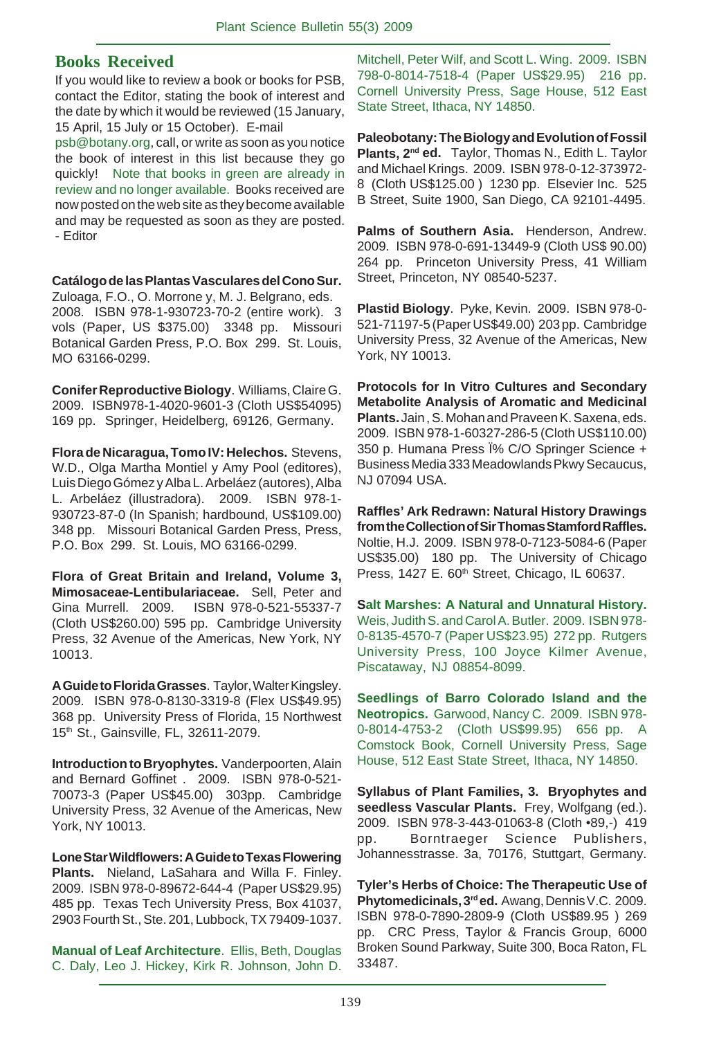#### **Books Received**

If you would like to review a book or books for PSB, contact the Editor, stating the book of interest and the date by which it would be reviewed (15 January, 15 April, 15 July or 15 October). E-mail

psb@botany.org, call, or write as soon as you notice the book of interest in this list because they go quickly! Note that books in green are already in review and no longer available. Books received are now posted on the web site as they become available and may be requested as soon as they are posted. - Editor

**Catálogo de las Plantas Vasculares del Cono Sur.** Zuloaga, F.O., O. Morrone y, M. J. Belgrano, eds. 2008. ISBN 978-1-930723-70-2 (entire work). 3 vols (Paper, US \$375.00) 3348 pp. Missouri Botanical Garden Press, P.O. Box 299. St. Louis, MO 63166-0299.

**Conifer Reproductive Biology**. Williams, Claire G. 2009. ISBN978-1-4020-9601-3 (Cloth US\$54095) 169 pp. Springer, Heidelberg, 69126, Germany.

**Flora de Nicaragua, Tomo IV: Helechos.** Stevens, W.D., Olga Martha Montiel y Amy Pool (editores), Luis Diego Gómez y Alba L. Arbeláez (autores), Alba L. Arbeláez (illustradora). 2009. ISBN 978-1- 930723-87-0 (In Spanish; hardbound, US\$109.00) 348 pp. Missouri Botanical Garden Press, Press, P.O. Box 299. St. Louis, MO 63166-0299.

**Flora of Great Britain and Ireland, Volume 3, Mimosaceae-Lentibulariaceae.** Sell, Peter and Gina Murrell. 2009. ISBN 978-0-521-55337-7 (Cloth US\$260.00) 595 pp. Cambridge University Press, 32 Avenue of the Americas, New York, NY 10013.

**A Guide to Florida Grasses**. Taylor, Walter Kingsley. 2009. ISBN 978-0-8130-3319-8 (Flex US\$49.95) 368 pp. University Press of Florida, 15 Northwest 15th St., Gainsville, FL, 32611-2079.

**Introduction to Bryophytes.** Vanderpoorten, Alain and Bernard Goffinet . 2009. ISBN 978-0-521- 70073-3 (Paper US\$45.00) 303pp. Cambridge University Press, 32 Avenue of the Americas, New York, NY 10013.

**Lone Star Wildflowers: A Guide to Texas Flowering Plants.** Nieland, LaSahara and Willa F. Finley. 2009. ISBN 978-0-89672-644-4 (Paper US\$29.95) 485 pp. Texas Tech University Press, Box 41037, 2903 Fourth St., Ste. 201, Lubbock, TX 79409-1037.

**Manual of Leaf Architecture**. Ellis, Beth, Douglas C. Daly, Leo J. Hickey, Kirk R. Johnson, John D.

Mitchell, Peter Wilf, and Scott L. Wing. 2009. ISBN 798-0-8014-7518-4 (Paper US\$29.95) 216 pp. Cornell University Press, Sage House, 512 East State Street, Ithaca, NY 14850.

**Paleobotany: The Biology and Evolution of Fossil Plants, 2nd ed.** Taylor, Thomas N., Edith L. Taylor and Michael Krings. 2009. ISBN 978-0-12-373972- 8 (Cloth US\$125.00 ) 1230 pp. Elsevier Inc. 525 B Street, Suite 1900, San Diego, CA 92101-4495.

**Palms of Southern Asia.** Henderson, Andrew. 2009. ISBN 978-0-691-13449-9 (Cloth US\$ 90.00) 264 pp. Princeton University Press, 41 William Street, Princeton, NY 08540-5237.

**Plastid Biology**. Pyke, Kevin. 2009. ISBN 978-0- 521-71197-5 (Paper US\$49.00) 203 pp. Cambridge University Press, 32 Avenue of the Americas, New York, NY 10013.

**Protocols for In Vitro Cultures and Secondary Metabolite Analysis of Aromatic and Medicinal** Plants. Jain, S. Mohan and Praveen K. Saxena, eds. 2009. ISBN 978-1-60327-286-5 (Cloth US\$110.00) 350 p. Humana Press Ï% C/O Springer Science + Business Media 333 Meadowlands Pkwy Secaucus, NJ 07094 USA.

**Raffles' Ark Redrawn: Natural History Drawings from the Collection of Sir Thomas Stamford Raffles.** Noltie, H.J. 2009. ISBN 978-0-7123-5084-6 (Paper US\$35.00) 180 pp. The University of Chicago Press, 1427 E. 60<sup>th</sup> Street, Chicago, IL 60637.

**Salt Marshes: A Natural and Unnatural History.** Weis, Judith S. and Carol A. Butler. 2009. ISBN 978- 0-8135-4570-7 (Paper US\$23.95) 272 pp. Rutgers University Press, 100 Joyce Kilmer Avenue, Piscataway, NJ 08854-8099.

**Seedlings of Barro Colorado Island and the Neotropics.** Garwood, Nancy C. 2009. ISBN 978- 0-8014-4753-2 (Cloth US\$99.95) 656 pp. A Comstock Book, Cornell University Press, Sage House, 512 East State Street, Ithaca, NY 14850.

**Syllabus of Plant Families, 3. Bryophytes and seedless Vascular Plants.** Frey, Wolfgang (ed.). 2009. ISBN 978-3-443-01063-8 (Cloth •89,-) 419 pp. Borntraeger Science Publishers, Johannesstrasse. 3a, 70176, Stuttgart, Germany.

**Tyler's Herbs of Choice: The Therapeutic Use of Phytomedicinals, 3rd ed.** Awang, Dennis V.C. 2009. ISBN 978-0-7890-2809-9 (Cloth US\$89.95 ) 269 pp. CRC Press, Taylor & Francis Group, 6000 Broken Sound Parkway, Suite 300, Boca Raton, FL 33487.